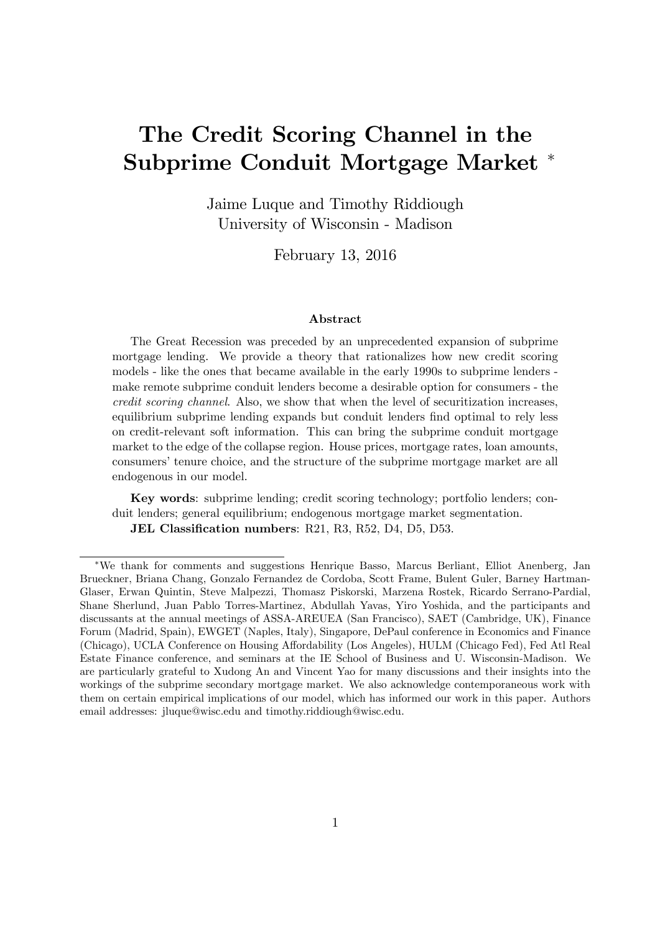# The Credit Scoring Channel in the Subprime Conduit Mortgage Market

Jaime Luque and Timothy Riddiough University of Wisconsin - Madison

February 13, 2016

#### Abstract

The Great Recession was preceded by an unprecedented expansion of subprime mortgage lending. We provide a theory that rationalizes how new credit scoring models - like the ones that became available in the early 1990s to subprime lenders make remote subprime conduit lenders become a desirable option for consumers - the credit scoring channel. Also, we show that when the level of securitization increases, equilibrium subprime lending expands but conduit lenders find optimal to rely less on credit-relevant soft information. This can bring the subprime conduit mortgage market to the edge of the collapse region. House prices, mortgage rates, loan amounts, consumers' tenure choice, and the structure of the subprime mortgage market are all endogenous in our model.

Key words: subprime lending; credit scoring technology; portfolio lenders; conduit lenders; general equilibrium; endogenous mortgage market segmentation. JEL Classification numbers: R21, R3, R52, D4, D5, D53.

We thank for comments and suggestions Henrique Basso, Marcus Berliant, Elliot Anenberg, Jan Brueckner, Briana Chang, Gonzalo Fernandez de Cordoba, Scott Frame, Bulent Guler, Barney Hartman-Glaser, Erwan Quintin, Steve Malpezzi, Thomasz Piskorski, Marzena Rostek, Ricardo Serrano-Pardial, Shane Sherlund, Juan Pablo Torres-Martinez, Abdullah Yavas, Yiro Yoshida, and the participants and discussants at the annual meetings of ASSA-AREUEA (San Francisco), SAET (Cambridge, UK), Finance Forum (Madrid, Spain), EWGET (Naples, Italy), Singapore, DePaul conference in Economics and Finance (Chicago), UCLA Conference on Housing Affordability (Los Angeles), HULM (Chicago Fed), Fed Atl Real Estate Finance conference, and seminars at the IE School of Business and U. Wisconsin-Madison. We are particularly grateful to Xudong An and Vincent Yao for many discussions and their insights into the workings of the subprime secondary mortgage market. We also acknowledge contemporaneous work with them on certain empirical implications of our model, which has informed our work in this paper. Authors email addresses: jluque@wisc.edu and timothy.riddiough@wisc.edu.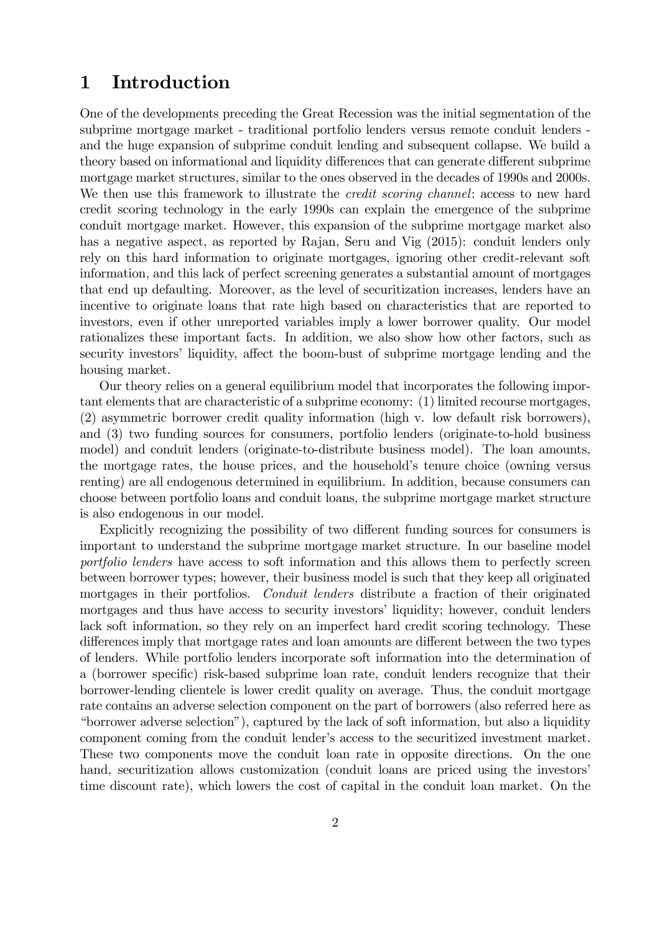# 1 Introduction

One of the developments preceding the Great Recession was the initial segmentation of the subprime mortgage market - traditional portfolio lenders versus remote conduit lenders and the huge expansion of subprime conduit lending and subsequent collapse. We build a theory based on informational and liquidity differences that can generate different subprime mortgage market structures, similar to the ones observed in the decades of 1990s and 2000s. We then use this framework to illustrate the *credit scoring channel*: access to new hard credit scoring technology in the early 1990s can explain the emergence of the subprime conduit mortgage market. However, this expansion of the subprime mortgage market also has a negative aspect, as reported by Rajan, Seru and Vig (2015): conduit lenders only rely on this hard information to originate mortgages, ignoring other credit-relevant soft information, and this lack of perfect screening generates a substantial amount of mortgages that end up defaulting. Moreover, as the level of securitization increases, lenders have an incentive to originate loans that rate high based on characteristics that are reported to investors, even if other unreported variables imply a lower borrower quality. Our model rationalizes these important facts. In addition, we also show how other factors, such as security investors' liquidity, affect the boom-bust of subprime mortgage lending and the housing market.

Our theory relies on a general equilibrium model that incorporates the following important elements that are characteristic of a subprime economy: (1) limited recourse mortgages, (2) asymmetric borrower credit quality information (high v. low default risk borrowers), and (3) two funding sources for consumers, portfolio lenders (originate-to-hold business model) and conduit lenders (originate-to-distribute business model). The loan amounts, the mortgage rates, the house prices, and the household's tenure choice (owning versus renting) are all endogenous determined in equilibrium. In addition, because consumers can choose between portfolio loans and conduit loans, the subprime mortgage market structure is also endogenous in our model.

Explicitly recognizing the possibility of two different funding sources for consumers is important to understand the subprime mortgage market structure. In our baseline model portfolio lenders have access to soft information and this allows them to perfectly screen between borrower types; however, their business model is such that they keep all originated mortgages in their portfolios. Conduit lenders distribute a fraction of their originated mortgages and thus have access to security investors' liquidity; however, conduit lenders lack soft information, so they rely on an imperfect hard credit scoring technology. These differences imply that mortgage rates and loan amounts are different between the two types of lenders. While portfolio lenders incorporate soft information into the determination of a (borrower specific) risk-based subprime loan rate, conduit lenders recognize that their borrower-lending clientele is lower credit quality on average. Thus, the conduit mortgage rate contains an adverse selection component on the part of borrowers (also referred here as ìborrower adverse selectionî), captured by the lack of soft information, but also a liquidity component coming from the conduit lender's access to the securitized investment market. These two components move the conduit loan rate in opposite directions. On the one hand, securitization allows customization (conduit loans are priced using the investors' time discount rate), which lowers the cost of capital in the conduit loan market. On the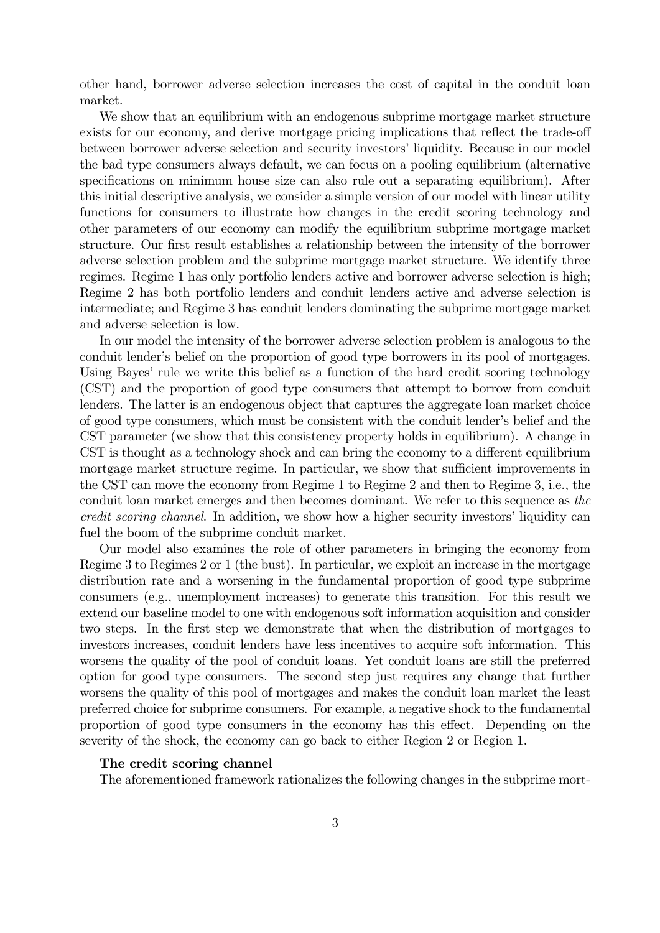other hand, borrower adverse selection increases the cost of capital in the conduit loan market.

We show that an equilibrium with an endogenous subprime mortgage market structure exists for our economy, and derive mortgage pricing implications that reflect the trade-off between borrower adverse selection and security investorsíliquidity. Because in our model the bad type consumers always default, we can focus on a pooling equilibrium (alternative specifications on minimum house size can also rule out a separating equilibrium). After this initial descriptive analysis, we consider a simple version of our model with linear utility functions for consumers to illustrate how changes in the credit scoring technology and other parameters of our economy can modify the equilibrium subprime mortgage market structure. Our first result establishes a relationship between the intensity of the borrower adverse selection problem and the subprime mortgage market structure. We identify three regimes. Regime 1 has only portfolio lenders active and borrower adverse selection is high; Regime 2 has both portfolio lenders and conduit lenders active and adverse selection is intermediate; and Regime 3 has conduit lenders dominating the subprime mortgage market and adverse selection is low.

In our model the intensity of the borrower adverse selection problem is analogous to the conduit lender's belief on the proportion of good type borrowers in its pool of mortgages. Using Bayes' rule we write this belief as a function of the hard credit scoring technology (CST) and the proportion of good type consumers that attempt to borrow from conduit lenders. The latter is an endogenous object that captures the aggregate loan market choice of good type consumers, which must be consistent with the conduit lender's belief and the CST parameter (we show that this consistency property holds in equilibrium). A change in CST is thought as a technology shock and can bring the economy to a different equilibrium mortgage market structure regime. In particular, we show that sufficient improvements in the CST can move the economy from Regime 1 to Regime 2 and then to Regime 3, i.e., the conduit loan market emerges and then becomes dominant. We refer to this sequence as the credit scoring channel. In addition, we show how a higher security investors' liquidity can fuel the boom of the subprime conduit market.

Our model also examines the role of other parameters in bringing the economy from Regime 3 to Regimes 2 or 1 (the bust). In particular, we exploit an increase in the mortgage distribution rate and a worsening in the fundamental proportion of good type subprime consumers (e.g., unemployment increases) to generate this transition. For this result we extend our baseline model to one with endogenous soft information acquisition and consider two steps. In the Örst step we demonstrate that when the distribution of mortgages to investors increases, conduit lenders have less incentives to acquire soft information. This worsens the quality of the pool of conduit loans. Yet conduit loans are still the preferred option for good type consumers. The second step just requires any change that further worsens the quality of this pool of mortgages and makes the conduit loan market the least preferred choice for subprime consumers. For example, a negative shock to the fundamental proportion of good type consumers in the economy has this effect. Depending on the severity of the shock, the economy can go back to either Region 2 or Region 1.

#### The credit scoring channel

The aforementioned framework rationalizes the following changes in the subprime mort-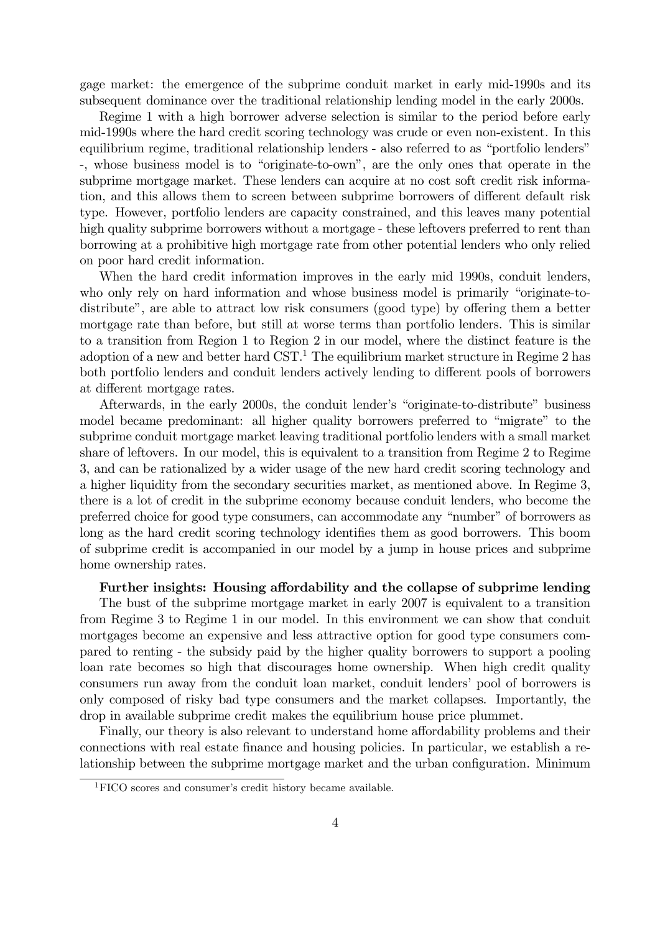gage market: the emergence of the subprime conduit market in early mid-1990s and its subsequent dominance over the traditional relationship lending model in the early 2000s.

Regime 1 with a high borrower adverse selection is similar to the period before early mid-1990s where the hard credit scoring technology was crude or even non-existent. In this equilibrium regime, traditional relationship lenders - also referred to as "portfolio lenders" -, whose business model is to "originate-to-own", are the only ones that operate in the subprime mortgage market. These lenders can acquire at no cost soft credit risk information, and this allows them to screen between subprime borrowers of different default risk type. However, portfolio lenders are capacity constrained, and this leaves many potential high quality subprime borrowers without a mortgage - these leftovers preferred to rent than borrowing at a prohibitive high mortgage rate from other potential lenders who only relied on poor hard credit information.

When the hard credit information improves in the early mid 1990s, conduit lenders, who only rely on hard information and whose business model is primarily "originate-todistribute", are able to attract low risk consumers (good type) by offering them a better mortgage rate than before, but still at worse terms than portfolio lenders. This is similar to a transition from Region 1 to Region 2 in our model, where the distinct feature is the adoption of a new and better hard  $\text{CST}$ <sup>1</sup>. The equilibrium market structure in Regime 2 has both portfolio lenders and conduit lenders actively lending to different pools of borrowers at different mortgage rates.

Afterwards, in the early 2000s, the conduit lender's "originate-to-distribute" business model became predominant: all higher quality borrowers preferred to "migrate" to the subprime conduit mortgage market leaving traditional portfolio lenders with a small market share of leftovers. In our model, this is equivalent to a transition from Regime 2 to Regime 3, and can be rationalized by a wider usage of the new hard credit scoring technology and a higher liquidity from the secondary securities market, as mentioned above. In Regime 3, there is a lot of credit in the subprime economy because conduit lenders, who become the preferred choice for good type consumers, can accommodate any "number" of borrowers as long as the hard credit scoring technology identifies them as good borrowers. This boom of subprime credit is accompanied in our model by a jump in house prices and subprime home ownership rates.

#### Further insights: Housing affordability and the collapse of subprime lending

The bust of the subprime mortgage market in early 2007 is equivalent to a transition from Regime 3 to Regime 1 in our model. In this environment we can show that conduit mortgages become an expensive and less attractive option for good type consumers compared to renting - the subsidy paid by the higher quality borrowers to support a pooling loan rate becomes so high that discourages home ownership. When high credit quality consumers run away from the conduit loan market, conduit lenders' pool of borrowers is only composed of risky bad type consumers and the market collapses. Importantly, the drop in available subprime credit makes the equilibrium house price plummet.

Finally, our theory is also relevant to understand home affordability problems and their connections with real estate Önance and housing policies. In particular, we establish a relationship between the subprime mortgage market and the urban configuration. Minimum

 ${}^{1}$ FICO scores and consumer's credit history became available.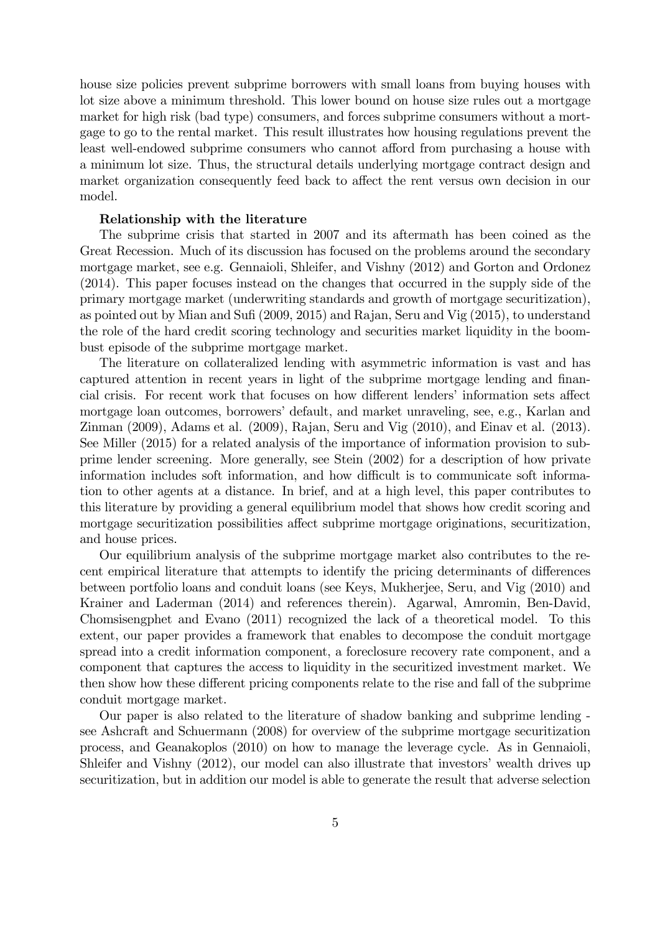house size policies prevent subprime borrowers with small loans from buying houses with lot size above a minimum threshold. This lower bound on house size rules out a mortgage market for high risk (bad type) consumers, and forces subprime consumers without a mortgage to go to the rental market. This result illustrates how housing regulations prevent the least well-endowed subprime consumers who cannot afford from purchasing a house with a minimum lot size. Thus, the structural details underlying mortgage contract design and market organization consequently feed back to affect the rent versus own decision in our model.

#### Relationship with the literature

The subprime crisis that started in 2007 and its aftermath has been coined as the Great Recession. Much of its discussion has focused on the problems around the secondary mortgage market, see e.g. Gennaioli, Shleifer, and Vishny (2012) and Gorton and Ordonez (2014). This paper focuses instead on the changes that occurred in the supply side of the primary mortgage market (underwriting standards and growth of mortgage securitization), as pointed out by Mian and Sufi  $(2009, 2015)$  and Rajan, Seru and Vig  $(2015)$ , to understand the role of the hard credit scoring technology and securities market liquidity in the boombust episode of the subprime mortgage market.

The literature on collateralized lending with asymmetric information is vast and has captured attention in recent years in light of the subprime mortgage lending and financial crisis. For recent work that focuses on how different lenders' information sets affect mortgage loan outcomes, borrowers' default, and market unraveling, see, e.g., Karlan and Zinman (2009), Adams et al. (2009), Rajan, Seru and Vig (2010), and Einav et al. (2013). See Miller (2015) for a related analysis of the importance of information provision to subprime lender screening. More generally, see Stein (2002) for a description of how private information includes soft information, and how difficult is to communicate soft information to other agents at a distance. In brief, and at a high level, this paper contributes to this literature by providing a general equilibrium model that shows how credit scoring and mortgage securitization possibilities affect subprime mortgage originations, securitization, and house prices.

Our equilibrium analysis of the subprime mortgage market also contributes to the recent empirical literature that attempts to identify the pricing determinants of differences between portfolio loans and conduit loans (see Keys, Mukherjee, Seru, and Vig (2010) and Krainer and Laderman (2014) and references therein). Agarwal, Amromin, Ben-David, Chomsisengphet and Evano (2011) recognized the lack of a theoretical model. To this extent, our paper provides a framework that enables to decompose the conduit mortgage spread into a credit information component, a foreclosure recovery rate component, and a component that captures the access to liquidity in the securitized investment market. We then show how these different pricing components relate to the rise and fall of the subprime conduit mortgage market.

Our paper is also related to the literature of shadow banking and subprime lending see Ashcraft and Schuermann (2008) for overview of the subprime mortgage securitization process, and Geanakoplos (2010) on how to manage the leverage cycle. As in Gennaioli, Shleifer and Vishny (2012), our model can also illustrate that investors' wealth drives up securitization, but in addition our model is able to generate the result that adverse selection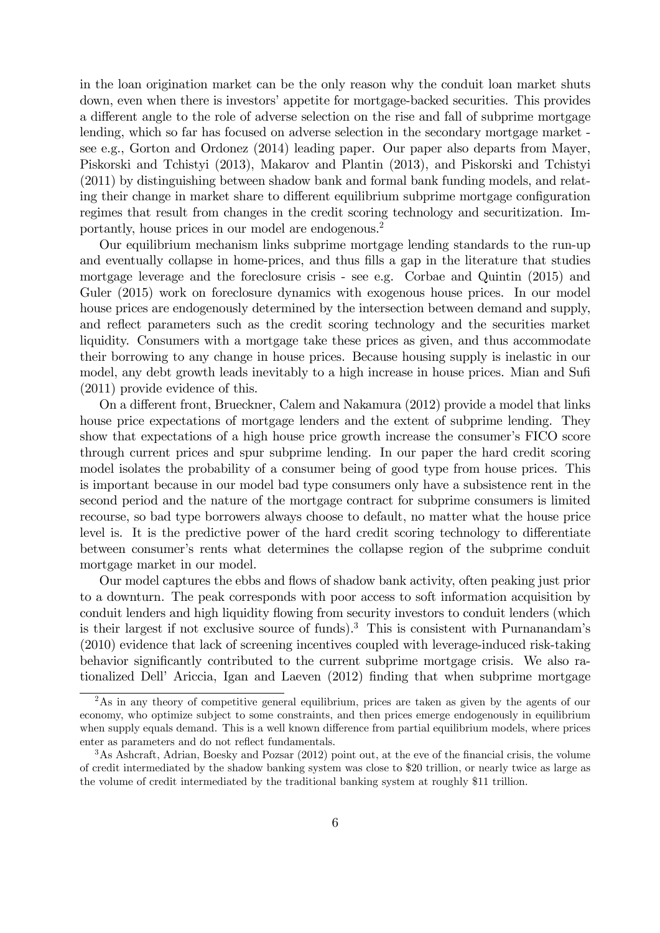in the loan origination market can be the only reason why the conduit loan market shuts down, even when there is investors' appetite for mortgage-backed securities. This provides a different angle to the role of adverse selection on the rise and fall of subprime mortgage lending, which so far has focused on adverse selection in the secondary mortgage market see e.g., Gorton and Ordonez (2014) leading paper. Our paper also departs from Mayer, Piskorski and Tchistyi (2013), Makarov and Plantin (2013), and Piskorski and Tchistyi (2011) by distinguishing between shadow bank and formal bank funding models, and relating their change in market share to different equilibrium subprime mortgage configuration regimes that result from changes in the credit scoring technology and securitization. Importantly, house prices in our model are endogenous.<sup>2</sup>

Our equilibrium mechanism links subprime mortgage lending standards to the run-up and eventually collapse in home-prices, and thus fills a gap in the literature that studies mortgage leverage and the foreclosure crisis - see e.g. Corbae and Quintin (2015) and Guler (2015) work on foreclosure dynamics with exogenous house prices. In our model house prices are endogenously determined by the intersection between demand and supply, and reflect parameters such as the credit scoring technology and the securities market liquidity. Consumers with a mortgage take these prices as given, and thus accommodate their borrowing to any change in house prices. Because housing supply is inelastic in our model, any debt growth leads inevitably to a high increase in house prices. Mian and Sufi (2011) provide evidence of this.

On a different front, Brueckner, Calem and Nakamura (2012) provide a model that links house price expectations of mortgage lenders and the extent of subprime lending. They show that expectations of a high house price growth increase the consumer's FICO score through current prices and spur subprime lending. In our paper the hard credit scoring model isolates the probability of a consumer being of good type from house prices. This is important because in our model bad type consumers only have a subsistence rent in the second period and the nature of the mortgage contract for subprime consumers is limited recourse, so bad type borrowers always choose to default, no matter what the house price level is. It is the predictive power of the hard credit scoring technology to differentiate between consumerís rents what determines the collapse region of the subprime conduit mortgage market in our model.

Our model captures the ebbs and flows of shadow bank activity, often peaking just prior to a downturn. The peak corresponds with poor access to soft information acquisition by conduit lenders and high liquidity flowing from security investors to conduit lenders (which is their largest if not exclusive source of funds).<sup>3</sup> This is consistent with Purnanandam's (2010) evidence that lack of screening incentives coupled with leverage-induced risk-taking behavior significantly contributed to the current subprime mortgage crisis. We also rationalized Dell' Ariccia, Igan and Laeven (2012) finding that when subprime mortgage

<sup>&</sup>lt;sup>2</sup>As in any theory of competitive general equilibrium, prices are taken as given by the agents of our economy, who optimize subject to some constraints, and then prices emerge endogenously in equilibrium when supply equals demand. This is a well known difference from partial equilibrium models, where prices enter as parameters and do not reflect fundamentals.

 $3$ As Ashcraft, Adrian, Boesky and Pozsar (2012) point out, at the eve of the financial crisis, the volume of credit intermediated by the shadow banking system was close to \$20 trillion, or nearly twice as large as the volume of credit intermediated by the traditional banking system at roughly \$11 trillion.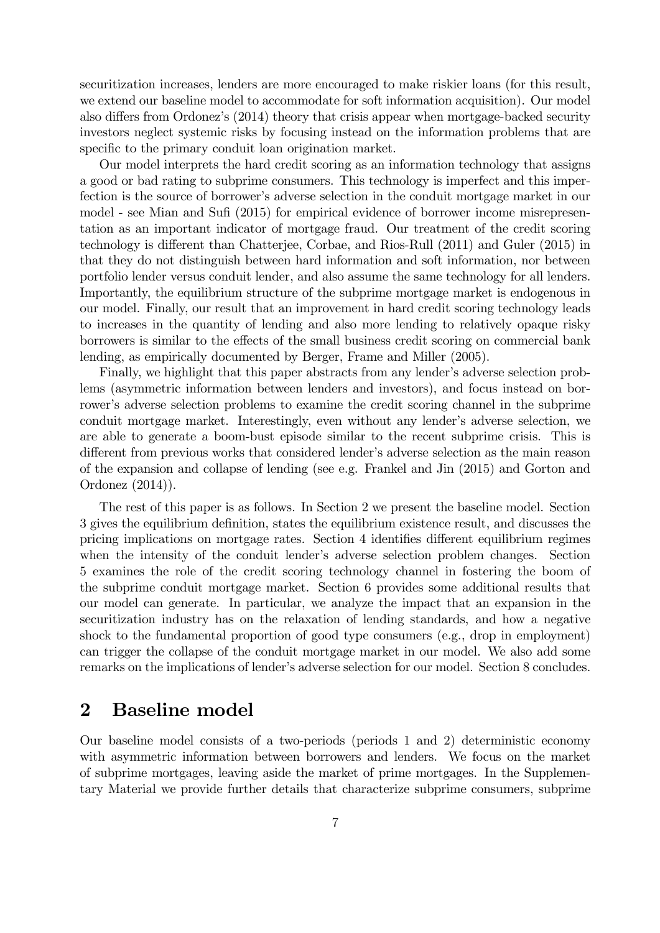securitization increases, lenders are more encouraged to make riskier loans (for this result, we extend our baseline model to accommodate for soft information acquisition). Our model also differs from Ordonez's (2014) theory that crisis appear when mortgage-backed security investors neglect systemic risks by focusing instead on the information problems that are specific to the primary conduit loan origination market.

Our model interprets the hard credit scoring as an information technology that assigns a good or bad rating to subprime consumers. This technology is imperfect and this imperfection is the source of borrower's adverse selection in the conduit mortgage market in our model - see Mian and Sufi (2015) for empirical evidence of borrower income misrepresentation as an important indicator of mortgage fraud. Our treatment of the credit scoring technology is different than Chatterjee, Corbae, and Rios-Rull (2011) and Guler (2015) in that they do not distinguish between hard information and soft information, nor between portfolio lender versus conduit lender, and also assume the same technology for all lenders. Importantly, the equilibrium structure of the subprime mortgage market is endogenous in our model. Finally, our result that an improvement in hard credit scoring technology leads to increases in the quantity of lending and also more lending to relatively opaque risky borrowers is similar to the effects of the small business credit scoring on commercial bank lending, as empirically documented by Berger, Frame and Miller (2005).

Finally, we highlight that this paper abstracts from any lender's adverse selection problems (asymmetric information between lenders and investors), and focus instead on borrower's adverse selection problems to examine the credit scoring channel in the subprime conduit mortgage market. Interestingly, even without any lender's adverse selection, we are able to generate a boom-bust episode similar to the recent subprime crisis. This is different from previous works that considered lender's adverse selection as the main reason of the expansion and collapse of lending (see e.g. Frankel and Jin (2015) and Gorton and Ordonez (2014)).

The rest of this paper is as follows. In Section 2 we present the baseline model. Section 3 gives the equilibrium definition, states the equilibrium existence result, and discusses the pricing implications on mortgage rates. Section 4 identifies different equilibrium regimes when the intensity of the conduit lender's adverse selection problem changes. Section 5 examines the role of the credit scoring technology channel in fostering the boom of the subprime conduit mortgage market. Section 6 provides some additional results that our model can generate. In particular, we analyze the impact that an expansion in the securitization industry has on the relaxation of lending standards, and how a negative shock to the fundamental proportion of good type consumers (e.g., drop in employment) can trigger the collapse of the conduit mortgage market in our model. We also add some remarks on the implications of lender's adverse selection for our model. Section 8 concludes.

## 2 Baseline model

Our baseline model consists of a two-periods (periods 1 and 2) deterministic economy with asymmetric information between borrowers and lenders. We focus on the market of subprime mortgages, leaving aside the market of prime mortgages. In the Supplementary Material we provide further details that characterize subprime consumers, subprime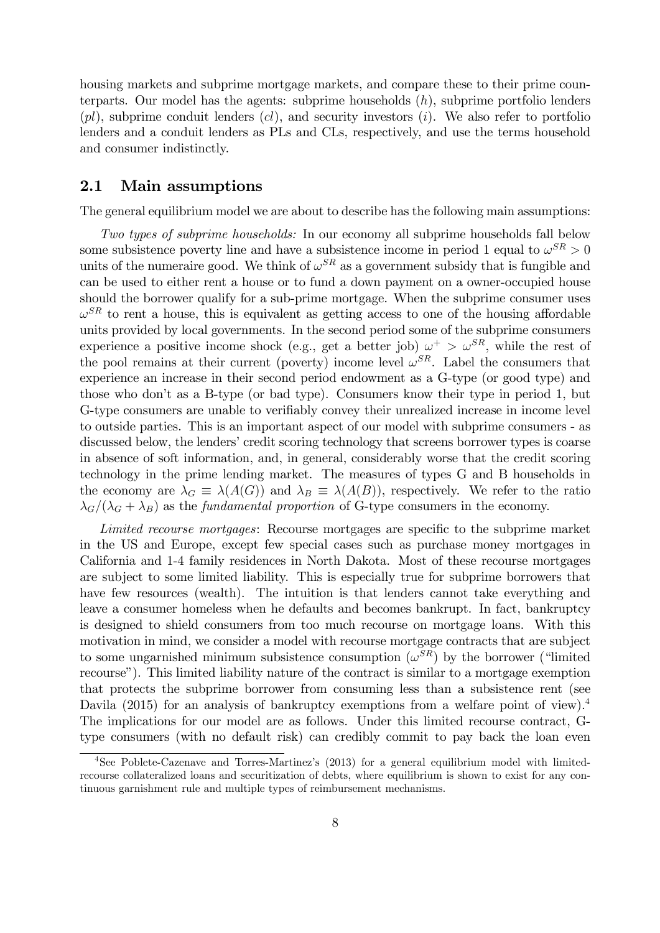housing markets and subprime mortgage markets, and compare these to their prime counterparts. Our model has the agents: subprime households  $(h)$ , subprime portfolio lenders  $(pl)$ , subprime conduit lenders  $(cl)$ , and security investors  $(i)$ . We also refer to portfolio lenders and a conduit lenders as PLs and CLs, respectively, and use the terms household and consumer indistinctly.

### 2.1 Main assumptions

The general equilibrium model we are about to describe has the following main assumptions:

Two types of subprime households: In our economy all subprime households fall below some subsistence poverty line and have a subsistence income in period 1 equal to  $\omega^{SR} > 0$ units of the numeraire good. We think of  $\omega^{SR}$  as a government subsidy that is fungible and can be used to either rent a house or to fund a down payment on a owner-occupied house should the borrower qualify for a sub-prime mortgage. When the subprime consumer uses  $\omega^{SR}$  to rent a house, this is equivalent as getting access to one of the housing affordable units provided by local governments. In the second period some of the subprime consumers experience a positive income shock (e.g., get a better job)  $\omega^+ > \omega^{SR}$ , while the rest of the pool remains at their current (poverty) income level  $\omega^{SR}$ . Label the consumers that experience an increase in their second period endowment as a G-type (or good type) and those who donít as a B-type (or bad type). Consumers know their type in period 1, but G-type consumers are unable to verifiably convey their unrealized increase in income level to outside parties. This is an important aspect of our model with subprime consumers - as discussed below, the lenders' credit scoring technology that screens borrower types is coarse in absence of soft information, and, in general, considerably worse that the credit scoring technology in the prime lending market. The measures of types G and B households in the economy are  $\lambda_G = \lambda(A(G))$  and  $\lambda_B = \lambda(A(B))$ , respectively. We refer to the ratio  $\lambda_G/(\lambda_G + \lambda_B)$  as the fundamental proportion of G-type consumers in the economy.

Limited recourse mortgages: Recourse mortgages are specific to the subprime market in the US and Europe, except few special cases such as purchase money mortgages in California and 1-4 family residences in North Dakota. Most of these recourse mortgages are subject to some limited liability. This is especially true for subprime borrowers that have few resources (wealth). The intuition is that lenders cannot take everything and leave a consumer homeless when he defaults and becomes bankrupt. In fact, bankruptcy is designed to shield consumers from too much recourse on mortgage loans. With this motivation in mind, we consider a model with recourse mortgage contracts that are subject to some ungarnished minimum subsistence consumption  $(\omega^{SR})$  by the borrower ("limited recourse"). This limited liability nature of the contract is similar to a mortgage exemption that protects the subprime borrower from consuming less than a subsistence rent (see Davila (2015) for an analysis of bankruptcy exemptions from a welfare point of view).<sup>4</sup> The implications for our model are as follows. Under this limited recourse contract, Gtype consumers (with no default risk) can credibly commit to pay back the loan even

<sup>4</sup>See Poblete-Cazenave and Torres-Martinezís (2013) for a general equilibrium model with limitedrecourse collateralized loans and securitization of debts, where equilibrium is shown to exist for any continuous garnishment rule and multiple types of reimbursement mechanisms.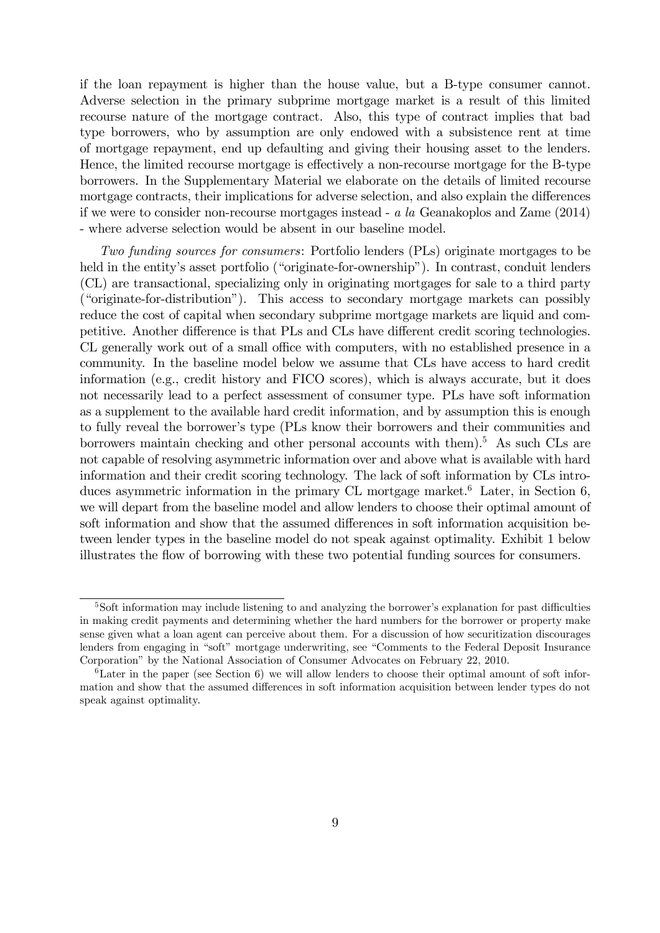if the loan repayment is higher than the house value, but a B-type consumer cannot. Adverse selection in the primary subprime mortgage market is a result of this limited recourse nature of the mortgage contract. Also, this type of contract implies that bad type borrowers, who by assumption are only endowed with a subsistence rent at time of mortgage repayment, end up defaulting and giving their housing asset to the lenders. Hence, the limited recourse mortgage is effectively a non-recourse mortgage for the B-type borrowers. In the Supplementary Material we elaborate on the details of limited recourse mortgage contracts, their implications for adverse selection, and also explain the differences if we were to consider non-recourse mortgages instead - a la Geanakoplos and Zame (2014) - where adverse selection would be absent in our baseline model.

Two funding sources for consumers: Portfolio lenders (PLs) originate mortgages to be held in the entity's asset portfolio ("originate-for-ownership"). In contrast, conduit lenders (CL) are transactional, specializing only in originating mortgages for sale to a third party ("originate-for-distribution"). This access to secondary mortgage markets can possibly reduce the cost of capital when secondary subprime mortgage markets are liquid and competitive. Another difference is that PLs and CLs have different credit scoring technologies. CL generally work out of a small office with computers, with no established presence in a community. In the baseline model below we assume that CLs have access to hard credit information (e.g., credit history and FICO scores), which is always accurate, but it does not necessarily lead to a perfect assessment of consumer type. PLs have soft information as a supplement to the available hard credit information, and by assumption this is enough to fully reveal the borrower's type (PLs know their borrowers and their communities and borrowers maintain checking and other personal accounts with them).<sup>5</sup> As such CLs are not capable of resolving asymmetric information over and above what is available with hard information and their credit scoring technology. The lack of soft information by CLs introduces asymmetric information in the primary CL mortgage market.<sup>6</sup> Later, in Section 6, we will depart from the baseline model and allow lenders to choose their optimal amount of soft information and show that the assumed differences in soft information acquisition between lender types in the baseline model do not speak against optimality. Exhibit 1 below illustrates the flow of borrowing with these two potential funding sources for consumers.

 $5S$ oft information may include listening to and analyzing the borrower's explanation for past difficulties in making credit payments and determining whether the hard numbers for the borrower or property make sense given what a loan agent can perceive about them. For a discussion of how securitization discourages lenders from engaging in "soft" mortgage underwriting, see "Comments to the Federal Deposit Insurance Corporationî by the National Association of Consumer Advocates on February 22, 2010.

 ${}^{6}$ Later in the paper (see Section 6) we will allow lenders to choose their optimal amount of soft information and show that the assumed differences in soft information acquisition between lender types do not speak against optimality.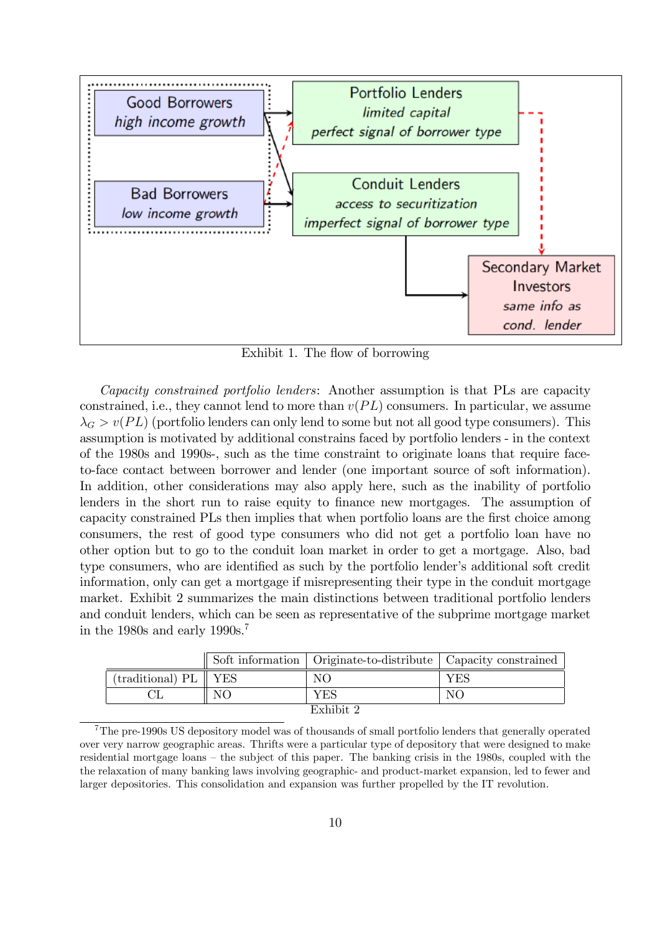

Exhibit 1. The flow of borrowing

Capacity constrained portfolio lenders: Another assumption is that PLs are capacity constrained, i.e., they cannot lend to more than  $v(PL)$  consumers. In particular, we assume  $\lambda_G > v(PL)$  (portfolio lenders can only lend to some but not all good type consumers). This assumption is motivated by additional constrains faced by portfolio lenders - in the context of the 1980s and 1990s-, such as the time constraint to originate loans that require faceto-face contact between borrower and lender (one important source of soft information). In addition, other considerations may also apply here, such as the inability of portfolio lenders in the short run to raise equity to finance new mortgages. The assumption of capacity constrained PLs then implies that when portfolio loans are the first choice among consumers, the rest of good type consumers who did not get a portfolio loan have no other option but to go to the conduit loan market in order to get a mortgage. Also, bad type consumers, who are identified as such by the portfolio lender's additional soft credit information, only can get a mortgage if misrepresenting their type in the conduit mortgage market. Exhibit 2 summarizes the main distinctions between traditional portfolio lenders and conduit lenders, which can be seen as representative of the subprime mortgage market in the 1980s and early 1990s.<sup>7</sup>

|                        |    | Soft information   Originate-to-distribute   Capacity constrained |     |  |  |
|------------------------|----|-------------------------------------------------------------------|-----|--|--|
| $(traditional) PL$ YES |    | NO.                                                               | YES |  |  |
|                        | NO | YES                                                               | NO  |  |  |
| Exhibit 2              |    |                                                                   |     |  |  |

<sup>7</sup>The pre-1990s US depository model was of thousands of small portfolio lenders that generally operated over very narrow geographic areas. Thrifts were a particular type of depository that were designed to make residential mortgage loans – the subject of this paper. The banking crisis in the 1980s, coupled with the the relaxation of many banking laws involving geographic- and product-market expansion, led to fewer and larger depositories. This consolidation and expansion was further propelled by the IT revolution.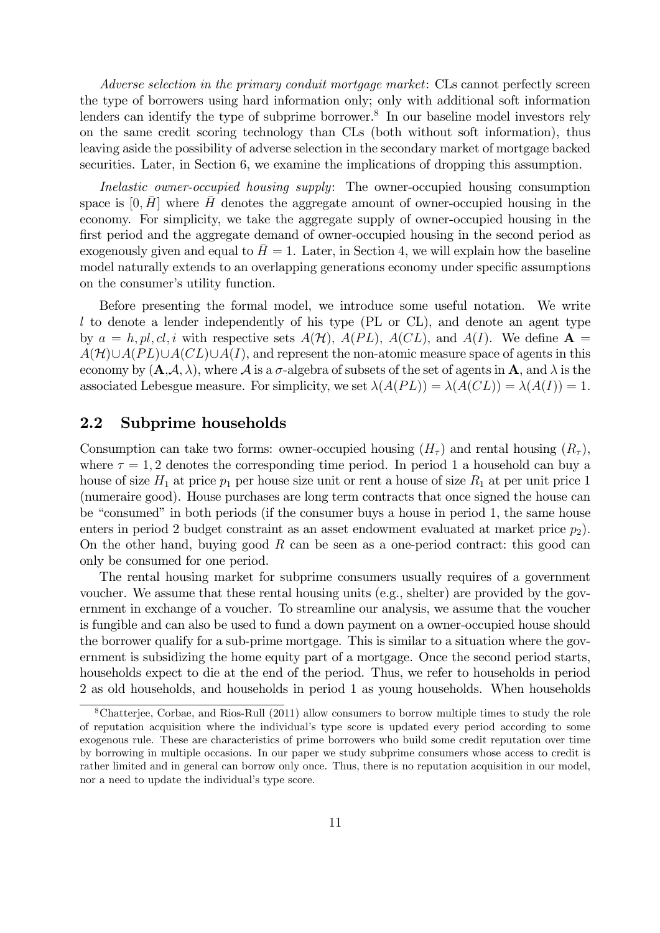Adverse selection in the primary conduit mortgage market: CLs cannot perfectly screen the type of borrowers using hard information only; only with additional soft information lenders can identify the type of subprime borrower.<sup>8</sup> In our baseline model investors rely on the same credit scoring technology than CLs (both without soft information), thus leaving aside the possibility of adverse selection in the secondary market of mortgage backed securities. Later, in Section 6, we examine the implications of dropping this assumption.

Inelastic owner-occupied housing supply: The owner-occupied housing consumption space is  $[0, H]$  where H denotes the aggregate amount of owner-occupied housing in the economy. For simplicity, we take the aggregate supply of owner-occupied housing in the first period and the aggregate demand of owner-occupied housing in the second period as exogenously given and equal to  $\bar{H} = 1$ . Later, in Section 4, we will explain how the baseline model naturally extends to an overlapping generations economy under specific assumptions on the consumer's utility function.

Before presenting the formal model, we introduce some useful notation. We write l to denote a lender independently of his type (PL or CL), and denote an agent type by  $a = h, pl, cl, i$  with respective sets  $A(\mathcal{H})$ ,  $A(PL)$ ,  $A(CL)$ , and  $A(I)$ . We define  $\mathbf{A} =$  $A(\mathcal{H}) \cup A(PL) \cup A(CL) \cup A(I)$ , and represent the non-atomic measure space of agents in this economy by  $(A, \mathcal{A}, \lambda)$ , where  $\mathcal{A}$  is a  $\sigma$ -algebra of subsets of the set of agents in A, and  $\lambda$  is the associated Lebesgue measure. For simplicity, we set  $\lambda(A(PL)) = \lambda(A(CL)) = \lambda(A(I)) = 1$ .

### 2.2 Subprime households

Consumption can take two forms: owner-occupied housing  $(H<sub>\tau</sub>)$  and rental housing  $(R<sub>\tau</sub>)$ , where  $\tau = 1, 2$  denotes the corresponding time period. In period 1 a household can buy a house of size  $H_1$  at price  $p_1$  per house size unit or rent a house of size  $R_1$  at per unit price 1 (numeraire good). House purchases are long term contracts that once signed the house can be "consumed" in both periods (if the consumer buys a house in period 1, the same house enters in period 2 budget constraint as an asset endowment evaluated at market price  $p_2$ ). On the other hand, buying good  $R$  can be seen as a one-period contract: this good can only be consumed for one period.

The rental housing market for subprime consumers usually requires of a government voucher. We assume that these rental housing units (e.g., shelter) are provided by the government in exchange of a voucher. To streamline our analysis, we assume that the voucher is fungible and can also be used to fund a down payment on a owner-occupied house should the borrower qualify for a sub-prime mortgage. This is similar to a situation where the government is subsidizing the home equity part of a mortgage. Once the second period starts, households expect to die at the end of the period. Thus, we refer to households in period 2 as old households, and households in period 1 as young households. When households

<sup>8</sup>Chatterjee, Corbae, and Rios-Rull (2011) allow consumers to borrow multiple times to study the role of reputation acquisition where the individualís type score is updated every period according to some exogenous rule. These are characteristics of prime borrowers who build some credit reputation over time by borrowing in multiple occasions. In our paper we study subprime consumers whose access to credit is rather limited and in general can borrow only once. Thus, there is no reputation acquisition in our model, nor a need to update the individual's type score.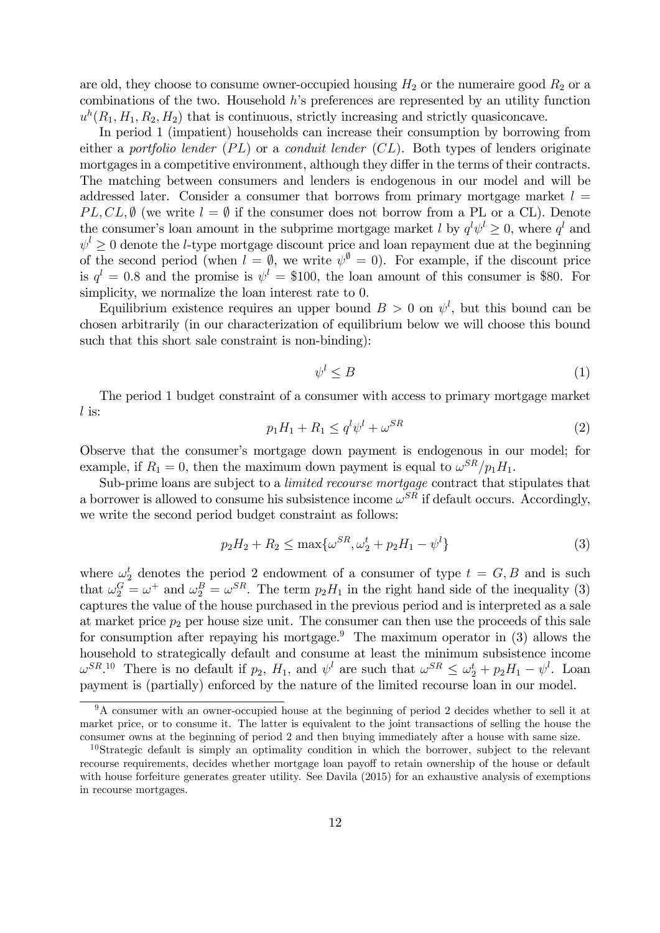are old, they choose to consume owner-occupied housing  $H_2$  or the numeraire good  $R_2$  or a combinations of the two. Household  $h$ 's preferences are represented by an utility function  $u<sup>h</sup>(R<sub>1</sub>, H<sub>1</sub>, R<sub>2</sub>, H<sub>2</sub>)$  that is continuous, strictly increasing and strictly quasiconcave.

In period 1 (impatient) households can increase their consumption by borrowing from either a portfolio lender  $(PL)$  or a conduit lender  $(CL)$ . Both types of lenders originate mortgages in a competitive environment, although they differ in the terms of their contracts. The matching between consumers and lenders is endogenous in our model and will be addressed later. Consider a consumer that borrows from primary mortgage market  $l =$ PL, CL,  $\emptyset$  (we write  $l = \emptyset$  if the consumer does not borrow from a PL or a CL). Denote the consumer's loan amount in the subprime mortgage market l by  $q^l \psi^l \geq 0$ , where  $q^l$  and  $\psi^l \geq 0$  denote the *l*-type mortgage discount price and loan repayment due at the beginning of the second period (when  $l = \emptyset$ , we write  $\psi^{\emptyset} = 0$ ). For example, if the discount price is  $q^l = 0.8$  and the promise is  $\psi^l = \$100$ , the loan amount of this consumer is \$80. For simplicity, we normalize the loan interest rate to 0.

Equilibrium existence requires an upper bound  $B > 0$  on  $\psi^l$ , but this bound can be chosen arbitrarily (in our characterization of equilibrium below we will choose this bound such that this short sale constraint is non-binding):

$$
\psi^l \leq B \tag{1}
$$

The period 1 budget constraint of a consumer with access to primary mortgage market l is:

$$
p_1H_1 + R_1 \le q^l \psi^l + \omega^{SR} \tag{2}
$$

Observe that the consumer's mortgage down payment is endogenous in our model; for example, if  $R_1 = 0$ , then the maximum down payment is equal to  $\omega^{SR}/p_1H_1$ .

Sub-prime loans are subject to a limited recourse mortgage contract that stipulates that a borrower is allowed to consume his subsistence income  $\omega^{SR}$  if default occurs. Accordingly, we write the second period budget constraint as follows:

$$
p_2H_2 + R_2 \le \max\{\omega^{SR}, \omega_2^t + p_2H_1 - \psi^l\}
$$
 (3)

where  $\omega_2^t$  denotes the period 2 endowment of a consumer of type  $t = G, B$  and is such that  $\omega_2^G = \omega^+$  and  $\omega_2^B = \omega^{SR}$ . The term  $p_2H_1$  in the right hand side of the inequality (3) captures the value of the house purchased in the previous period and is interpreted as a sale at market price  $p_2$  per house size unit. The consumer can then use the proceeds of this sale for consumption after repaying his mortgage.<sup>9</sup> The maximum operator in (3) allows the household to strategically default and consume at least the minimum subsistence income  $\omega^{SR}$ <sup>10</sup> There is no default if  $p_2$ ,  $H_1$ , and  $\psi^l$  are such that  $\omega^{SR} \leq \omega_2^t + p_2H_1 - \psi^l$ . Loan payment is (partially) enforced by the nature of the limited recourse loan in our model.

<sup>&</sup>lt;sup>9</sup>A consumer with an owner-occupied house at the beginning of period 2 decides whether to sell it at market price, or to consume it. The latter is equivalent to the joint transactions of selling the house the consumer owns at the beginning of period 2 and then buying immediately after a house with same size.

<sup>&</sup>lt;sup>10</sup>Strategic default is simply an optimality condition in which the borrower, subject to the relevant recourse requirements, decides whether mortgage loan payoff to retain ownership of the house or default with house forfeiture generates greater utility. See Davila (2015) for an exhaustive analysis of exemptions in recourse mortgages.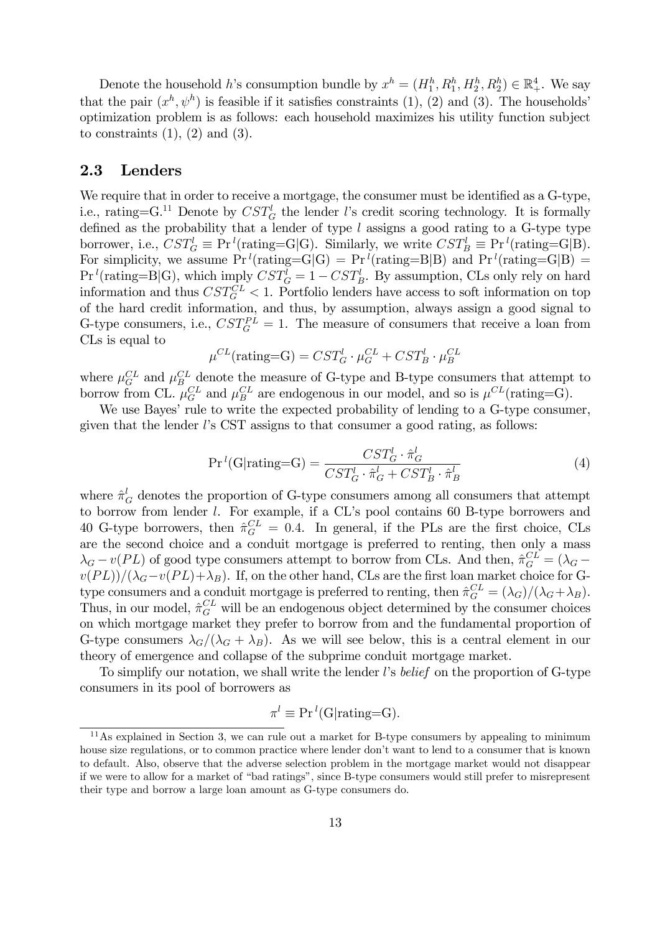Denote the household h's consumption bundle by  $x^h = (H_1^h, R_1^h, H_2^h, R_2^h) \in \mathbb{R}_+^4$ . We say that the pair  $(x^h, \psi^h)$  is feasible if it satisfies constraints (1), (2) and (3). The households' optimization problem is as follows: each household maximizes his utility function subject to constraints  $(1)$ ,  $(2)$  and  $(3)$ .

### 2.3 Lenders

We require that in order to receive a mortgage, the consumer must be identified as a G-type, i.e., rating=G.<sup>11</sup> Denote by  $CST_G^l$  the lender l's credit scoring technology. It is formally defined as the probability that a lender of type  $l$  assigns a good rating to a G-type type borrower, i.e.,  $CST_G^l \equiv \Pr^l(\text{rating}=G|G)$ . Similarly, we write  $CST_B^l \equiv \Pr^l(\text{rating}=G|B)$ . For simplicity, we assume  $Pr<sup>l</sup>(\text{rating}=G|G) = Pr<sup>l</sup>(\text{rating}=B|B)$  and  $Pr<sup>l</sup>(\text{rating}=G|B) =$  $\Pr^l(\text{rating}=B|G)$ , which imply  $CST_G^l = 1 - CST_B^l$ . By assumption, CLs only rely on hard information and thus  $CST_G^{CL} < 1$ . Portfolio lenders have access to soft information on top of the hard credit information, and thus, by assumption, always assign a good signal to G-type consumers, i.e.,  $CST_G^{PL} = 1$ . The measure of consumers that receive a loan from CLs is equal to

$$
\mu^{CL}(\text{rating}=G) = SST_G^l \cdot \mu_G^{CL} + CST_B^l \cdot \mu_B^{CL}
$$

where  $\mu_G^{CL}$  and  $\mu_B^{CL}$  denote the measure of G-type and B-type consumers that attempt to borrow from CL.  $\mu_G^{CL}$  and  $\mu_B^{CL}$  are endogenous in our model, and so is  $\mu^{CL}$ (rating=G).

We use Bayes' rule to write the expected probability of lending to a G-type consumer, given that the lender  $l$ 's CST assigns to that consumer a good rating, as follows:

$$
Prl(G|rating=G) = \frac{CST_G^l \cdot \hat{\pi}_G^l}{CST_G^l \cdot \hat{\pi}_G^l + CST_B^l \cdot \hat{\pi}_B^l}
$$
(4)

where  $\hat{\pi}^l_G$  denotes the proportion of G-type consumers among all consumers that attempt to borrow from lender  $l$ . For example, if a CL's pool contains 60 B-type borrowers and 40 G-type borrowers, then  $\hat{\pi}_G^{CL} = 0.4$ . In general, if the PLs are the first choice, CLs are the second choice and a conduit mortgage is preferred to renting, then only a mass  $\lambda_G - v(PL)$  of good type consumers attempt to borrow from CLs. And then,  $\hat{\pi}_G^{CL} = (\lambda_G$  $v(PL)/(\lambda_G - v(PL) + \lambda_B)$ . If, on the other hand, CLs are the first loan market choice for Gtype consumers and a conduit mortgage is preferred to renting, then  $\hat{\pi}_G^{CL} = (\lambda_G)/(\lambda_G + \lambda_B)$ . Thus, in our model,  $\hat{\pi}_G^{CL}$  will be an endogenous object determined by the consumer choices on which mortgage market they prefer to borrow from and the fundamental proportion of G-type consumers  $\lambda_G/(\lambda_G + \lambda_B)$ . As we will see below, this is a central element in our theory of emergence and collapse of the subprime conduit mortgage market.

To simplify our notation, we shall write the lender l's belief on the proportion of G-type consumers in its pool of borrowers as

$$
\pi^l \equiv \Pr^{l}(G|\text{rating}=G).
$$

<sup>&</sup>lt;sup>11</sup>As explained in Section 3, we can rule out a market for B-type consumers by appealing to minimum house size regulations, or to common practice where lender don't want to lend to a consumer that is known to default. Also, observe that the adverse selection problem in the mortgage market would not disappear if we were to allow for a market of "bad ratings", since B-type consumers would still prefer to misrepresent their type and borrow a large loan amount as G-type consumers do.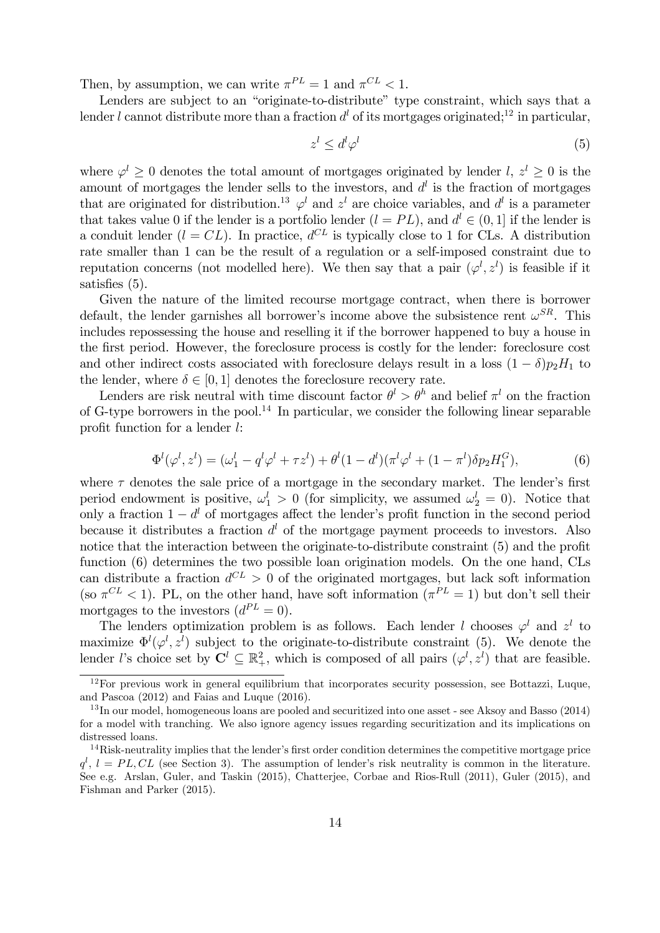Then, by assumption, we can write  $\pi^{PL} = 1$  and  $\pi^{CL} < 1$ .

Lenders are subject to an "originate-to-distribute" type constraint, which says that a lender l cannot distribute more than a fraction  $d<sup>l</sup>$  of its mortgages originated;<sup>12</sup> in particular,

$$
z^l \le d^l \varphi^l \tag{5}
$$

where  $\varphi^l \geq 0$  denotes the total amount of mortgages originated by lender  $l, z^l \geq 0$  is the amount of mortgages the lender sells to the investors, and  $d<sup>l</sup>$  is the fraction of mortgages that are originated for distribution.<sup>13</sup>  $\varphi^l$  and  $z^l$  are choice variables, and  $d^l$  is a parameter that takes value 0 if the lender is a portfolio lender  $(l = PL)$ , and  $d^{l} \in (0, 1]$  if the lender is a conduit lender  $(l = CL)$ . In practice,  $d^{CL}$  is typically close to 1 for CLs. A distribution rate smaller than 1 can be the result of a regulation or a self-imposed constraint due to reputation concerns (not modelled here). We then say that a pair  $(\varphi^l, z^l)$  is feasible if it satisfies  $(5)$ .

Given the nature of the limited recourse mortgage contract, when there is borrower default, the lender garnishes all borrower's income above the subsistence rent  $\omega^{SR}$ . This includes repossessing the house and reselling it if the borrower happened to buy a house in the first period. However, the foreclosure process is costly for the lender: foreclosure cost and other indirect costs associated with foreclosure delays result in a loss  $(1 - \delta)p_2H_1$  to the lender, where  $\delta \in [0, 1]$  denotes the foreclosure recovery rate.

Lenders are risk neutral with time discount factor  $\theta^l > \theta^h$  and belief  $\pi^l$  on the fraction of G-type borrowers in the pool.<sup>14</sup> In particular, we consider the following linear separable profit function for a lender  $l$ :

$$
\Phi^{l}(\varphi^{l}, z^{l}) = (\omega_{1}^{l} - q^{l}\varphi^{l} + \tau z^{l}) + \theta^{l}(1 - d^{l})(\pi^{l}\varphi^{l} + (1 - \pi^{l})\delta p_{2}H_{1}^{G}),
$$
\n(6)

where  $\tau$  denotes the sale price of a mortgage in the secondary market. The lender's first period endowment is positive,  $\omega_1^l > 0$  (for simplicity, we assumed  $\omega_2^l = 0$ ). Notice that only a fraction  $1 - d^l$  of mortgages affect the lender's profit function in the second period because it distributes a fraction  $d<sup>l</sup>$  of the mortgage payment proceeds to investors. Also notice that the interaction between the originate-to-distribute constraint (5) and the profit function (6) determines the two possible loan origination models. On the one hand, CLs can distribute a fraction  $d^{CL} > 0$  of the originated mortgages, but lack soft information (so  $\pi^{CL}$  < 1). PL, on the other hand, have soft information ( $\pi^{PL} = 1$ ) but don't sell their mortgages to the investors  $(d^{PL} = 0)$ .

The lenders optimization problem is as follows. Each lender l chooses  $\varphi^l$  and  $z^l$  to maximize  $\Phi^l(\varphi^l, z^l)$  subject to the originate-to-distribute constraint (5). We denote the lender l's choice set by  $\mathbf{C}^l \subseteq \mathbb{R}^2_+$ , which is composed of all pairs  $(\varphi^l, z^l)$  that are feasible.

<sup>12</sup>For previous work in general equilibrium that incorporates security possession, see Bottazzi, Luque, and Pascoa (2012) and Faias and Luque (2016).

 $13$  In our model, homogeneous loans are pooled and securitized into one asset - see Aksoy and Basso (2014) for a model with tranching. We also ignore agency issues regarding securitization and its implications on distressed loans.

 $14Risk-neutrality$  implies that the lender's first order condition determines the competitive mortgage price  $q^l$ ,  $l = PL, CL$  (see Section 3). The assumption of lender's risk neutrality is common in the literature. See e.g. Arslan, Guler, and Taskin (2015), Chatterjee, Corbae and Rios-Rull (2011), Guler (2015), and Fishman and Parker (2015).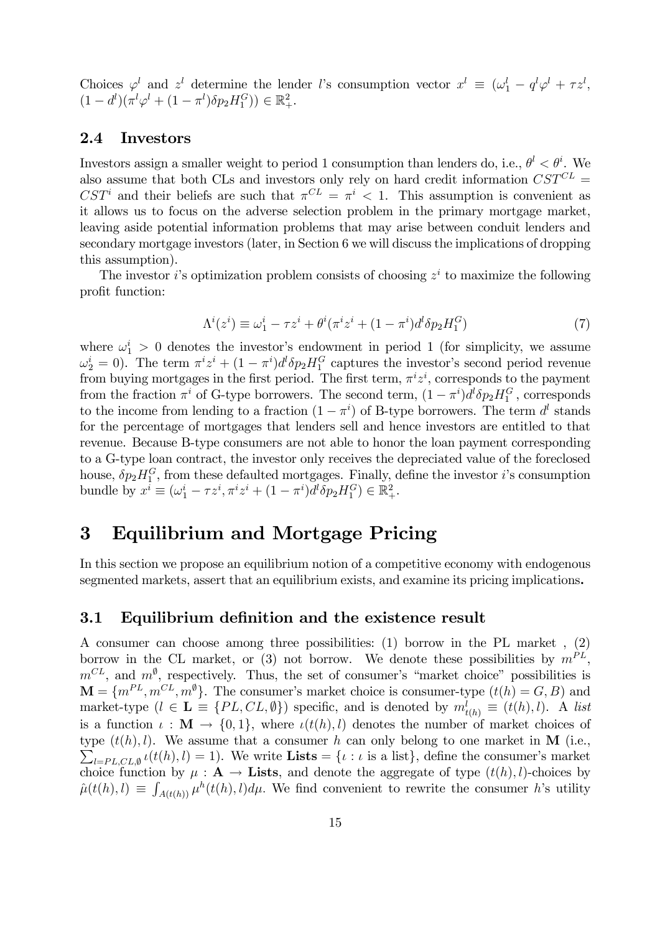Choices  $\varphi^l$  and  $z^l$  determine the lender l's consumption vector  $x^l \equiv (\omega_1^l - q^l \varphi^l + \tau z^l,$  $(1-d^{l})(\pi^{l}\varphi^{l}+(1-\pi^{l})\delta p_{2}H_{1}^{G})) \in \mathbb{R}_{+}^{2}.$ 

### 2.4 Investors

Investors assign a smaller weight to period 1 consumption than lenders do, i.e.,  $\theta^l < \theta^i$ . We also assume that both CLs and investors only rely on hard credit information  $CST^{CL}$  = CST<sup>i</sup> and their beliefs are such that  $\pi^{CL} = \pi^i < 1$ . This assumption is convenient as it allows us to focus on the adverse selection problem in the primary mortgage market, leaving aside potential information problems that may arise between conduit lenders and secondary mortgage investors (later, in Section 6 we will discuss the implications of dropping this assumption).

The investor *i*'s optimization problem consists of choosing  $z<sup>i</sup>$  to maximize the following profit function:

$$
\Lambda^{i}(z^{i}) \equiv \omega_{1}^{i} - \tau z^{i} + \theta^{i}(\pi^{i} z^{i} + (1 - \pi^{i})d^{l}\delta p_{2}H_{1}^{G})
$$
\n<sup>(7)</sup>

where  $\omega_1^i > 0$  denotes the investor's endowment in period 1 (for simplicity, we assume  $\omega_2^i = 0$ ). The term  $\pi^i z^i + (1 - \pi^i)d^l \delta p_2 H_1^G$  captures the investor's second period revenue from buying mortgages in the first period. The first term,  $\pi^i z^i$ , corresponds to the payment from the fraction  $\pi^i$  of G-type borrowers. The second term,  $(1 - \pi^i)d^l\delta p_2H_1^G$ , corresponds to the income from lending to a fraction  $(1 - \pi^i)$  of B-type borrowers. The term  $d^l$  stands for the percentage of mortgages that lenders sell and hence investors are entitled to that revenue. Because B-type consumers are not able to honor the loan payment corresponding to a G-type loan contract, the investor only receives the depreciated value of the foreclosed house,  $\delta p_2 H_1^G$ , from these defaulted mortgages. Finally, define the investor *i*'s consumption bundle by  $x^i \equiv (\omega_1^i - \tau z^i, \pi^i z^i + (1 - \pi^i)d^l\delta p_2 H_1^G) \in \mathbb{R}_+^2$ .

# 3 Equilibrium and Mortgage Pricing

In this section we propose an equilibrium notion of a competitive economy with endogenous segmented markets, assert that an equilibrium exists, and examine its pricing implications.

### 3.1 Equilibrium definition and the existence result

A consumer can choose among three possibilities: (1) borrow in the PL market , (2) borrow in the CL market, or (3) not borrow. We denote these possibilities by  $m^{PL}$ ,  $m^{CL}$ , and  $m^{\emptyset}$ , respectively. Thus, the set of consumer's "market choice" possibilities is  $\mathbf{M} = \{m^{PL}, m^{CL}, m^{\emptyset}\}.$  The consumer's market choice is consumer-type  $(t(h) = G, B)$  and market-type  $(l \in \mathbf{L} \equiv \{PL, CL, \emptyset\})$  specific, and is denoted by  $m_{t(h)}^l \equiv (t(h), l)$ . A list is a function  $\iota : \mathbf{M} \to \{0,1\}$ , where  $\iota(t(h), l)$  denotes the number of market choices of type  $(t(h), l)$ . We assume that a consumer h can only belong to one market in M (i.e.,  $\sum_{l=PL,CL, \emptyset} \iota(t(h), l) = 1$ . We write Lists =  $\{\iota : \iota \text{ is a list}\},$  define the consumer's market choice function by  $\mu : A \to$  Lists, and denote the aggregate of type  $(t(h), l)$ -choices by  $\hat{\mu}(t(h), l) \equiv \int_{A(t(h))} \mu^h(t(h), l) d\mu$ . We find convenient to rewrite the consumer h's utility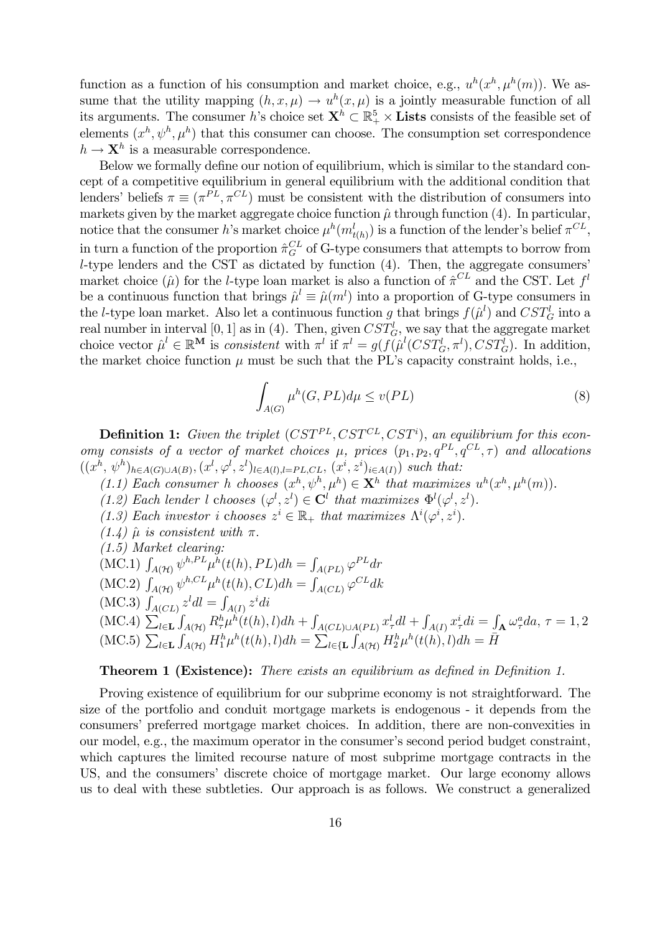function as a function of his consumption and market choice, e.g.,  $u^h(x^h, \mu^h(m))$ . We assume that the utility mapping  $(h, x, \mu) \to u^h(x, \mu)$  is a jointly measurable function of all its arguments. The consumer h's choice set  $X^h \subset \mathbb{R}^5_+ \times$  Lists consists of the feasible set of elements  $(x^h, \psi^h, \mu^h)$  that this consumer can choose. The consumption set correspondence  $h \to \mathbf{X}^h$  is a measurable correspondence.

Below we formally define our notion of equilibrium, which is similar to the standard concept of a competitive equilibrium in general equilibrium with the additional condition that lenders' beliefs  $\pi \equiv (\pi^{PL}, \pi^{CL})$  must be consistent with the distribution of consumers into markets given by the market aggregate choice function  $\hat{\mu}$  through function (4). In particular, notice that the consumer h's market choice  $\mu^h(m^l_{t(h)})$  is a function of the lender's belief  $\pi^{CL}$ , in turn a function of the proportion  $\hat{\pi}_G^{CL}$  of G-type consumers that attempts to borrow from  $l$ -type lenders and the CST as dictated by function  $(4)$ . Then, the aggregate consumers market choice  $(\hat{\mu})$  for the *l*-type loan market is also a function of  $\hat{\pi}^{CL}$  and the CST. Let  $f^l$ be a continuous function that brings  $\hat{\mu}^l \equiv \hat{\mu}(m^l)$  into a proportion of G-type consumers in the *l*-type loan market. Also let a continuous function g that brings  $f(\hat{\mu}^l)$  and  $CST_G^l$  into a real number in interval [0, 1] as in (4). Then, given  $CST_G^l$ , we say that the aggregate market choice vector  $\hat{\mu}^l \in \mathbb{R}^{\mathbf{M}}$  is consistent with  $\pi^l$  if  $\pi^l = g(f(\hat{\mu}^l(CST_G^l, \pi^l), CST_G^l))$ . In addition, the market choice function  $\mu$  must be such that the PL's capacity constraint holds, i.e.,

$$
\int_{A(G)} \mu^h(G, PL) d\mu \le v(PL) \tag{8}
$$

**Definition 1:** Given the triplet  $(CST^{PL}, CST^{CL}, CST^i)$ , an equilibrium for this economy consists of a vector of market choices  $\mu$ , prices  $(p_1, p_2, q^{PL}, q^{CL}, \tau)$  and allocations  $((x^h, \psi^h)_{h \in A(G) \cup A(B)}, (x^l, \varphi^l, z^l)_{l \in A(l), l \in PL, CL}, (x^i, z^i)_{i \in A(I)})$  such that:

- $(1.1)$  Each consumer h chooses  $(x^h, \psi^h, \mu^h) \in \mathbf{X}^h$  that maximizes  $u^h(x^h, \mu^h(m))$ .
- (1.2) Each lender l chooses  $(\varphi^l, z^l) \in \mathbf{C}^l$  that maximizes  $\Phi^l(\varphi^l, z^l)$ .
- (1.3) Each investor i chooses  $z^i \in \mathbb{R}_+$  that maximizes  $\Lambda^i(\varphi^i, z^i)$ .
- $(1.4)$   $\hat{\mu}$  is consistent with  $\pi$ .
- (1.5) Market clearing:
- (MC.1)  $\int_{A(\mathcal{H})} \psi^{h,PL} \mu^h(t(h), PL) dh = \int_{A(PL)} \varphi^{PL} dr$
- (MC.2)  $\int_{A(\mathcal{H})} \psi^{h,CL} \mu^h(t(h), CL) dh = \int_{A(CL)} \varphi^{CL} dk$
- (MC.3)  $\int_{A(CL)} z^l dl = \int_{A(I)} z^i di$
- (MC.4)  $\sum_{l\in\mathbf{L}}$  $\int_{A(\mathcal{H})} R_{\tau}^{h} \mu^{h}(t(h),l) dh + \int_{\mathcal{H}}$  $\int_{A(CL)\cup A(PL)} x_{\tau}^l dl + \int_{A(1)} x_{\tau}^i di = \int_{\mathbf{A}} \omega_{\tau}^a da, \tau = 1, 2$ (MC.5)  $\sum_{l\in\mathbf{L}}$  $\int_{A(\mathcal{H})} H_1^h \mu^h(t(h), l) dh = \sum_{l \in \{\mathbf{L}\}}$  $\int_{A(\mathcal{H})} H_2^h \mu^h(t(h), l) dh = \bar{H}$

#### **Theorem 1 (Existence):** There exists an equilibrium as defined in Definition 1.

Proving existence of equilibrium for our subprime economy is not straightforward. The size of the portfolio and conduit mortgage markets is endogenous - it depends from the consumers' preferred mortgage market choices. In addition, there are non-convexities in our model, e.g., the maximum operator in the consumer's second period budget constraint, which captures the limited recourse nature of most subprime mortgage contracts in the US, and the consumers' discrete choice of mortgage market. Our large economy allows us to deal with these subtleties. Our approach is as follows. We construct a generalized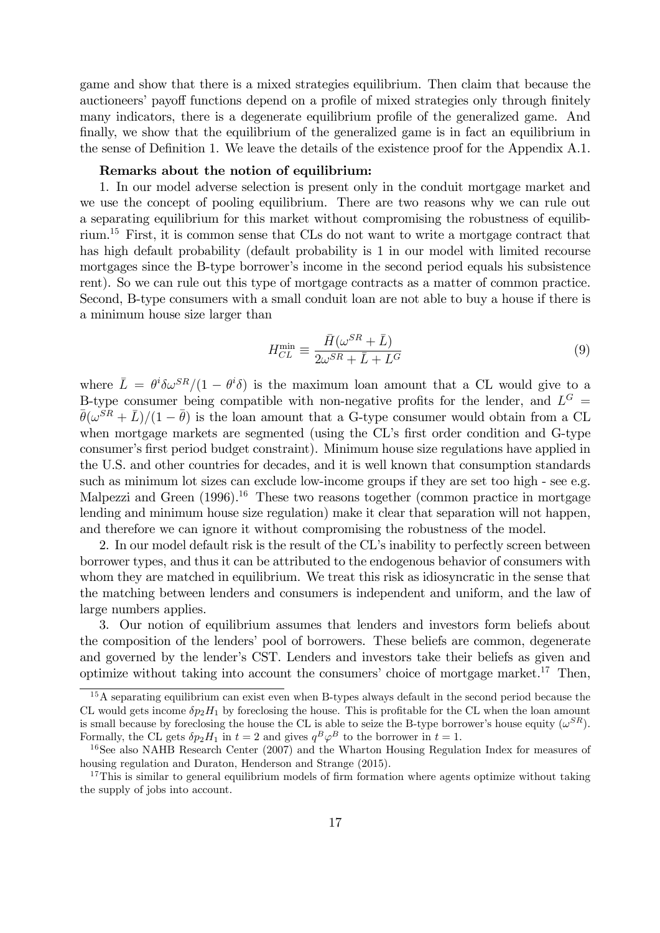game and show that there is a mixed strategies equilibrium. Then claim that because the auctioneers' payoff functions depend on a profile of mixed strategies only through finitely many indicators, there is a degenerate equilibrium profile of the generalized game. And finally, we show that the equilibrium of the generalized game is in fact an equilibrium in the sense of Definition 1. We leave the details of the existence proof for the Appendix A.1.

#### Remarks about the notion of equilibrium:

1. In our model adverse selection is present only in the conduit mortgage market and we use the concept of pooling equilibrium. There are two reasons why we can rule out a separating equilibrium for this market without compromising the robustness of equilibrium.<sup>15</sup> First, it is common sense that CLs do not want to write a mortgage contract that has high default probability (default probability is 1 in our model with limited recourse mortgages since the B-type borrower's income in the second period equals his subsistence rent). So we can rule out this type of mortgage contracts as a matter of common practice. Second, B-type consumers with a small conduit loan are not able to buy a house if there is a minimum house size larger than

$$
H_{CL}^{\min} \equiv \frac{\bar{H}(\omega^{SR} + \bar{L})}{2\omega^{SR} + \bar{L} + L^G}
$$
\n(9)

where  $\bar{L} = \theta^i \delta \omega^{SR} / (1 - \theta^i \delta)$  is the maximum loan amount that a CL would give to a B-type consumer being compatible with non-negative profits for the lender, and  $L^G$  =  $\bar{\theta}(\omega^{SR} + \bar{L})/(1 - \bar{\theta})$  is the loan amount that a G-type consumer would obtain from a CL when mortgage markets are segmented (using the CL's first order condition and G-type consumer's first period budget constraint). Minimum house size regulations have applied in the U.S. and other countries for decades, and it is well known that consumption standards such as minimum lot sizes can exclude low-income groups if they are set too high - see e.g. Malpezzi and Green  $(1996)^{16}$  These two reasons together (common practice in mortgage lending and minimum house size regulation) make it clear that separation will not happen, and therefore we can ignore it without compromising the robustness of the model.

2. In our model default risk is the result of the CL's inability to perfectly screen between borrower types, and thus it can be attributed to the endogenous behavior of consumers with whom they are matched in equilibrium. We treat this risk as idiosyncratic in the sense that the matching between lenders and consumers is independent and uniform, and the law of large numbers applies.

3. Our notion of equilibrium assumes that lenders and investors form beliefs about the composition of the lenders' pool of borrowers. These beliefs are common, degenerate and governed by the lender's CST. Lenders and investors take their beliefs as given and optimize without taking into account the consumers' choice of mortgage market.<sup>17</sup> Then,

<sup>&</sup>lt;sup>15</sup>A separating equilibrium can exist even when B-types always default in the second period because the CL would gets income  $\delta p_2H_1$  by foreclosing the house. This is profitable for the CL when the loan amount is small because by foreclosing the house the CL is able to seize the B-type borrower's house equity  $(\omega^{SR})$ . Formally, the CL gets  $\delta p_2 H_1$  in  $t = 2$  and gives  $q^B \varphi^B$  to the borrower in  $t = 1$ .

<sup>&</sup>lt;sup>16</sup>See also NAHB Research Center (2007) and the Wharton Housing Regulation Index for measures of housing regulation and Duraton, Henderson and Strange (2015).

<sup>&</sup>lt;sup>17</sup>This is similar to general equilibrium models of firm formation where agents optimize without taking the supply of jobs into account.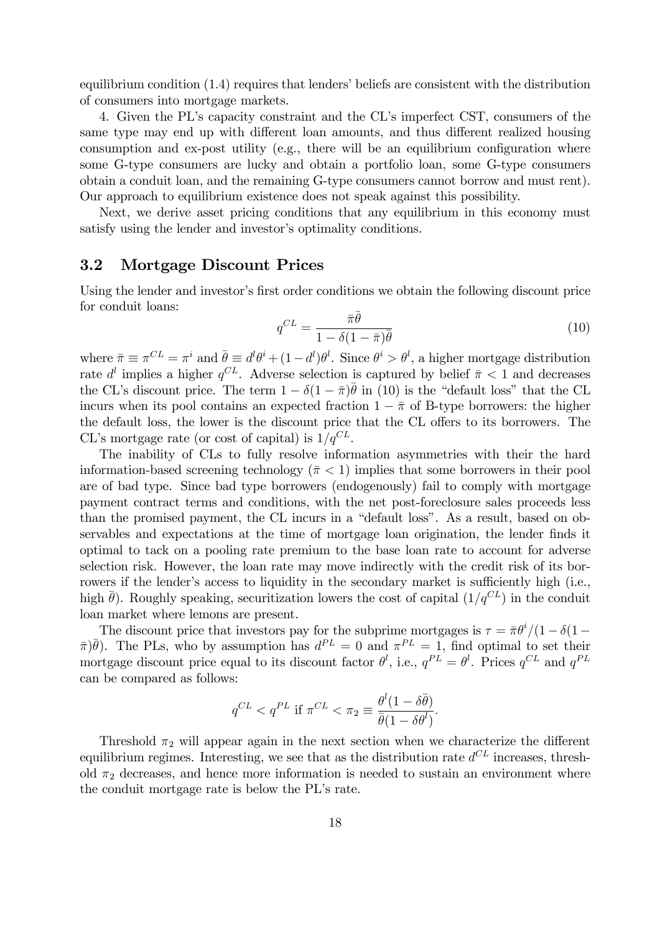equilibrium condition  $(1.4)$  requires that lenders' beliefs are consistent with the distribution of consumers into mortgage markets.

4. Given the PLís capacity constraint and the CLís imperfect CST, consumers of the same type may end up with different loan amounts, and thus different realized housing consumption and ex-post utility (e.g., there will be an equilibrium configuration where some G-type consumers are lucky and obtain a portfolio loan, some G-type consumers obtain a conduit loan, and the remaining G-type consumers cannot borrow and must rent). Our approach to equilibrium existence does not speak against this possibility.

Next, we derive asset pricing conditions that any equilibrium in this economy must satisfy using the lender and investor's optimality conditions.

### 3.2 Mortgage Discount Prices

Using the lender and investor's first order conditions we obtain the following discount price for conduit loans:

$$
q^{CL} = \frac{\bar{\pi}\bar{\theta}}{1 - \delta(1 - \bar{\pi})\bar{\theta}}\tag{10}
$$

where  $\bar{\pi} \equiv \pi^{CL} = \pi^i$  and  $\bar{\theta} \equiv d^l \theta^i + (1-d^l) \theta^l$ . Since  $\theta^i > \theta^l$ , a higher mortgage distribution rate  $d^{l}$  implies a higher  $q^{CL}$ . Adverse selection is captured by belief  $\bar{\pi}$  < 1 and decreases the CL's discount price. The term  $1 - \delta(1 - \bar{\pi})\bar{\theta}$  in (10) is the "default loss" that the CL incurs when its pool contains an expected fraction  $1 - \bar{\pi}$  of B-type borrowers: the higher the default loss, the lower is the discount price that the CL offers to its borrowers. The CL's mortgage rate (or cost of capital) is  $1/q^{CL}$ .

The inability of CLs to fully resolve information asymmetries with their the hard information-based screening technology  $(\bar{\pi} < 1)$  implies that some borrowers in their pool are of bad type. Since bad type borrowers (endogenously) fail to comply with mortgage payment contract terms and conditions, with the net post-foreclosure sales proceeds less than the promised payment, the CL incurs in a "default loss". As a result, based on observables and expectations at the time of mortgage loan origination, the lender finds it optimal to tack on a pooling rate premium to the base loan rate to account for adverse selection risk. However, the loan rate may move indirectly with the credit risk of its borrowers if the lender's access to liquidity in the secondary market is sufficiently high (i.e., high  $\bar{\theta}$ ). Roughly speaking, securitization lowers the cost of capital  $(1/q^{CL})$  in the conduit loan market where lemons are present.

The discount price that investors pay for the subprime mortgages is  $\tau = \pi \theta^i/(1 - \delta(1 - \epsilon))$  $\bar{\pi}$ ) $\bar{\theta}$ ). The PLs, who by assumption has  $d^{PL} = 0$  and  $\pi^{PL} = 1$ , find optimal to set their mortgage discount price equal to its discount factor  $\theta^l$ , i.e.,  $q^{PL} = \theta^l$ . Prices  $q^{CL}$  and  $q^{PL}$ can be compared as follows:

$$
q^{CL} < q^{PL} \text{ if } \pi^{CL} < \pi_2 \equiv \frac{\theta^l (1 - \delta \bar{\theta})}{\bar{\theta} (1 - \delta \theta^l)}.
$$

Threshold  $\pi_2$  will appear again in the next section when we characterize the different equilibrium regimes. Interesting, we see that as the distribution rate  $d^{CL}$  increases, threshold  $\pi_2$  decreases, and hence more information is needed to sustain an environment where the conduit mortgage rate is below the PL's rate.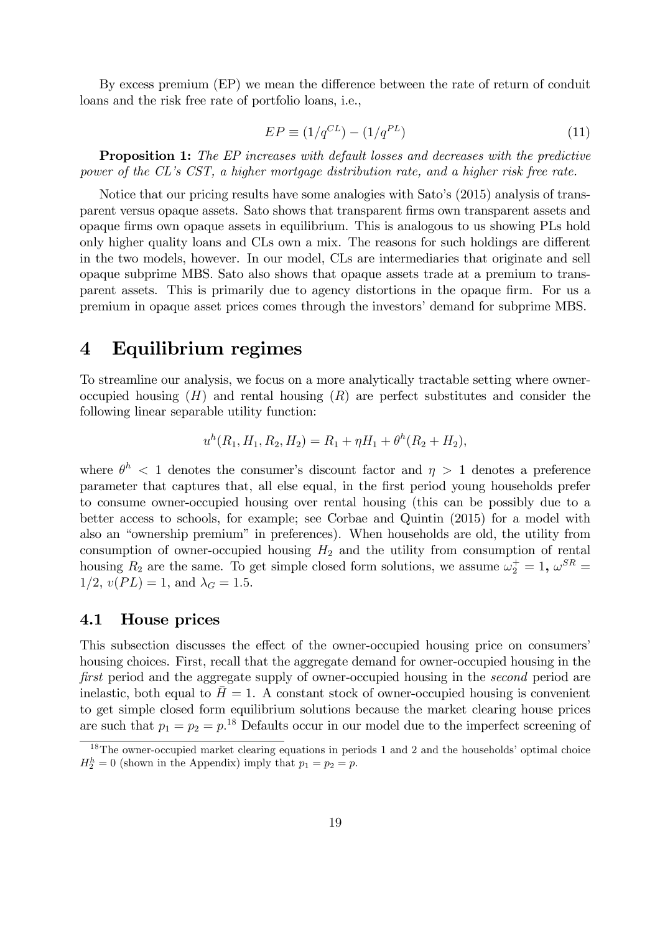By excess premium (EP) we mean the difference between the rate of return of conduit loans and the risk free rate of portfolio loans, i.e.,

$$
EP \equiv (1/q^{CL}) - (1/q^{PL}) \tag{11}
$$

**Proposition 1:** The EP increases with default losses and decreases with the predictive power of the CL's CST, a higher mortgage distribution rate, and a higher risk free rate.

Notice that our pricing results have some analogies with Sato's (2015) analysis of transparent versus opaque assets. Sato shows that transparent firms own transparent assets and opaque Örms own opaque assets in equilibrium. This is analogous to us showing PLs hold only higher quality loans and CLs own a mix. The reasons for such holdings are different in the two models, however. In our model, CLs are intermediaries that originate and sell opaque subprime MBS. Sato also shows that opaque assets trade at a premium to transparent assets. This is primarily due to agency distortions in the opaque firm. For us a premium in opaque asset prices comes through the investorsídemand for subprime MBS.

## 4 Equilibrium regimes

To streamline our analysis, we focus on a more analytically tractable setting where owneroccupied housing  $(H)$  and rental housing  $(R)$  are perfect substitutes and consider the following linear separable utility function:

$$
u^{h}(R_1, H_1, R_2, H_2) = R_1 + \eta H_1 + \theta^{h}(R_2 + H_2),
$$

where  $\theta^{h}$  < 1 denotes the consumer's discount factor and  $\eta > 1$  denotes a preference parameter that captures that, all else equal, in the Örst period young households prefer to consume owner-occupied housing over rental housing (this can be possibly due to a better access to schools, for example; see Corbae and Quintin (2015) for a model with also an "ownership premium" in preferences). When households are old, the utility from consumption of owner-occupied housing  $H_2$  and the utility from consumption of rental housing  $R_2$  are the same. To get simple closed form solutions, we assume  $\omega_2^+ = 1$ ,  $\omega^{SR} =$  $1/2, v(PL) = 1$ , and  $\lambda_G = 1.5$ .

### 4.1 House prices

This subsection discusses the effect of the owner-occupied housing price on consumers housing choices. First, recall that the aggregate demand for owner-occupied housing in the first period and the aggregate supply of owner-occupied housing in the second period are inelastic, both equal to  $H = 1$ . A constant stock of owner-occupied housing is convenient to get simple closed form equilibrium solutions because the market clearing house prices are such that  $p_1 = p_2 = p^{18}$  Defaults occur in our model due to the imperfect screening of

 $18$ The owner-occupied market clearing equations in periods 1 and 2 and the households' optimal choice  $H_2^h = 0$  (shown in the Appendix) imply that  $p_1 = p_2 = p$ .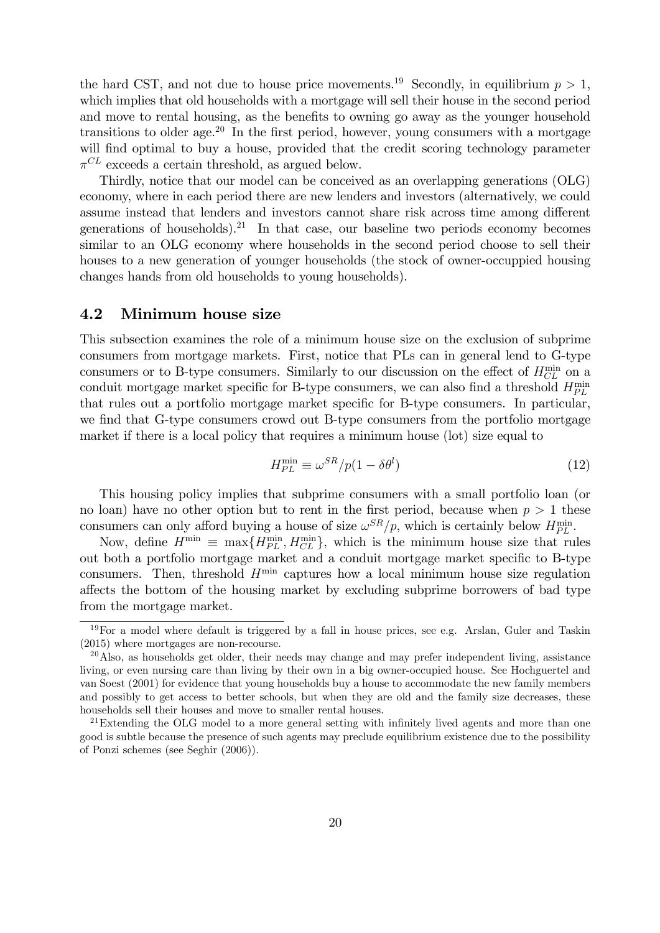the hard CST, and not due to house price movements.<sup>19</sup> Secondly, in equilibrium  $p > 1$ , which implies that old households with a mortgage will sell their house in the second period and move to rental housing, as the benefits to owning go away as the younger household transitions to older age.<sup>20</sup> In the first period, however, young consumers with a mortgage will find optimal to buy a house, provided that the credit scoring technology parameter  $\pi^{CL}$  exceeds a certain threshold, as argued below.

Thirdly, notice that our model can be conceived as an overlapping generations (OLG) economy, where in each period there are new lenders and investors (alternatively, we could assume instead that lenders and investors cannot share risk across time among different generations of households).<sup>21</sup> In that case, our baseline two periods economy becomes similar to an OLG economy where households in the second period choose to sell their houses to a new generation of younger households (the stock of owner-occuppied housing changes hands from old households to young households).

#### 4.2 Minimum house size

This subsection examines the role of a minimum house size on the exclusion of subprime consumers from mortgage markets. First, notice that PLs can in general lend to G-type consumers or to B-type consumers. Similarly to our discussion on the effect of  $H<sub>CL</sub><sup>min</sup>$  on a conduit mortgage market specific for B-type consumers, we can also find a threshold  $H_{PL}^{\min}$ that rules out a portfolio mortgage market specific for B-type consumers. In particular, we find that G-type consumers crowd out B-type consumers from the portfolio mortgage market if there is a local policy that requires a minimum house (lot) size equal to

$$
H_{PL}^{\min} \equiv \omega^{SR}/p(1 - \delta\theta^l)
$$
\n(12)

This housing policy implies that subprime consumers with a small portfolio loan (or no loan) have no other option but to rent in the first period, because when  $p > 1$  these consumers can only afford buying a house of size  $\omega^{SR}/p$ , which is certainly below  $H_{PL}^{\min}$ .

Now, define  $H^{\min} \equiv \max\{H^{\min}_{PL}, H^{\min}_{CL}\}$ , which is the minimum house size that rules out both a portfolio mortgage market and a conduit mortgage market specific to B-type consumers. Then, threshold  $H^{\min}$  captures how a local minimum house size regulation affects the bottom of the housing market by excluding subprime borrowers of bad type from the mortgage market.

 $19\,\text{For a model where default is triggered by a fall in house prices, see e.g. Arslan, Guler and Taskin}$ (2015) where mortgages are non-recourse.

 $^{20}$ Also, as households get older, their needs may change and may prefer independent living, assistance living, or even nursing care than living by their own in a big owner-occupied house. See Hochguertel and van Soest (2001) for evidence that young households buy a house to accommodate the new family members and possibly to get access to better schools, but when they are old and the family size decreases, these households sell their houses and move to smaller rental houses.

<sup>&</sup>lt;sup>21</sup>Extending the OLG model to a more general setting with infinitely lived agents and more than one good is subtle because the presence of such agents may preclude equilibrium existence due to the possibility of Ponzi schemes (see Seghir (2006)).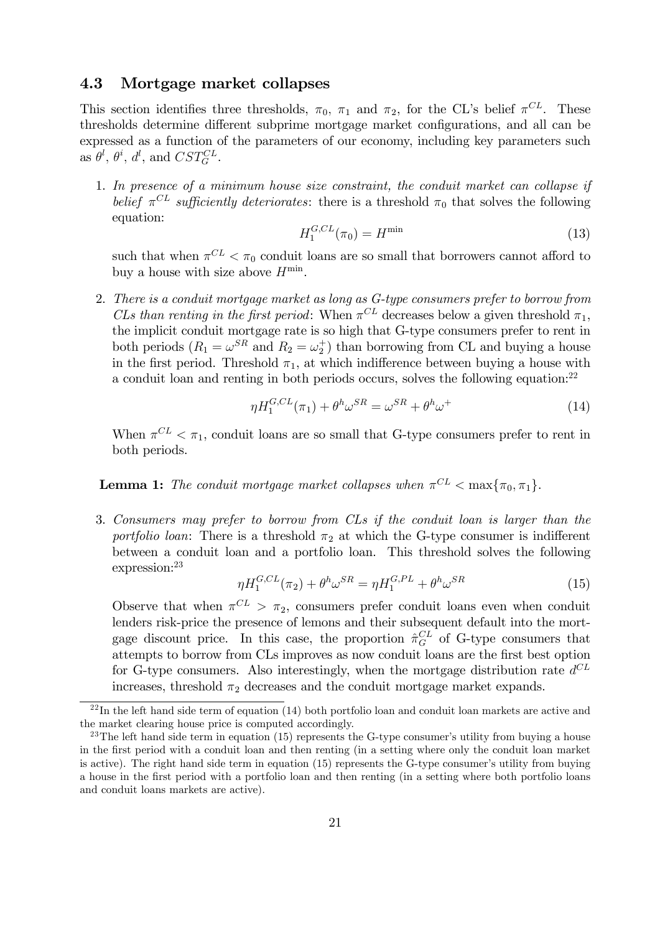### 4.3 Mortgage market collapses

This section identifies three thresholds,  $\pi_0$ ,  $\pi_1$  and  $\pi_2$ , for the CL's belief  $\pi^{CL}$ . These thresholds determine different subprime mortgage market configurations, and all can be expressed as a function of the parameters of our economy, including key parameters such as  $\theta^l$ ,  $\theta^i$ ,  $d^l$ , and  $CST_G^{CL}$ .

1. In presence of a minimum house size constraint, the conduit market can collapse if belief  $\pi^{CL}$  sufficiently deteriorates: there is a threshold  $\pi_0$  that solves the following equation:

$$
H_1^{G,CL}(\pi_0) = H^{\min} \tag{13}
$$

such that when  $\pi^{CL} < \pi_0$  conduit loans are so small that borrowers cannot afford to buy a house with size above  $H^{\min}$ .

2. There is a conduit mortgage market as long as G-type consumers prefer to borrow from CLs than renting in the first period: When  $\pi^{CL}$  decreases below a given threshold  $\pi_1$ , the implicit conduit mortgage rate is so high that G-type consumers prefer to rent in both periods  $(R_1 = \omega^{SR}$  and  $R_2 = \omega_2^+$ ) than borrowing from CL and buying a house in the first period. Threshold  $\pi_1$ , at which indifference between buying a house with a conduit loan and renting in both periods occurs, solves the following equation:<sup>22</sup>

$$
\eta H_1^{G,CL}(\pi_1) + \theta^h \omega^{SR} = \omega^{SR} + \theta^h \omega^+
$$
\n(14)

When  $\pi^{CL} < \pi_1$ , conduit loans are so small that G-type consumers prefer to rent in both periods.

**Lemma 1:** The conduit mortgage market collapses when  $\pi^{CL} < \max{\pi_0, \pi_1}$ .

3. Consumers may prefer to borrow from CLs if the conduit loan is larger than the portfolio loan: There is a threshold  $\pi_2$  at which the G-type consumer is indifferent between a conduit loan and a portfolio loan. This threshold solves the following expression:<sup>23</sup>

$$
\eta H_1^{G,CL}(\pi_2) + \theta^h \omega^{SR} = \eta H_1^{G,PL} + \theta^h \omega^{SR}
$$
\n(15)

Observe that when  $\pi^{CL} > \pi_2$ , consumers prefer conduit loans even when conduit lenders risk-price the presence of lemons and their subsequent default into the mortgage discount price. In this case, the proportion  $\hat{\pi}_G^{CL}$  of G-type consumers that attempts to borrow from CLs improves as now conduit loans are the Örst best option for G-type consumers. Also interestingly, when the mortgage distribution rate  $d^{CL}$ increases, threshold  $\pi_2$  decreases and the conduit mortgage market expands.

 $^{22}$ In the left hand side term of equation (14) both portfolio loan and conduit loan markets are active and the market clearing house price is computed accordingly.

<sup>&</sup>lt;sup>23</sup>The left hand side term in equation (15) represents the G-type consumer's utility from buying a house in the Örst period with a conduit loan and then renting (in a setting where only the conduit loan market is active). The right hand side term in equation  $(15)$  represents the G-type consumer's utility from buying a house in the Örst period with a portfolio loan and then renting (in a setting where both portfolio loans and conduit loans markets are active).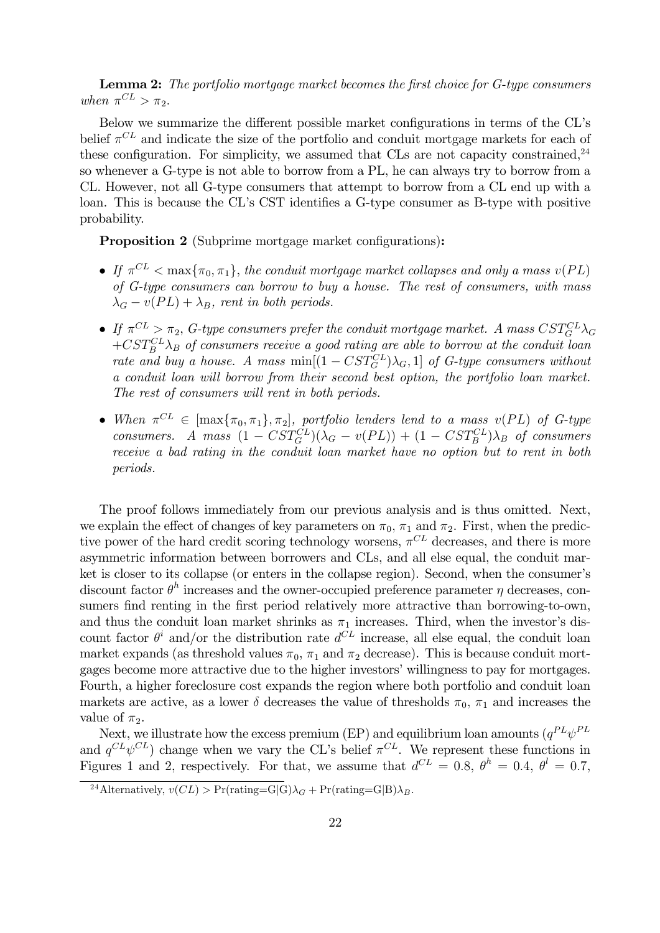**Lemma 2:** The portfolio mortgage market becomes the first choice for G-type consumers when  $\pi^{CL} > \pi_2$ .

Below we summarize the different possible market configurations in terms of the CL's belief  $\pi^{CL}$  and indicate the size of the portfolio and conduit mortgage markets for each of these configuration. For simplicity, we assumed that CLs are not capacity constrained,  $24$ so whenever a G-type is not able to borrow from a PL, he can always try to borrow from a CL. However, not all G-type consumers that attempt to borrow from a CL end up with a loan. This is because the CL's CST identifies a G-type consumer as B-type with positive probability.

**Proposition 2** (Subprime mortgage market configurations):

- $\bullet$  If  $\pi^{CL} < \max{\pi_0, \pi_1}$ , the conduit mortgage market collapses and only a mass  $v(PL)$ of G-type consumers can borrow to buy a house. The rest of consumers, with mass  $\lambda_G - v(PL) + \lambda_B$ , rent in both periods.
- If  $\pi^{CL} > \pi_2$ , G-type consumers prefer the conduit mortgage market. A mass  $CST_G^{CL}\lambda_G$  $+CST_B^{CL} \lambda_B$  of consumers receive a good rating are able to borrow at the conduit loan rate and buy a house. A mass  $\min[(1 - CST_G^{CL})\lambda_G, 1]$  of G-type consumers without a conduit loan will borrow from their second best option, the portfolio loan market. The rest of consumers will rent in both periods.
- When  $\pi^{CL} \in [\max\{\pi_0, \pi_1\}, \pi_2]$ , portfolio lenders lend to a mass  $v(PL)$  of G-type consumers. A mass  $(1 - CST_G^{CL})(\lambda_G - v(PL)) + (1 - CST_G^{CL})\lambda_B$  of consumers receive a bad rating in the conduit loan market have no option but to rent in both periods.

The proof follows immediately from our previous analysis and is thus omitted. Next, we explain the effect of changes of key parameters on  $\pi_0$ ,  $\pi_1$  and  $\pi_2$ . First, when the predictive power of the hard credit scoring technology worsens,  $\pi^{CL}$  decreases, and there is more asymmetric information between borrowers and CLs, and all else equal, the conduit market is closer to its collapse (or enters in the collapse region). Second, when the consumer's discount factor  $\theta^h$  increases and the owner-occupied preference parameter  $\eta$  decreases, consumers find renting in the first period relatively more attractive than borrowing-to-own, and thus the conduit loan market shrinks as  $\pi_1$  increases. Third, when the investor's discount factor  $\theta^i$  and/or the distribution rate  $d^{CL}$  increase, all else equal, the conduit loan market expands (as threshold values  $\pi_0$ ,  $\pi_1$  and  $\pi_2$  decrease). This is because conduit mortgages become more attractive due to the higher investors' willingness to pay for mortgages. Fourth, a higher foreclosure cost expands the region where both portfolio and conduit loan markets are active, as a lower  $\delta$  decreases the value of thresholds  $\pi_0$ ,  $\pi_1$  and increases the value of  $\pi_2$ .

Next, we illustrate how the excess premium (EP) and equilibrium loan amounts  $(q^{PL}\psi^{PL}$ and  $q^{CL}\psi^{CL}$  change when we vary the CL's belief  $\pi^{CL}$ . We represent these functions in Figures 1 and 2, respectively. For that, we assume that  $d^{CL} = 0.8$ ,  $\theta^h = 0.4$ ,  $\theta^l = 0.7$ ,

<sup>&</sup>lt;sup>24</sup>Alternatively,  $v(CL) > Pr(rating=G|G) \lambda_G + Pr(rating=G|B) \lambda_B$ .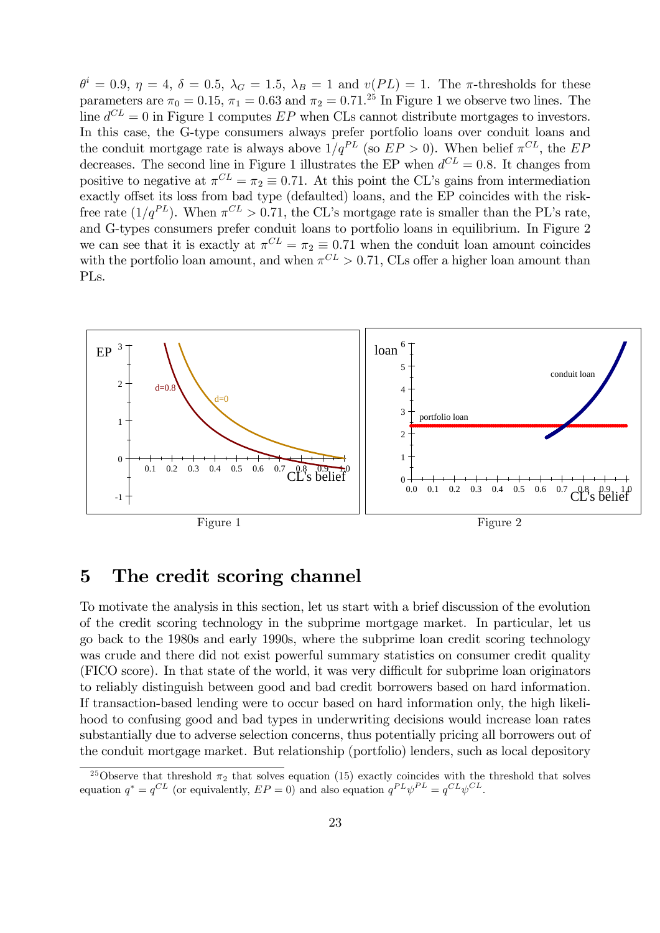$\theta^i = 0.9, \eta = 4, \delta = 0.5, \lambda_G = 1.5, \lambda_B = 1$  and  $v(PL) = 1$ . The  $\pi$ -thresholds for these parameters are  $\pi_0 = 0.15$ ,  $\pi_1 = 0.63$  and  $\pi_2 = 0.71$ .<sup>25</sup> In Figure 1 we observe two lines. The line  $d^{CL} = 0$  in Figure 1 computes  $EP$  when CLs cannot distribute mortgages to investors. In this case, the G-type consumers always prefer portfolio loans over conduit loans and the conduit mortgage rate is always above  $1/q^{PL}$  (so  $EP > 0$ ). When belief  $\pi^{CL}$ , the  $EP$ decreases. The second line in Figure 1 illustrates the EP when  $d^{CL} = 0.8$ . It changes from positive to negative at  $\pi^{CL} = \pi_2 \equiv 0.71$ . At this point the CL's gains from intermediation exactly offset its loss from bad type (defaulted) loans, and the EP coincides with the riskfree rate  $(1/q^{PL})$ . When  $\pi^{CL} > 0.71$ , the CL's mortgage rate is smaller than the PL's rate, and G-types consumers prefer conduit loans to portfolio loans in equilibrium. In Figure 2 we can see that it is exactly at  $\pi^{CL} = \pi_2 \equiv 0.71$  when the conduit loan amount coincides with the portfolio loan amount, and when  $\pi^{CL} > 0.71$ , CLs offer a higher loan amount than PLs.



# 5 The credit scoring channel

To motivate the analysis in this section, let us start with a brief discussion of the evolution of the credit scoring technology in the subprime mortgage market. In particular, let us go back to the 1980s and early 1990s, where the subprime loan credit scoring technology was crude and there did not exist powerful summary statistics on consumer credit quality  $(FICO score)$ . In that state of the world, it was very difficult for subprime loan originators to reliably distinguish between good and bad credit borrowers based on hard information. If transaction-based lending were to occur based on hard information only, the high likelihood to confusing good and bad types in underwriting decisions would increase loan rates substantially due to adverse selection concerns, thus potentially pricing all borrowers out of the conduit mortgage market. But relationship (portfolio) lenders, such as local depository

<sup>&</sup>lt;sup>25</sup>Observe that threshold  $\pi_2$  that solves equation (15) exactly coincides with the threshold that solves equation  $q^* = q^{CL}$  (or equivalently,  $EP = 0$ ) and also equation  $q^{PL}\psi^{PL} = q^{CL}\psi^{CL}$ .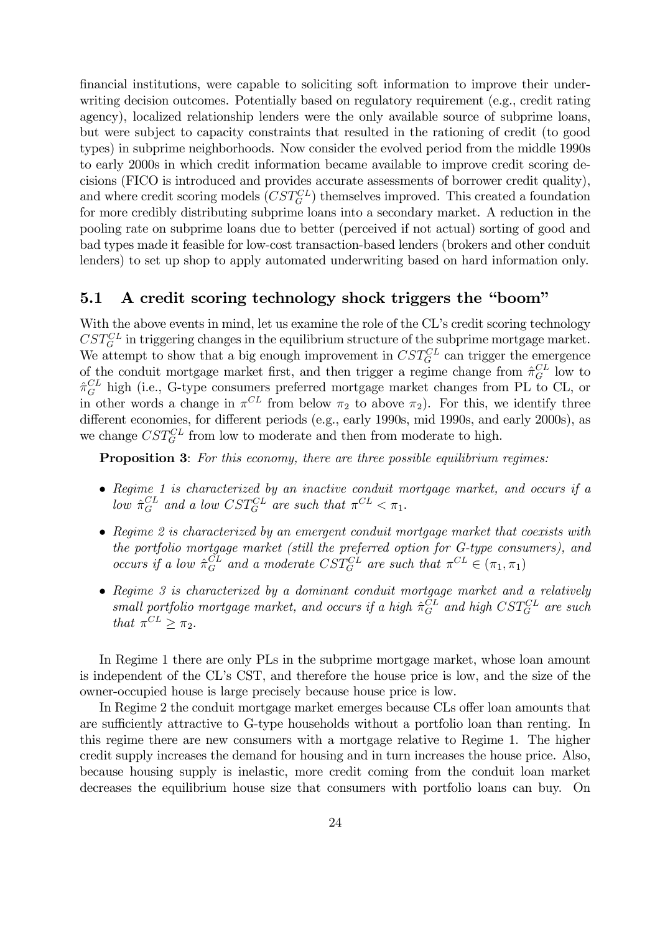financial institutions, were capable to soliciting soft information to improve their underwriting decision outcomes. Potentially based on regulatory requirement (e.g., credit rating agency), localized relationship lenders were the only available source of subprime loans, but were subject to capacity constraints that resulted in the rationing of credit (to good types) in subprime neighborhoods. Now consider the evolved period from the middle 1990s to early 2000s in which credit information became available to improve credit scoring decisions (FICO is introduced and provides accurate assessments of borrower credit quality), and where credit scoring models  $(CST_G^{CL})$  themselves improved. This created a foundation for more credibly distributing subprime loans into a secondary market. A reduction in the pooling rate on subprime loans due to better (perceived if not actual) sorting of good and bad types made it feasible for low-cost transaction-based lenders (brokers and other conduit lenders) to set up shop to apply automated underwriting based on hard information only.

### 5.1 A credit scoring technology shock triggers the "boom"

With the above events in mind, let us examine the role of the CL's credit scoring technology  $\textit{CST}_G^{CL}$  in triggering changes in the equilibrium structure of the subprime mortgage market. We attempt to show that a big enough improvement in  $CST_G^{CL}$  can trigger the emergence of the conduit mortgage market first, and then trigger a regime change from  $\hat{\pi}^{CL}_{G}$  low to  $\hat{\pi}^{CL}_{G}$  high (i.e., G-type consumers preferred mortgage market changes from PL to CL, or in other words a change in  $\pi^{CL}$  from below  $\pi_2$  to above  $\pi_2$ ). For this, we identify three different economies, for different periods (e.g., early 1990s, mid 1990s, and early 2000s), as we change  $CST_G^{CL}$  from low to moderate and then from moderate to high.

Proposition 3: For this economy, there are three possible equilibrium regimes:

- Regime 1 is characterized by an inactive conduit mortgage market, and occurs if a low  $\hat{\pi}_G^{CL}$  and a low  $CST_G^{CL}$  are such that  $\pi^{CL} < \pi_1$ .
- Regime 2 is characterized by an emergent conduit mortgage market that coexists with the portfolio mortgage market (still the preferred option for G-type consumers), and occurs if a low  $\hat{\pi}_G^{CL}$  and a moderate  $CST_G^{CL}$  are such that  $\pi^{CL} \in (\pi_1, \pi_1)$
- Regime 3 is characterized by a dominant conduit mortgage market and a relatively small portfolio mortgage market, and occurs if a high  $\hat{\pi}_G^{CL}$  and high  $CST_G^{CL}$  are such that  $\pi^{CL} \geq \pi_2$ .

In Regime 1 there are only PLs in the subprime mortgage market, whose loan amount is independent of the CLís CST, and therefore the house price is low, and the size of the owner-occupied house is large precisely because house price is low.

In Regime 2 the conduit mortgage market emerges because CLs offer loan amounts that are sufficiently attractive to G-type households without a portfolio loan than renting. In this regime there are new consumers with a mortgage relative to Regime 1. The higher credit supply increases the demand for housing and in turn increases the house price. Also, because housing supply is inelastic, more credit coming from the conduit loan market decreases the equilibrium house size that consumers with portfolio loans can buy. On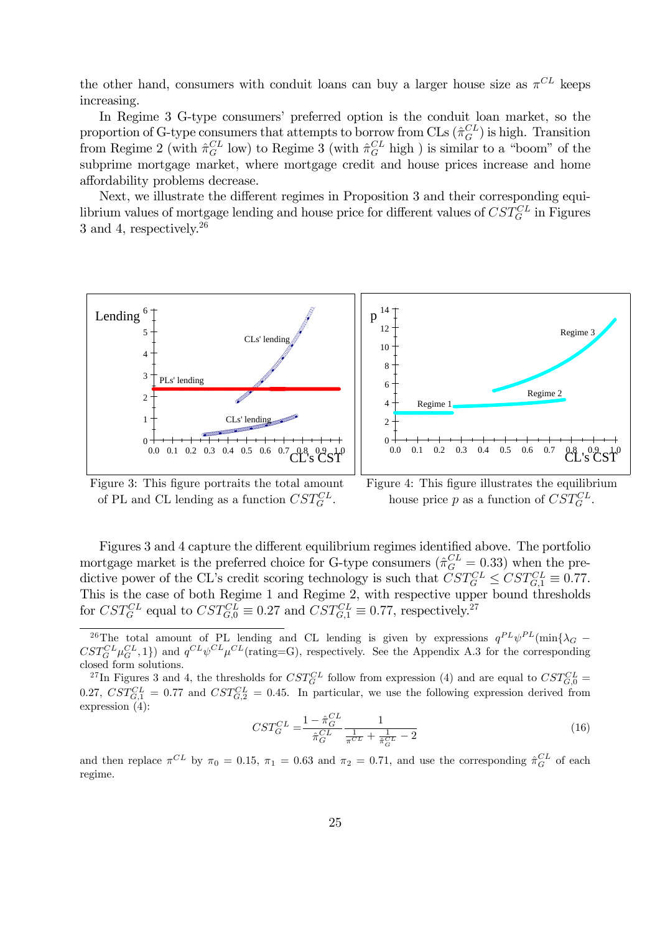the other hand, consumers with conduit loans can buy a larger house size as  $\pi^{CL}$  keeps increasing.

In Regime 3 G-type consumers' preferred option is the conduit loan market, so the proportion of G-type consumers that attempts to borrow from CLs  $(\hat{\pi}_G^{CL})$  is high. Transition from Regime 2 (with  $\hat{\pi}_G^{CL}$  low) to Regime 3 (with  $\hat{\pi}_G^{CL}$  high) is similar to a "boom" of the subprime mortgage market, where mortgage credit and house prices increase and home affordability problems decrease.

Next, we illustrate the different regimes in Proposition 3 and their corresponding equilibrium values of mortgage lending and house price for different values of  $CST_G^{CL}$  in Figures 3 and 4, respectively.<sup>26</sup>



Figure 3: This figure portraits the total amount of PL and CL lending as a function  $CST_G^{CL}$ .

Figure 4: This figure illustrates the equilibrium house price p as a function of  $CST_G^{CL}$ .

Figures 3 and 4 capture the different equilibrium regimes identified above. The portfolio mortgage market is the preferred choice for G-type consumers ( $\hat{\pi}_G^{CL} = 0.33$ ) when the predictive power of the CL's credit scoring technology is such that  $CST_G^{CL} \leq CST_{G,1}^{CL} \equiv 0.77$ . This is the case of both Regime 1 and Regime 2, with respective upper bound thresholds for  $CST_G^{CL}$  equal to  $CST_{G,0}^{CL} \equiv 0.27$  and  $CST_{G,1}^{CL} \equiv 0.77$ , respectively.<sup>27</sup>

$$
CST_G^{CL} = \frac{1 - \hat{\pi}_G^{CL}}{\hat{\pi}_G^{CL}} \frac{1}{\frac{1}{\pi^{CL}} + \frac{1}{\hat{\pi}_G^{CL}} - 2}
$$
(16)

and then replace  $\pi^{CL}$  by  $\pi_0 = 0.15$ ,  $\pi_1 = 0.63$  and  $\pi_2 = 0.71$ , and use the corresponding  $\hat{\pi}_G^{CL}$  of each regime.

<sup>&</sup>lt;sup>26</sup>The total amount of PL lending and CL lending is given by expressions  $q^{PL}\psi^{PL}(\min{\{\lambda_G - GL\}})$  $CST_G^{CL}\mu_G^{CL}, 1$  and  $q^{CL}\psi^{CL}\mu^{CL}$  (rating=G), respectively. See the Appendix A.3 for the corresponding closed form solutions.

<sup>&</sup>lt;sup>27</sup>In Figures 3 and 4, the thresholds for  $CST_G^{CL}$  follow from expression (4) and are equal to  $CST_{G,0}^{CL}$ 0.27,  $CST_{G,1}^{CL} = 0.77$  and  $CST_{G,2}^{CL} = 0.45$ . In particular, we use the following expression derived from expression (4):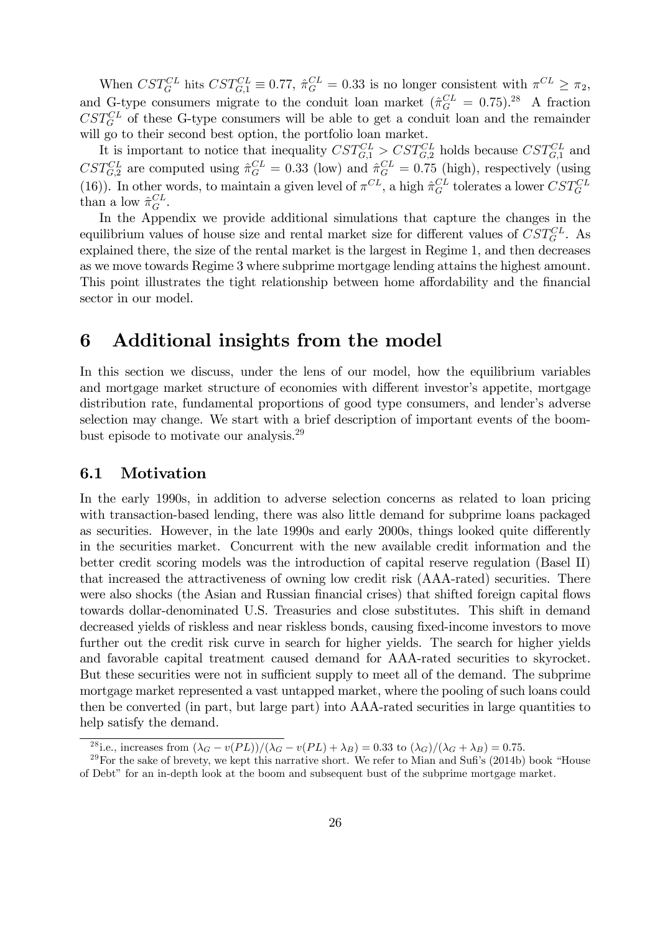When  $CST_G^{CL}$  hits  $CST_{G,1}^{CL} \equiv 0.77$ ,  $\hat{\pi}_G^{CL} = 0.33$  is no longer consistent with  $\pi^{CL} \ge \pi_2$ , and G-type consumers migrate to the conduit loan market  $(\hat{\pi}_G^{CL} = 0.75)^{28}$  A fraction  $CST_G^{CL}$  of these G-type consumers will be able to get a conduit loan and the remainder will go to their second best option, the portfolio loan market.

It is important to notice that inequality  $CST_{G,1}^{CL} > CST_{G,2}^{CL}$  holds because  $CST_{G,1}^{CL}$  and  $CST_{G,2}^{CL}$  are computed using  $\hat{\pi}_G^{CL} = 0.33$  (low) and  $\hat{\pi}_G^{CL} = 0.75$  (high), respectively (using (16)). In other words, to maintain a given level of  $\pi^{CL}$ , a high  $\hat{\pi}_G^{CL}$  tolerates a lower  $CST_G^{CL}$ than a low  $\hat{\pi}_G^{CL}$ .

In the Appendix we provide additional simulations that capture the changes in the equilibrium values of house size and rental market size for different values of  $CST_G^{CL}$ . As explained there, the size of the rental market is the largest in Regime 1, and then decreases as we move towards Regime 3 where subprime mortgage lending attains the highest amount. This point illustrates the tight relationship between home affordability and the financial sector in our model.

# 6 Additional insights from the model

In this section we discuss, under the lens of our model, how the equilibrium variables and mortgage market structure of economies with different investor's appetite, mortgage distribution rate, fundamental proportions of good type consumers, and lender's adverse selection may change. We start with a brief description of important events of the boombust episode to motivate our analysis.<sup>29</sup>

### 6.1 Motivation

In the early 1990s, in addition to adverse selection concerns as related to loan pricing with transaction-based lending, there was also little demand for subprime loans packaged as securities. However, in the late 1990s and early 2000s, things looked quite differently in the securities market. Concurrent with the new available credit information and the better credit scoring models was the introduction of capital reserve regulation (Basel II) that increased the attractiveness of owning low credit risk (AAA-rated) securities. There were also shocks (the Asian and Russian financial crises) that shifted foreign capital flows towards dollar-denominated U.S. Treasuries and close substitutes. This shift in demand decreased yields of riskless and near riskless bonds, causing fixed-income investors to move further out the credit risk curve in search for higher yields. The search for higher yields and favorable capital treatment caused demand for AAA-rated securities to skyrocket. But these securities were not in sufficient supply to meet all of the demand. The subprime mortgage market represented a vast untapped market, where the pooling of such loans could then be converted (in part, but large part) into AAA-rated securities in large quantities to help satisfy the demand.

<sup>&</sup>lt;sup>28</sup>i.e., increases from  $(\lambda_G - v(PL))/(\lambda_G - v(PL) + \lambda_B) = 0.33$  to  $(\lambda_G)/(\lambda_G + \lambda_B) = 0.75$ .

 $29$  For the sake of brevety, we kept this narrative short. We refer to Mian and Sufi's (2014b) book "House of Debtî for an in-depth look at the boom and subsequent bust of the subprime mortgage market.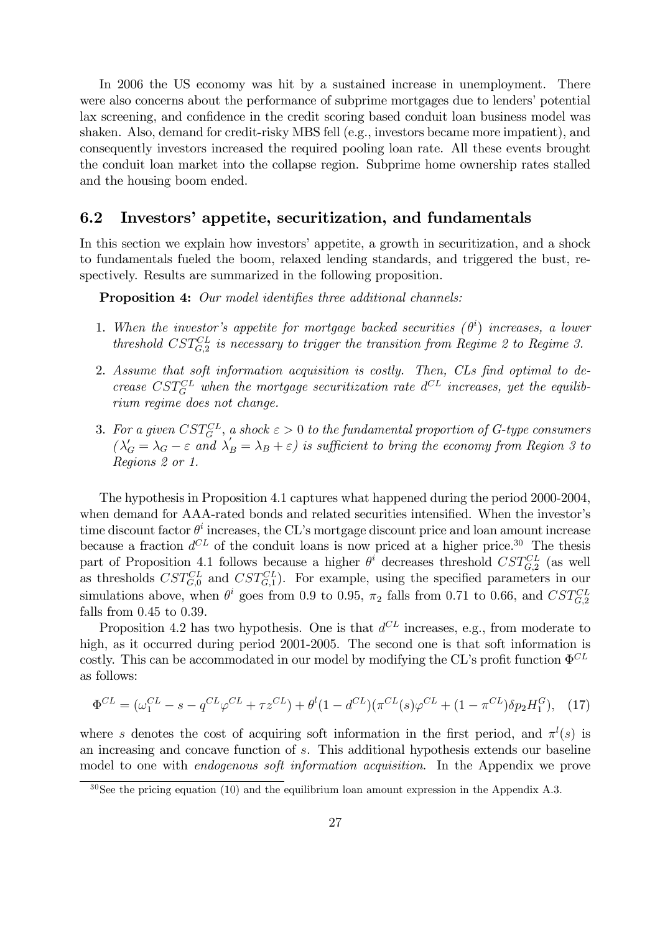In 2006 the US economy was hit by a sustained increase in unemployment. There were also concerns about the performance of subprime mortgages due to lenders' potential lax screening, and confidence in the credit scoring based conduit loan business model was shaken. Also, demand for credit-risky MBS fell (e.g., investors became more impatient), and consequently investors increased the required pooling loan rate. All these events brought the conduit loan market into the collapse region. Subprime home ownership rates stalled and the housing boom ended.

### 6.2 Investors' appetite, securitization, and fundamentals

In this section we explain how investors' appetite, a growth in securitization, and a shock to fundamentals fueled the boom, relaxed lending standards, and triggered the bust, respectively. Results are summarized in the following proposition.

**Proposition 4:** Our model identifies three additional channels:

- 1. When the investor's appetite for mortgage backed securities  $(\theta^i)$  increases, a lower threshold  $CST_{G,2}^{CL}$  is necessary to trigger the transition from Regime 2 to Regime 3.
- 2. Assume that soft information acquisition is costly. Then, CLs find optimal to decrease  $CST_G^{CL}$  when the mortgage securitization rate  $d^{CL}$  increases, yet the equilibrium regime does not change.
- 3. For a given  $CST^{CL}_{G}$ , a shock  $\varepsilon > 0$  to the fundamental proportion of G-type consumers  $(\lambda'_G = \lambda_G - \varepsilon$  and  $\lambda'_B = \lambda_B + \varepsilon)$  is sufficient to bring the economy from Region 3 to Regions 2 or 1.

The hypothesis in Proposition 4.1 captures what happened during the period 2000-2004, when demand for AAA-rated bonds and related securities intensified. When the investor's time discount factor  $\theta^i$  increases, the CL's mortgage discount price and loan amount increase because a fraction  $d^{CL}$  of the conduit loans is now priced at a higher price.<sup>30</sup> The thesis part of Proposition 4.1 follows because a higher  $\theta^i$  decreases threshold  $CST_{G,2}^{CL}$  (as well as thresholds  $CST_{G,0}^{CL}$  and  $CST_{G,1}^{CL}$ ). For example, using the specified parameters in our simulations above, when  $\theta^i$  goes from 0.9 to 0.95,  $\pi_2$  falls from 0.71 to 0.66, and  $CST_{G,2}^{CL}$ falls from  $0.45$  to  $0.39$ .

Proposition 4.2 has two hypothesis. One is that  $d^{CL}$  increases, e.g., from moderate to high, as it occurred during period 2001-2005. The second one is that soft information is costly. This can be accommodated in our model by modifying the CL's profit function  $\Phi^{CL}$ as follows:

$$
\Phi^{CL} = (\omega_1^{CL} - s - q^{CL}\varphi^{CL} + \tau z^{CL}) + \theta^l (1 - d^{CL})(\pi^{CL}(s)\varphi^{CL} + (1 - \pi^{CL})\delta p_2 H_1^G), \quad (17)
$$

where s denotes the cost of acquiring soft information in the first period, and  $\pi^{l}(s)$  is an increasing and concave function of s. This additional hypothesis extends our baseline model to one with endogenous soft information acquisition. In the Appendix we prove

 $30$  See the pricing equation (10) and the equilibrium loan amount expression in the Appendix A.3.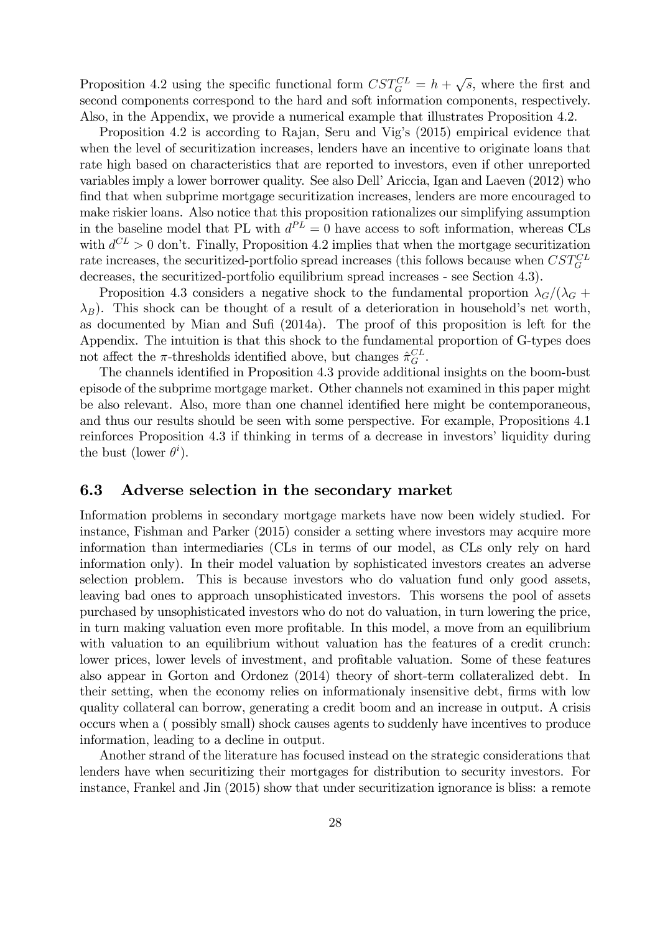Proposition 4.2 using the specific functional form  $CST_G^{CL} = h + \sqrt{s}$ , where the first and second components correspond to the hard and soft information components, respectively. Also, in the Appendix, we provide a numerical example that illustrates Proposition 4.2.

Proposition 4.2 is according to Rajan, Seru and Vig's (2015) empirical evidence that when the level of securitization increases, lenders have an incentive to originate loans that rate high based on characteristics that are reported to investors, even if other unreported variables imply a lower borrower quality. See also Dell'Ariccia, Igan and Laeven (2012) who find that when subprime mortgage securitization increases, lenders are more encouraged to make riskier loans. Also notice that this proposition rationalizes our simplifying assumption in the baseline model that PL with  $d^{PL} = 0$  have access to soft information, whereas CLs with  $d^{CL} > 0$  don't. Finally, Proposition 4.2 implies that when the mortgage securitization rate increases, the securitized-portfolio spread increases (this follows because when  $CST_G^{CL}$ decreases, the securitized-portfolio equilibrium spread increases - see Section 4.3).

Proposition 4.3 considers a negative shock to the fundamental proportion  $\lambda_G/(\lambda_G +$  $\lambda_B$ ). This shock can be thought of a result of a deterioration in household's net worth. as documented by Mian and Sufi (2014a). The proof of this proposition is left for the Appendix. The intuition is that this shock to the fundamental proportion of G-types does not affect the  $\pi$ -thresholds identified above, but changes  $\hat{\pi}_G^{CL}$ .

The channels identified in Proposition 4.3 provide additional insights on the boom-bust episode of the subprime mortgage market. Other channels not examined in this paper might be also relevant. Also, more than one channel identified here might be contemporaneous, and thus our results should be seen with some perspective. For example, Propositions 4.1 reinforces Proposition 4.3 if thinking in terms of a decrease in investors' liquidity during the bust (lower  $\theta^i$ ).

### 6.3 Adverse selection in the secondary market

Information problems in secondary mortgage markets have now been widely studied. For instance, Fishman and Parker (2015) consider a setting where investors may acquire more information than intermediaries (CLs in terms of our model, as CLs only rely on hard information only). In their model valuation by sophisticated investors creates an adverse selection problem. This is because investors who do valuation fund only good assets, leaving bad ones to approach unsophisticated investors. This worsens the pool of assets purchased by unsophisticated investors who do not do valuation, in turn lowering the price, in turn making valuation even more profitable. In this model, a move from an equilibrium with valuation to an equilibrium without valuation has the features of a credit crunch: lower prices, lower levels of investment, and profitable valuation. Some of these features also appear in Gorton and Ordonez (2014) theory of short-term collateralized debt. In their setting, when the economy relies on informationaly insensitive debt, firms with low quality collateral can borrow, generating a credit boom and an increase in output. A crisis occurs when a ( possibly small) shock causes agents to suddenly have incentives to produce information, leading to a decline in output.

Another strand of the literature has focused instead on the strategic considerations that lenders have when securitizing their mortgages for distribution to security investors. For instance, Frankel and Jin (2015) show that under securitization ignorance is bliss: a remote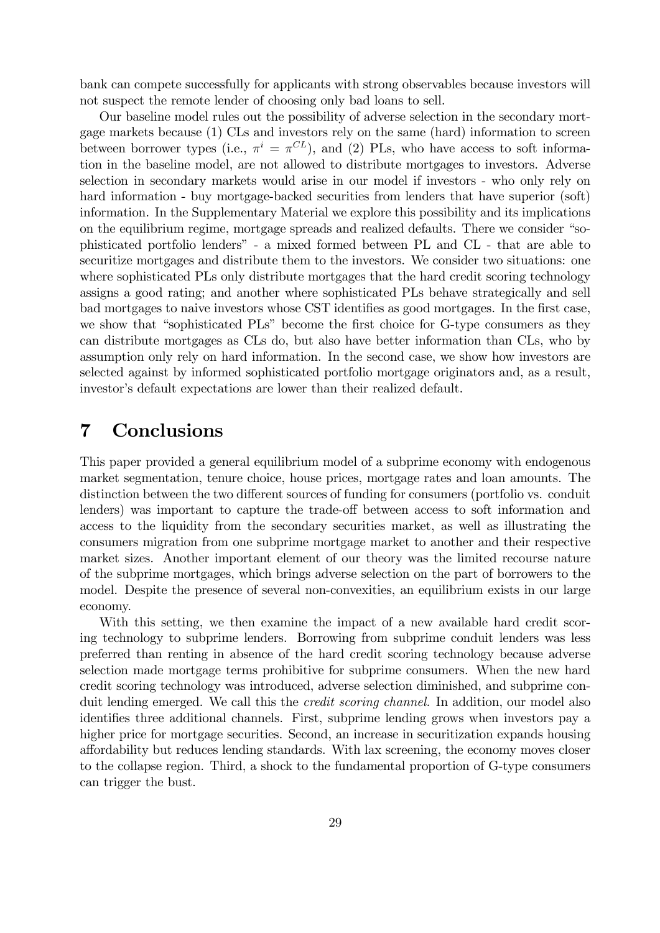bank can compete successfully for applicants with strong observables because investors will not suspect the remote lender of choosing only bad loans to sell.

Our baseline model rules out the possibility of adverse selection in the secondary mortgage markets because (1) CLs and investors rely on the same (hard) information to screen between borrower types (i.e.,  $\pi^{i} = \pi^{CL}$ ), and (2) PLs, who have access to soft information in the baseline model, are not allowed to distribute mortgages to investors. Adverse selection in secondary markets would arise in our model if investors - who only rely on hard information - buy mortgage-backed securities from lenders that have superior (soft) information. In the Supplementary Material we explore this possibility and its implications on the equilibrium regime, mortgage spreads and realized defaults. There we consider "sophisticated portfolio lendersî - a mixed formed between PL and CL - that are able to securitize mortgages and distribute them to the investors. We consider two situations: one where sophisticated PLs only distribute mortgages that the hard credit scoring technology assigns a good rating; and another where sophisticated PLs behave strategically and sell bad mortgages to naive investors whose CST identifies as good mortgages. In the first case, we show that "sophisticated PLs" become the first choice for G-type consumers as they can distribute mortgages as CLs do, but also have better information than CLs, who by assumption only rely on hard information. In the second case, we show how investors are selected against by informed sophisticated portfolio mortgage originators and, as a result, investor's default expectations are lower than their realized default.

# 7 Conclusions

This paper provided a general equilibrium model of a subprime economy with endogenous market segmentation, tenure choice, house prices, mortgage rates and loan amounts. The distinction between the two different sources of funding for consumers (portfolio vs. conduit lenders) was important to capture the trade-off between access to soft information and access to the liquidity from the secondary securities market, as well as illustrating the consumers migration from one subprime mortgage market to another and their respective market sizes. Another important element of our theory was the limited recourse nature of the subprime mortgages, which brings adverse selection on the part of borrowers to the model. Despite the presence of several non-convexities, an equilibrium exists in our large economy.

With this setting, we then examine the impact of a new available hard credit scoring technology to subprime lenders. Borrowing from subprime conduit lenders was less preferred than renting in absence of the hard credit scoring technology because adverse selection made mortgage terms prohibitive for subprime consumers. When the new hard credit scoring technology was introduced, adverse selection diminished, and subprime conduit lending emerged. We call this the *credit scoring channel*. In addition, our model also identifies three additional channels. First, subprime lending grows when investors pay a higher price for mortgage securities. Second, an increase in securitization expands housing a§ordability but reduces lending standards. With lax screening, the economy moves closer to the collapse region. Third, a shock to the fundamental proportion of G-type consumers can trigger the bust.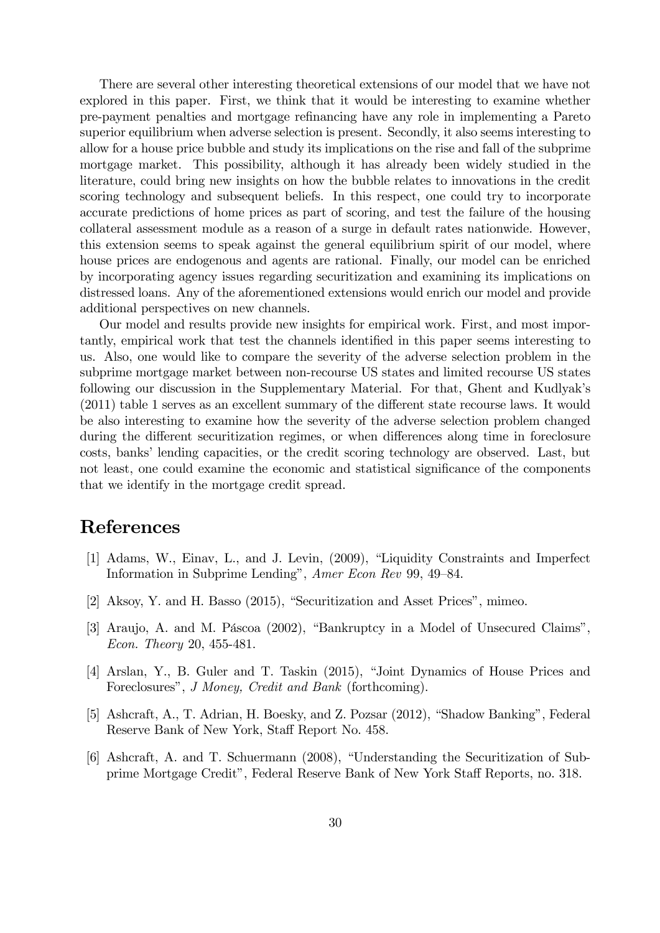There are several other interesting theoretical extensions of our model that we have not explored in this paper. First, we think that it would be interesting to examine whether pre-payment penalties and mortgage reÖnancing have any role in implementing a Pareto superior equilibrium when adverse selection is present. Secondly, it also seems interesting to allow for a house price bubble and study its implications on the rise and fall of the subprime mortgage market. This possibility, although it has already been widely studied in the literature, could bring new insights on how the bubble relates to innovations in the credit scoring technology and subsequent beliefs. In this respect, one could try to incorporate accurate predictions of home prices as part of scoring, and test the failure of the housing collateral assessment module as a reason of a surge in default rates nationwide. However, this extension seems to speak against the general equilibrium spirit of our model, where house prices are endogenous and agents are rational. Finally, our model can be enriched by incorporating agency issues regarding securitization and examining its implications on distressed loans. Any of the aforementioned extensions would enrich our model and provide additional perspectives on new channels.

Our model and results provide new insights for empirical work. First, and most importantly, empirical work that test the channels identified in this paper seems interesting to us. Also, one would like to compare the severity of the adverse selection problem in the subprime mortgage market between non-recourse US states and limited recourse US states following our discussion in the Supplementary Material. For that, Ghent and Kudlyak's  $(2011)$  table 1 serves as an excellent summary of the different state recourse laws. It would be also interesting to examine how the severity of the adverse selection problem changed during the different securitization regimes, or when differences along time in foreclosure costs, banks' lending capacities, or the credit scoring technology are observed. Last, but not least, one could examine the economic and statistical significance of the components that we identify in the mortgage credit spread.

# References

- [1] Adams, W., Einav, L., and J. Levin, (2009), "Liquidity Constraints and Imperfect Information in Subprime Lending", Amer Econ Rev 99, 49–84.
- [2] Aksoy, Y. and H. Basso (2015), "Securitization and Asset Prices", mimeo.
- [3] Araujo, A. and M. Páscoa (2002), "Bankruptcy in a Model of Unsecured Claims", Econ. Theory 20, 455-481.
- [4] Arslan, Y., B. Guler and T. Taskin (2015), "Joint Dynamics of House Prices and Foreclosures", *J Money, Credit and Bank* (forthcoming).
- [5] Ashcraft, A., T. Adrian, H. Boesky, and Z. Pozsar (2012), "Shadow Banking", Federal Reserve Bank of New York, Staff Report No. 458.
- [6] Ashcraft, A. and T. Schuermann (2008), "Understanding the Securitization of Subprime Mortgage Credit", Federal Reserve Bank of New York Staff Reports, no. 318.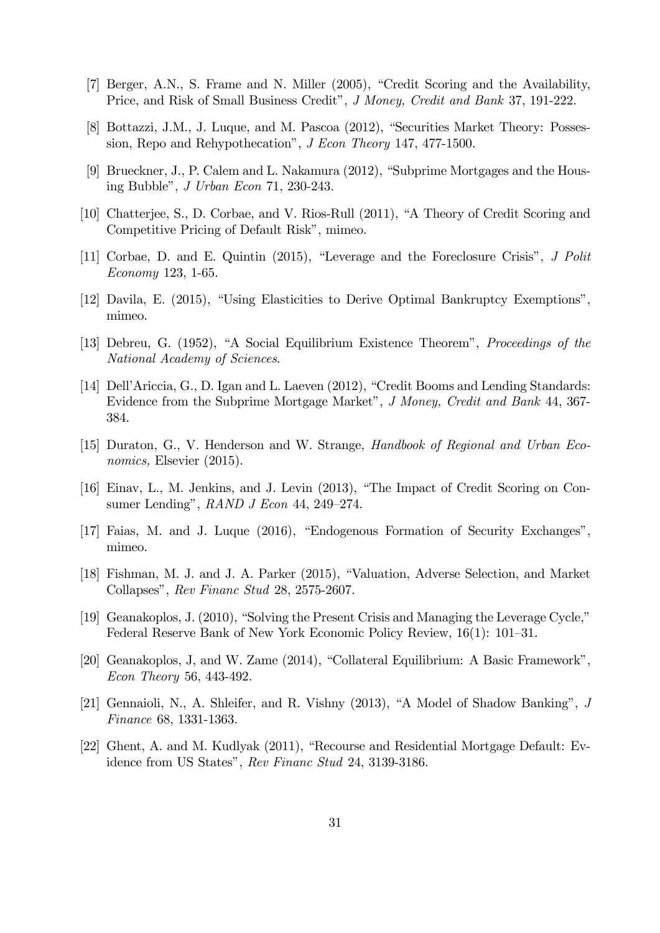- [7] Berger, A.N., S. Frame and N. Miller (2005), "Credit Scoring and the Availability, Price, and Risk of Small Business Credit", J Money, Credit and Bank 37, 191-222.
- [8] Bottazzi, J.M., J. Luque, and M. Pascoa (2012), "Securities Market Theory: Possession, Repo and Rehypothecation", *J Econ Theory* 147, 477-1500.
- [9] Brueckner, J., P. Calem and L. Nakamura  $(2012)$ , "Subprime Mortgages and the Housing Bubble", *J Urban Econ* 71, 230-243.
- [10] Chatterjee, S., D. Corbae, and V. Rios-Rull (2011), "A Theory of Credit Scoring and Competitive Pricing of Default Risk", mimeo.
- [11] Corbae, D. and E. Quintin  $(2015)$ , "Leverage and the Foreclosure Crisis", J Polit Economy 123, 1-65.
- [12] Davila, E. (2015), "Using Elasticities to Derive Optimal Bankruptcy Exemptions", mimeo.
- [13] Debreu, G. (1952), "A Social Equilibrium Existence Theorem", *Proceedings of the* National Academy of Sciences.
- [14] Dell'Ariccia, G., D. Igan and L. Laeven (2012), "Credit Booms and Lending Standards: Evidence from the Subprime Mortgage Market", J Money, Credit and Bank 44, 367-384.
- [15] Duraton, G., V. Henderson and W. Strange, Handbook of Regional and Urban Economics, Elsevier (2015).
- [16] Einav, L., M. Jenkins, and J. Levin (2013), "The Impact of Credit Scoring on Consumer Lending",  $RAND~J Econ~44, 249-274.$
- [17] Faias, M. and J. Luque (2016), "Endogenous Formation of Security Exchanges", mimeo.
- [18] Fishman, M. J. and J. A. Parker (2015), "Valuation, Adverse Selection, and Market Collapses", Rev Financ Stud 28, 2575-2607.
- [19] Geanakoplos, J.  $(2010)$ , "Solving the Present Crisis and Managing the Leverage Cycle," Federal Reserve Bank of New York Economic Policy Review,  $16(1)$ :  $101-31$ .
- [20] Geanakoplos, J, and W. Zame  $(2014)$ , "Collateral Equilibrium: A Basic Framework", Econ Theory 56, 443-492.
- [21] Gennaioli, N., A. Shleifer, and R. Vishny  $(2013)$ , "A Model of Shadow Banking", J Finance 68, 1331-1363.
- [22] Ghent, A. and M. Kudlyak  $(2011)$ , "Recourse and Residential Mortgage Default: Evidence from US States", Rev Financ Stud 24, 3139-3186.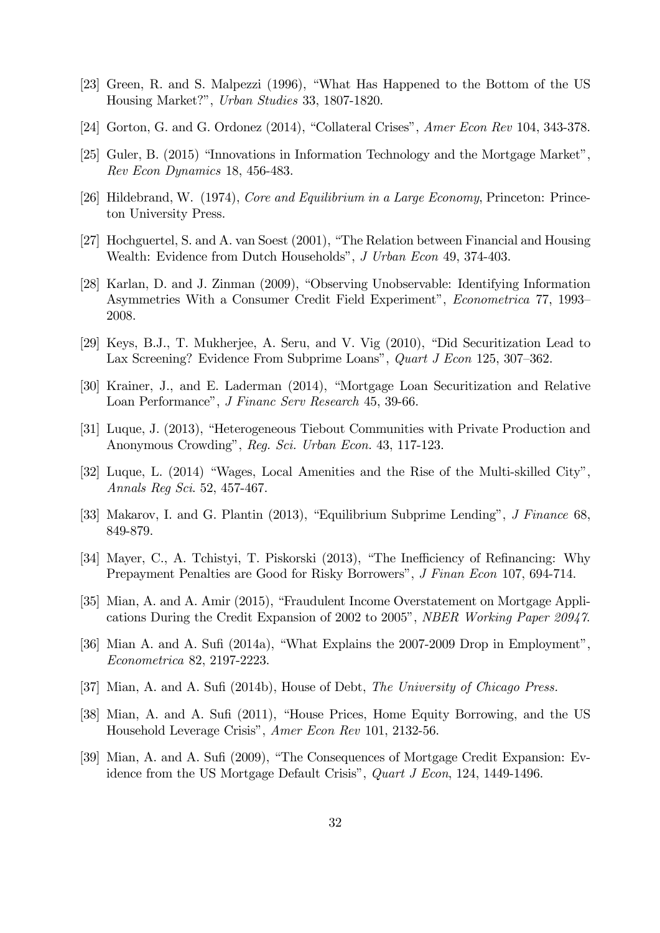- [23] Green, R. and S. Malpezzi (1996), "What Has Happened to the Bottom of the US Housing Market?î, Urban Studies 33, 1807-1820.
- [24] Gorton, G. and G. Ordonez  $(2014)$ , "Collateral Crises", Amer Econ Rev 104, 343-378.
- [25] Guler, B. (2015) "Innovations in Information Technology and the Mortgage Market", Rev Econ Dynamics 18, 456-483.
- [26] Hildebrand, W. (1974), Core and Equilibrium in a Large Economy, Princeton: Princeton University Press.
- [27] Hochguertel, S. and A. van Soest (2001), "The Relation between Financial and Housing Wealth: Evidence from Dutch Households", J Urban Econ 49, 374-403.
- [28] Karlan, D. and J. Zinman (2009), "Observing Unobservable: Identifying Information Asymmetries With a Consumer Credit Field Experiment", *Econometrica* 77, 1993– 2008.
- $[29]$  Keys, B.J., T. Mukherjee, A. Seru, and V. Vig  $(2010)$ , "Did Securitization Lead to Lax Screening? Evidence From Subprime Loans", Quart J Econ 125, 307–362.
- [30] Krainer, J., and E. Laderman (2014), "Mortgage Loan Securitization and Relative Loan Performance", *J Financ Serv Research* 45, 39-66.
- [31] Luque, J. (2013), "Heterogeneous Tiebout Communities with Private Production and Anonymous Crowding", Reg. Sci. Urban Econ. 43, 117-123.
- [32] Luque, L.  $(2014)$  "Wages, Local Amenities and the Rise of the Multi-skilled City", Annals Reg Sci. 52, 457-467.
- [33] Makarov, I. and G. Plantin  $(2013)$ , "Equilibrium Subprime Lending", J Finance 68. 849-879.
- [34] Mayer, C., A. Tchistyi, T. Piskorski (2013), "The Inefficiency of Refinancing: Why Prepayment Penalties are Good for Risky Borrowers", J Finan Econ 107, 694-714.
- [35] Mian, A. and A. Amir (2015), "Fraudulent Income Overstatement on Mortgage Applications During the Credit Expansion of 2002 to 2005", NBER Working Paper 20947.
- [36] Mian A. and A. Sufi (2014a), "What Explains the 2007-2009 Drop in Employment", Econometrica 82, 2197-2223.
- [37] Mian, A. and A. Sufi (2014b), House of Debt, The University of Chicago Press.
- [38] Mian, A. and A. Sufi (2011), "House Prices, Home Equity Borrowing, and the US Household Leverage Crisis", Amer Econ Rev 101, 2132-56.
- [39] Mian, A. and A. Sufi (2009), "The Consequences of Mortgage Credit Expansion: Evidence from the US Mortgage Default Crisis", Quart J Econ, 124, 1449-1496.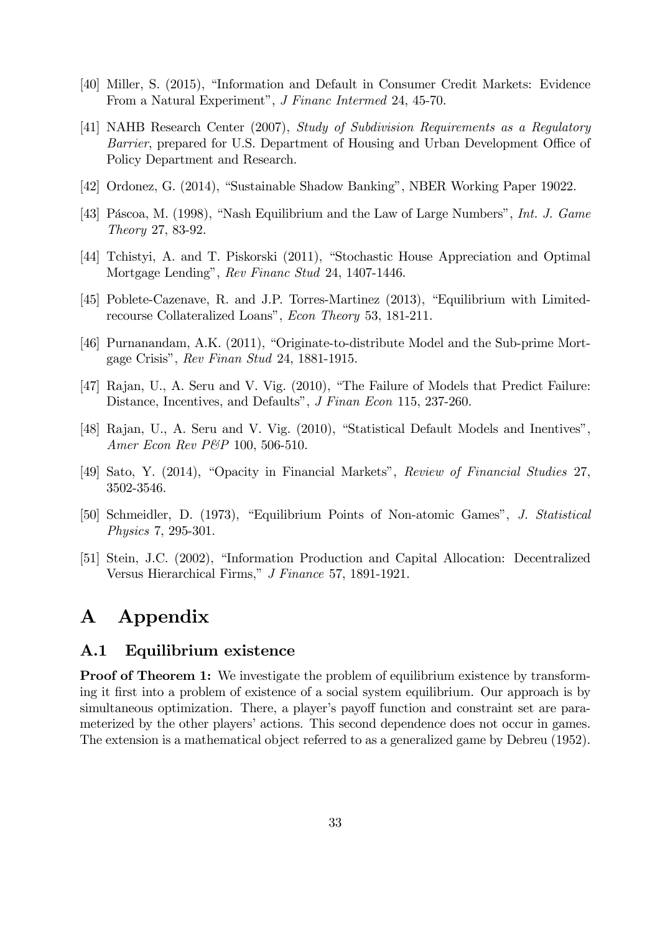- [40] Miller, S. (2015), "Information and Default in Consumer Credit Markets: Evidence From a Natural Experiment", *J Financ Intermed* 24, 45-70.
- [41] NAHB Research Center (2007), Study of Subdivision Requirements as a Regulatory Barrier, prepared for U.S. Department of Housing and Urban Development Office of Policy Department and Research.
- [42] Ordonez, G. (2014), "Sustainable Shadow Banking", NBER Working Paper 19022.
- [43] Páscoa, M. (1998), "Nash Equilibrium and the Law of Large Numbers", Int. J. Game Theory 27, 83-92.
- [44] Tchistyi, A. and T. Piskorski (2011), "Stochastic House Appreciation and Optimal Mortgage Lending", Rev Financ Stud 24, 1407-1446.
- $[45]$  Poblete-Cazenave, R. and J.P. Torres-Martinez  $(2013)$ , "Equilibrium with Limitedrecourse Collateralized Loans", Econ Theory 53, 181-211.
- [46] Purnanandam, A.K.  $(2011)$ , "Originate-to-distribute Model and the Sub-prime Mortgage Crisis", Rev Finan Stud 24, 1881-1915.
- [47] Rajan, U., A. Seru and V. Vig. (2010), "The Failure of Models that Predict Failure: Distance, Incentives, and Defaults", *J Finan Econ* 115, 237-260.
- [48] Rajan, U., A. Seru and V. Vig. (2010), "Statistical Default Models and Inentives", Amer Econ Rev P&P 100, 506-510.
- [49] Sato, Y. (2014), "Opacity in Financial Markets", Review of Financial Studies 27, 3502-3546.
- [50] Schmeidler, D. (1973), "Equilibrium Points of Non-atomic Games", J. Statistical Physics 7, 295-301.
- [51] Stein, J.C. (2002), "Information Production and Capital Allocation: Decentralized Versus Hierarchical Firms," J Finance 57, 1891-1921.

# A Appendix

### A.1 Equilibrium existence

**Proof of Theorem 1:** We investigate the problem of equilibrium existence by transforming it Örst into a problem of existence of a social system equilibrium. Our approach is by simultaneous optimization. There, a player's payoff function and constraint set are parameterized by the other players' actions. This second dependence does not occur in games. The extension is a mathematical object referred to as a generalized game by Debreu (1952).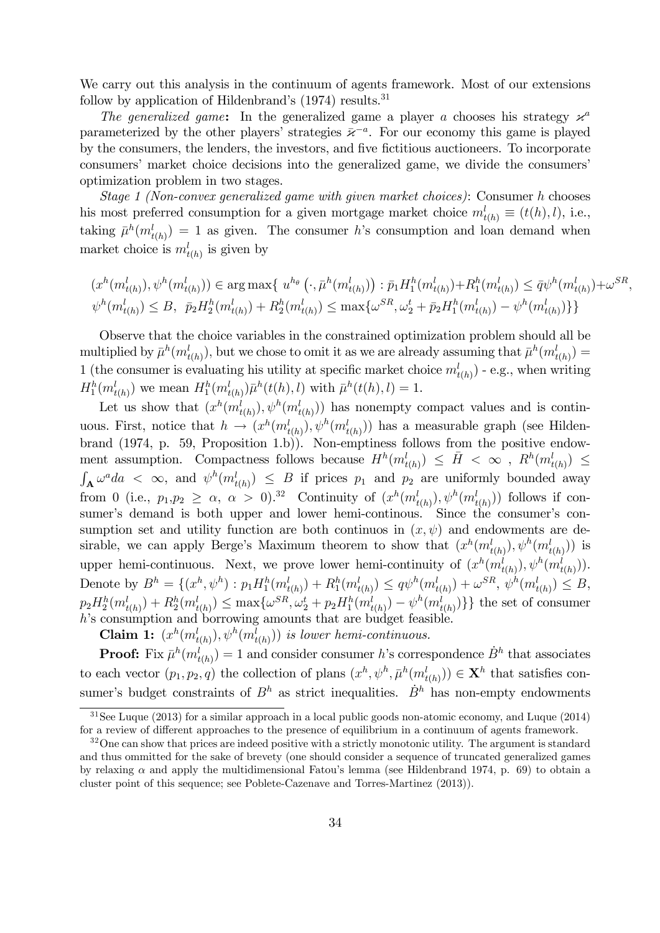We carry out this analysis in the continuum of agents framework. Most of our extensions follow by application of Hildenbrand's  $(1974)$  results.<sup>31</sup>

The generalized game: In the generalized game a player a chooses his strategy  $\varkappa^a$ parameterized by the other players' strategies  $\bar{\varkappa}^{-a}$ . For our economy this game is played by the consumers, the lenders, the investors, and Öve Öctitious auctioneers. To incorporate consumers' market choice decisions into the generalized game, we divide the consumers' optimization problem in two stages.

Stage 1 (Non-convex generalized game with given market choices): Consumer h chooses his most preferred consumption for a given mortgage market choice  $m_{t(h)}^l \equiv (t(h), l)$ , i.e., taking  $\bar{\mu}^h(m^l_{t(h)}) = 1$  as given. The consumer h's consumption and loan demand when market choice is  $m_{t(h)}^l$  is given by

$$
(x^h(m_{t(h)}^l), \psi^h(m_{t(h)}^l)) \in \arg\max\{u^{h_{\theta}}(\cdot, \bar{\mu}^h(m_{t(h)}^l)) : \bar{p}_1 H_1^h(m_{t(h)}^l) + R_1^h(m_{t(h)}^l) \leq \bar{q}\psi^h(m_{t(h)}^l) + \omega^{SR},
$$
  

$$
\psi^h(m_{t(h)}^l) \leq B, \ \bar{p}_2 H_2^h(m_{t(h)}^l) + R_2^h(m_{t(h)}^l) \leq \max\{\omega^{SR}, \omega_2^t + \bar{p}_2 H_1^h(m_{t(h)}^l) - \psi^h(m_{t(h)}^l)\}\}
$$

Observe that the choice variables in the constrained optimization problem should all be multiplied by  $\bar{\mu}^h(m^l_{t(h)})$ , but we chose to omit it as we are already assuming that  $\bar{\mu}^h(m^l_{t(h)}) =$ 1 (the consumer is evaluating his utility at specific market choice  $m_{t(h)}^l$ ) - e.g., when writing  $H_1^h(m_{t(h)}^l)$  we mean  $H_1^h(m_{t(h)}^l)\bar{\mu}^h(t(h),l)$  with  $\bar{\mu}^h(t(h),l) = 1$ .

Let us show that  $(x^h(m^l_{t(h)}), \psi^h(m^l_{t(h)}))$  has nonempty compact values and is continuous. First, notice that  $h \to (x^h(m^l_{t(h)}), \psi^h(m^l_{t(h)}))$  has a measurable graph (see Hildenbrand (1974, p. 59, Proposition 1.b)). Non-emptiness follows from the positive endowment assumption. Compactness follows because  $H^h(m^l_{t(h)}) \leq \bar{H} < \infty$ ,  $R^h(m^l_{t(h)}) \leq$  $\int_{\mathbf{A}} \omega^a da \leq \infty$ , and  $\psi^h(m^l_{t(h)}) \leq B$  if prices  $p_1$  and  $p_2$  are uniformly bounded away from 0 (i.e.,  $p_1, p_2 \ge \alpha$ ,  $\alpha > 0$ ).<sup>32</sup> Continuity of  $(x^h(m^l_{t(h)}), \psi^h(m^l_{t(h)}))$  follows if consumer's demand is both upper and lower hemi-continous. Since the consumer's consumption set and utility function are both continuos in  $(x, \psi)$  and endowments are desirable, we can apply Berge's Maximum theorem to show that  $(x^h(m^l_{t(h)}), \psi^h(m^l_{t(h)}))$  is upper hemi-continuous. Next, we prove lower hemi-continuity of  $(x^h(m^l_{t(h)}), \psi^h(m^l_{t(h)})).$ Denote by  $B^h = \{(x^h, \psi^h) : p_1 H_1^h(m_{t(h)}^l) + R_1^h(m_{t(h)}^l) \le q\psi^h(m_{t(h)}^l) + \omega^{SR}, \psi^h(m_{t(h)}^l) \le B,$  $p_2H_2^h(m_{t(h)}^l) + R_2^h(m_{t(h)}^l) \le \max\{\omega^{SR}, \omega_2^t + p_2H_1^h(m_{t(h)}^l) - \psi^h(m_{t(h)}^l)\}\}$  the set of consumer h's consumption and borrowing amounts that are budget feasible.

**Claim 1:**  $(x^h(m^l_{t(h)}), \psi^h(m^l_{t(h)}))$  is lower hemi-continuous.

**Proof:** Fix  $\bar{\mu}^h(m_{t(h)}^l) = 1$  and consider consumer h's correspondence  $\dot{B}^h$  that associates to each vector  $(p_1, p_2, q)$  the collection of plans  $(x^h, \psi^h, \bar{\mu}^h(m^l_{t(h)})) \in \mathbf{X}^h$  that satisfies consumer's budget constraints of  $B^h$  as strict inequalities.  $\dot{B}^h$  has non-empty endowments

 $31$ See Luque (2013) for a similar approach in a local public goods non-atomic economy, and Luque (2014) for a review of different approaches to the presence of equilibrium in a continuum of agents framework.

 $32$ One can show that prices are indeed positive with a strictly monotonic utility. The argument is standard and thus ommitted for the sake of brevety (one should consider a sequence of truncated generalized games by relaxing  $\alpha$  and apply the multidimensional Fatou's lemma (see Hildenbrand 1974, p. 69) to obtain a cluster point of this sequence; see Poblete-Cazenave and Torres-Martinez (2013)).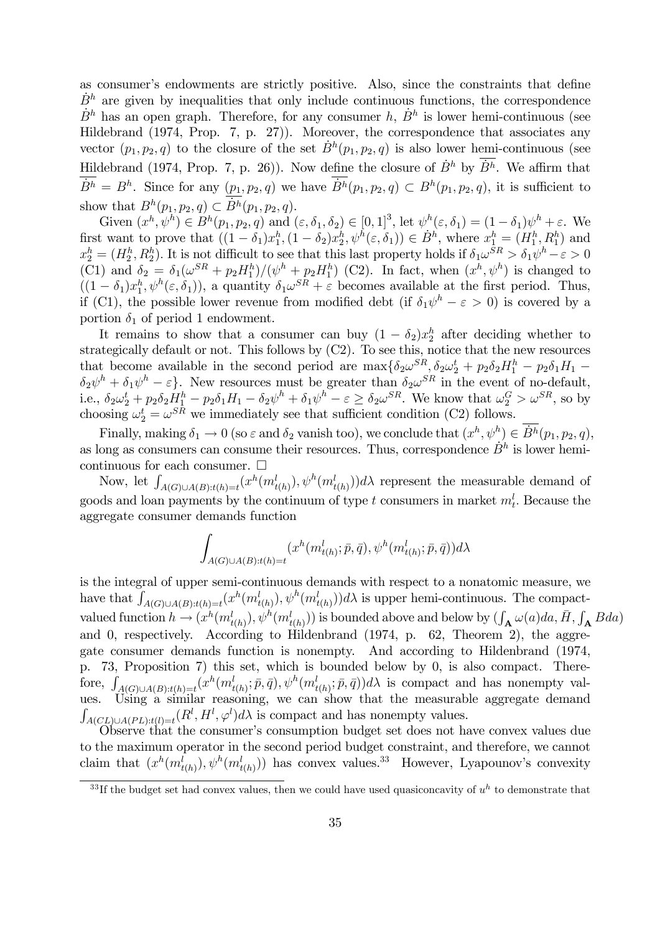as consumer's endowments are strictly positive. Also, since the constraints that define  $B<sup>h</sup>$  are given by inequalities that only include continuous functions, the correspondence  $\dot{B}^h$  has an open graph. Therefore, for any consumer h,  $\dot{B}^h$  is lower hemi-continuous (see Hildebrand (1974, Prop. 7, p. 27)). Moreover, the correspondence that associates any vector  $(p_1, p_2, q)$  to the closure of the set  $\dot{B}^h(p_1, p_2, q)$  is also lower hemi-continuous (see Hildebrand (1974, Prop. 7, p. 26)). Now define the closure of  $\dot{B}^h$  by  $\dot{B}^h$ . We affirm that  $\dot{B}^h = B^h$ . Since for any  $(p_1, p_2, q)$  we have  $\dot{B}^h(p_1, p_2, q) \subset B^h(p_1, p_2, q)$ , it is sufficient to show that  $B^h(p_1, p_2, q) \subset \dot{B}^h(p_1, p_2, q)$ .

Given  $(x^h, \psi^h) \in B^h(p_1, p_2, q)$  and  $(\varepsilon, \delta_1, \delta_2) \in [0, 1]^3$ , let  $\psi^h(\varepsilon, \delta_1) = (1 - \delta_1)\psi^h + \varepsilon$ . We first want to prove that  $((1 - \delta_1)x_1^h, (1 - \delta_2)x_2^h, \psi^h(\varepsilon, \delta_1)) \in \dot{B}^h$ , where  $x_1^h = (H_1^h, R_1^h)$  and  $x_2^h = (H_2^h, R_2^h)$ . It is not difficult to see that this last property holds if  $\delta_1 \omega^{SR} > \delta_1 \psi^h - \varepsilon > 0$ (C1) and  $\delta_2 = \delta_1(\omega^{SR} + p_2H_1^h)/(\psi^h + p_2H_1^h)$  (C2). In fact, when  $(x^h, \psi^h)$  is changed to  $((1 - \delta_1)x_1^h, \psi^h(\varepsilon, \delta_1)),$  a quantity  $\delta_1 \omega^{SR} + \varepsilon$  becomes available at the first period. Thus, if (C1), the possible lower revenue from modified debt (if  $\delta_1 \psi^h - \varepsilon > 0$ ) is covered by a portion  $\delta_1$  of period 1 endowment.

It remains to show that a consumer can buy  $(1 - \delta_2)x_2^h$  after deciding whether to strategically default or not. This follows by (C2). To see this, notice that the new resources that become available in the second period are  $\max{\{\delta_2\omega^{SR}, \delta_2\omega_2^t + p_2\delta_2H_1^h - p_2\delta_1H_1 - p_3\delta_2\}}$  $\delta_2 \psi^h + \delta_1 \psi^h - \varepsilon$ . New resources must be greater than  $\delta_2 \omega^{SR}$  in the event of no-default, i.e.,  $\delta_2 \omega_2^t + p_2 \delta_2 H_1^h - p_2 \delta_1 H_1 - \delta_2 \psi^h + \delta_1 \psi^h - \varepsilon \ge \delta_2 \omega^{SR}$ . We know that  $\omega_2^G > \omega^{SR}$ , so by choosing  $\omega_2^t = \omega^{SR}$  we immediately see that sufficient condition (C2) follows.

Finally, making  $\delta_1 \to 0$  (so  $\varepsilon$  and  $\delta_2$  vanish too), we conclude that  $(x^h, \psi^h) \in \dot{B}^h(p_1, p_2, q)$ , as long as consumers can consume their resources. Thus, correspondence  $\dot{B}^h$  is lower hemicontinuous for each consumer.  $\square$ 

Now, let  $\int_{A(G)\cup A(B):t(h)=t}(x^h(m_{t(h)}^l), \psi^h(m_{t(h)}^l))d\lambda$  represent the measurable demand of goods and loan payments by the continuum of type t consumers in market  $m_t^l$ . Because the aggregate consumer demands function

$$
\int_{A(G)\cup A(B):t(h)=t} (x^h(m^l_{t(h)};\bar{p},\bar{q}),\psi^h(m^l_{t(h)};\bar{p},\bar{q}))d\lambda
$$

is the integral of upper semi-continuous demands with respect to a nonatomic measure, we have that  $\int_{A(G)\cup A(B):t(h)=t}(x^h(m_{t(h)}^l), \psi^h(m_{t(h)}^l))d\lambda$  is upper hemi-continuous. The compactvalued function  $h \to (x^h(m^l_{t(h)}), \psi^h(m^l_{t(h)}))$  is bounded above and below by  $(\int_{\mathbf{A}} \omega(a)da, \overline{H}, \int_{\mathbf{A}} Bda)$ and 0, respectively. According to Hildenbrand (1974, p. 62, Theorem 2), the aggregate consumer demands function is nonempty. And according to Hildenbrand (1974, p. 73, Proposition 7) this set, which is bounded below by 0, is also compact. Therefore,  $\int_{A(G)\cup A(B):t(h)=t} (x^h(m^l_{t(h)};\bar{p},\bar{q}),\psi^h(m^l_{t(h)};\bar{p},\bar{q}))d\lambda$  is compact and has nonempty values. Using a similar reasoning, we can show that the measurable aggregate demand R  $A(CL)\cup A(PL):t(l)=t(R^l, H^l, \varphi^l)d\lambda$  is compact and has nonempty values.

Observe that the consumer's consumption budget set does not have convex values due to the maximum operator in the second period budget constraint, and therefore, we cannot claim that  $(x^h(m^l_{t(h)}), \psi^h(m^l_{t(h)}))$  has convex values.<sup>33</sup> However, Lyapounov's convexity

<sup>&</sup>lt;sup>33</sup>If the budget set had convex values, then we could have used quasiconcavity of  $u<sup>h</sup>$  to demonstrate that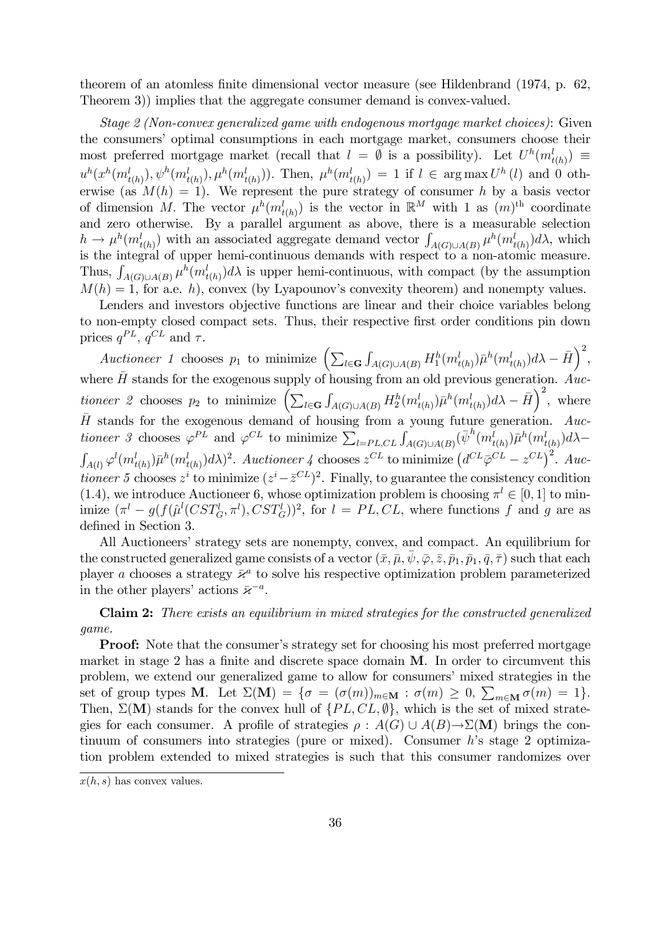theorem of an atomless finite dimensional vector measure (see Hildenbrand (1974, p. 62, Theorem 3)) implies that the aggregate consumer demand is convex-valued.

Stage 2 (Non-convex generalized game with endogenous mortgage market choices): Given the consumers' optimal consumptions in each mortgage market, consumers choose their most preferred mortgage market (recall that  $l = \emptyset$  is a possibility). Let  $U^h(m^l_{t(h)}) \equiv$  $u^h(x^h(m^l_{t(h)}), \psi^h(m^l_{t(h)}), \mu^h(m^l_{t(h)}))$ . Then,  $\mu^h(m^l_{t(h)}) = 1$  if  $l \in \arg \max U^h(l)$  and 0 otherwise (as  $M(h) = 1$ ). We represent the pure strategy of consumer h by a basis vector of dimension M. The vector  $\mu^h(m_{t(h)}^l)$  is the vector in  $\mathbb{R}^M$  with 1 as  $(m)$ <sup>th</sup> coordinate and zero otherwise. By a parallel argument as above, there is a measurable selection  $h \to \mu^h(m^l_{t(h)})$  with an associated aggregate demand vector  $\int_{A(G)\cup A(B)} \mu^h(m^l_{t(h)}) d\lambda$ , which is the integral of upper hemi-continuous demands with respect to a non-atomic measure. Thus,  $\int_{A(G)\cup A(B)} \mu^h(m_{t(h)}^l) d\lambda$  is upper hemi-continuous, with compact (by the assumption  $M(h) = 1$ , for a.e. h), convex (by Lyapounov's convexity theorem) and nonempty values.

Lenders and investors objective functions are linear and their choice variables belong to non-empty closed compact sets. Thus, their respective first order conditions pin down prices  $q^{PL}$ ,  $q^{CL}$  and  $\tau$ .

Auctioneer 1 chooses  $p_1$  to minimize  $\left( \sum_{l \in \mathbf{G}} p_l \right)$  $\int_{A(G)\cup A(B)} H_1^h(m_{t(h)}^l)\bar{\mu}^h(m_{t(h)}^l)d\lambda - \bar{H}\right)^2$ where  $\bar{H}$  stands for the exogenous supply of housing from an old previous generation. Auctioneer 2 chooses  $p_2$  to minimize  $\left( \sum_{l \in \mathbf{G}} p_l \right)$  $\int_{A(G)\cup A(B)} H_2^h(m_{t(h)}^l)\bar{\mu}^h(m_{t(h)}^l)d\lambda - \bar{H}\right)^2$ , where  $\bar{H}$  stands for the exogenous demand of housing from a young future generation. Auctioneer 3 chooses  $\varphi^{PL}$  and  $\varphi^{CL}$  to minimize  $\sum_{l=PL,CL} \int_{A(G)\cup A(B)} (\bar{\psi}^h(m^l_{t(h)}) \bar{\mu}^h(m^l_{t(h)}) d\lambda \int_{A(l)} \varphi^l(m_{t(h)}^l) \bar{\mu}^h(m_{t(h)}^l) d\lambda)^2$ . Auctioneer 4 chooses  $z^{CL}$  to minimize  $(d^{CL} \bar{\varphi}^{CL} - z^{CL})^2$ . Auctioneer 5 chooses  $z^i$  to minimize  $(z^i - \bar{z}^{CL})^2$ . Finally, to guarantee the consistency condition (1.4), we introduce Auctioneer 6, whose optimization problem is choosing  $\pi^{l} \in [0, 1]$  to minimize  $(\pi^l - g(f(\hat{\mu}^l(CST_G^l, \pi^l), SST_G^l))^2$ , for  $l = PL, CL$ , where functions f and g are as defined in Section 3.

All Auctioneers' strategy sets are nonempty, convex, and compact. An equilibrium for the constructed generalized game consists of a vector  $(\bar{x}, \bar{\mu}, \bar{\psi}, \bar{\varphi}, \bar{z}, \bar{p}_1, \bar{p}_1, \bar{q}, \bar{\tau})$  such that each player a chooses a strategy  $\bar{\varkappa}^a$  to solve his respective optimization problem parameterized in the other players' actions  $\bar{\varkappa}^{-a}$ .

Claim 2: There exists an equilibrium in mixed strategies for the constructed generalized game.

**Proof:** Note that the consumer's strategy set for choosing his most preferred mortgage market in stage 2 has a finite and discrete space domain  $M$ . In order to circumvent this problem, we extend our generalized game to allow for consumers' mixed strategies in the set of group types **M**. Let  $\Sigma(\mathbf{M}) = \{ \sigma = (\sigma(m))_{m \in \mathbf{M}} : \sigma(m) \geq 0, \sum_{m \in \mathbf{M}} \sigma(m) = 1 \}.$ Then,  $\Sigma(\mathbf{M})$  stands for the convex hull of  $\{PL, CL, \emptyset\}$ , which is the set of mixed strategies for each consumer. A profile of strategies  $\rho : A(G) \cup A(B) \rightarrow \Sigma(M)$  brings the continuum of consumers into strategies (pure or mixed). Consumer hís stage 2 optimization problem extended to mixed strategies is such that this consumer randomizes over

 $x(h, s)$  has convex values.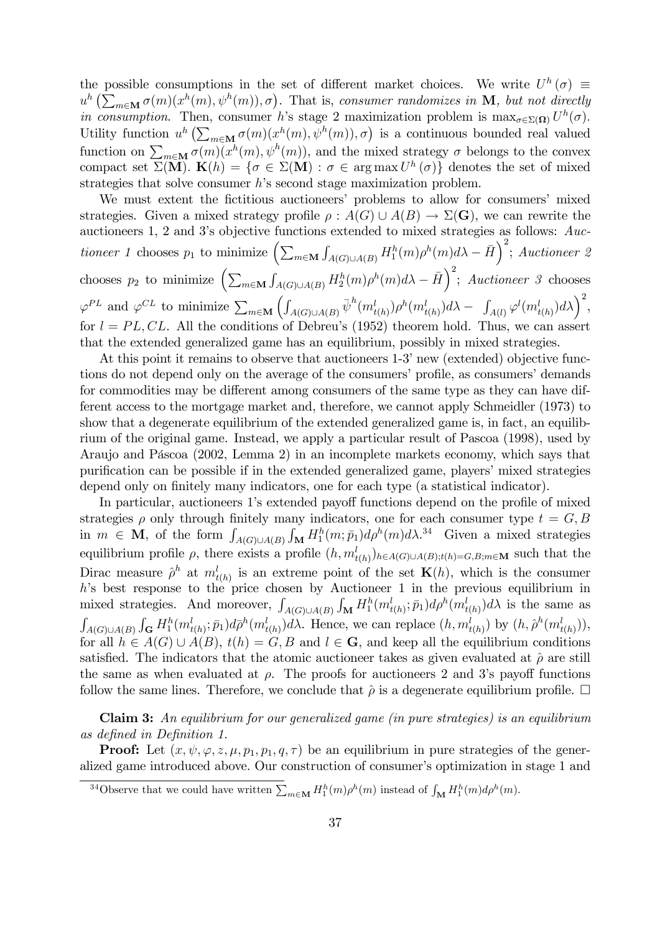the possible consumptions in the set of different market choices. We write  $U^h(\sigma) \equiv$  $u^h\left(\sum_{m\in\mathbf{M}}\sigma(m)(x^h(m),\psi^h(m)),\sigma\right)$ . That is, consumer randomizes in **M**, but not directly in consumption. Then, consumer h's stage 2 maximization problem is  $\max_{\sigma \in \Sigma(\Omega)} U^h(\sigma)$ . Utility function  $u^h\left(\sum_{m\in\mathbf{M}}\sigma(m)(x^h(m),\psi^h(m)),\sigma\right)$  is a continuous bounded real valued function on  $\sum_{m\in \mathbf{M}} \sigma(m)(x^h(m), \psi^h(m))$ , and the mixed strategy  $\sigma$  belongs to the convex compact set  $\Sigma(\mathbf{M})$ .  $\mathbf{K}(h) = \{ \sigma \in \Sigma(\mathbf{M}) : \sigma \in \arg \max U^h(\sigma) \}$  denotes the set of mixed strategies that solve consumer  $h$ 's second stage maximization problem.

We must extent the fictitious auctioneers' problems to allow for consumers' mixed strategies. Given a mixed strategy profile  $\rho : A(G) \cup A(B) \to \Sigma(G)$ , we can rewrite the auctioneers 1, 2 and 3ís objective functions extended to mixed strategies as follows: Auctioneer 1 chooses  $p_1$  to minimize  $\left(\sum_{m\in\mathbf{M}}\right)$  $\int_{A(G)\cup A(B)} H_1^h(m)\rho^h(m)d\lambda - \bar{H}\bigg)^2$ ; Auctioneer 2 chooses  $p_2$  to minimize  $\left(\sum_{m\in\mathbf{M}}\right)$  $\int_{A(G)\cup A(B)} H_2^h(m)\rho^h(m)d\lambda - \bar{H}\right)^2$ ; Auctioneer 3 chooses  $\varphi^{PL}$  and  $\varphi^{CL}$  to minimize  $\sum_{m\in\mathbf{M}}$  $\overline{\mathcal{L}}$  $\int_{A(G)\cup A(B)}\bar{\psi}^h(m^l_{t(h)})\rho^h(m^l_{t(h)})d\lambda-\int_{A(l)}\varphi^l(m^l_{t(h)})d\lambda\bigg)^2,$ for  $l = PL, CL$ . All the conditions of Debreu's (1952) theorem hold. Thus, we can assert that the extended generalized game has an equilibrium, possibly in mixed strategies.

At this point it remains to observe that auctioneers 1-3' new (extended) objective functions do not depend only on the average of the consumers' profile, as consumers' demands for commodities may be different among consumers of the same type as they can have different access to the mortgage market and, therefore, we cannot apply Schmeidler (1973) to show that a degenerate equilibrium of the extended generalized game is, in fact, an equilibrium of the original game. Instead, we apply a particular result of Pascoa (1998), used by Araujo and Páscoa  $(2002, \text{ Lemma 2})$  in an incomplete markets economy, which says that purification can be possible if in the extended generalized game, players' mixed strategies depend only on finitely many indicators, one for each type (a statistical indicator).

In particular, auctioneers 1's extended payoff functions depend on the profile of mixed strategies  $\rho$  only through finitely many indicators, one for each consumer type  $t = G, B$ in  $m \in \mathbf{M}$ , of the form  $\int_{A(G)\cup A(B)}$  $\int_{\mathbf{M}} H_1^h(m; \bar{p}_1) d\rho^h(m) d\lambda^{34}$  Given a mixed strategies equilibrium profile  $\rho$ , there exists a profile  $(h, m_{t(h)}^l)_{h \in A(G) \cup A(B); t(h) = G, B; m \in M}$  such that the Dirac measure  $\hat{\rho}^h$  at  $m_{t(h)}^l$  is an extreme point of the set  $\mathbf{K}(h)$ , which is the consumer  $h$ 's best response to the price chosen by Auctioneer 1 in the previous equilibrium in mixed strategies. And moreover,  $\int_{A(G)\cup A(B)}$  $\int_{\mathbf{M}} H_1^h(m_{t(h)}^l; \bar{p}_1) d\rho^h(m_{t(h)}^l) d\lambda$  is the same as R  $A(G)\cup A(B)$  $\int_{\mathbf{G}} H_1^h(m_{t(h)}^l; \bar{p}_1) d\bar{\rho}^h(m_{t(h)}^l) d\lambda$ . Hence, we can replace  $(h, m_{t(h)}^l)$  by  $(h, \hat{\rho}^h(m_{t(h)}^l)),$ for all  $h \in A(G) \cup A(B)$ ,  $t(h) = G, B$  and  $l \in G$ , and keep all the equilibrium conditions satisfied. The indicators that the atomic auctioneer takes as given evaluated at  $\hat{\rho}$  are still the same as when evaluated at  $\rho$ . The proofs for auctioneers 2 and 3's payoff functions follow the same lines. Therefore, we conclude that  $\hat{\rho}$  is a degenerate equilibrium profile.  $\Box$ 

Claim 3: An equilibrium for our generalized game (in pure strategies) is an equilibrium as deÖned in DeÖnition 1.

**Proof:** Let  $(x, \psi, \varphi, z, \mu, p_1, p_1, q, \tau)$  be an equilibrium in pure strategies of the generalized game introduced above. Our construction of consumer's optimization in stage 1 and

<sup>&</sup>lt;sup>34</sup>Observe that we could have written  $\sum_{m\in \mathbf{M}} H_1^h(m)\rho^h(m)$  instead of  $\int_{\mathbf{M}} H_1^h(m)d\rho^h(m)$ .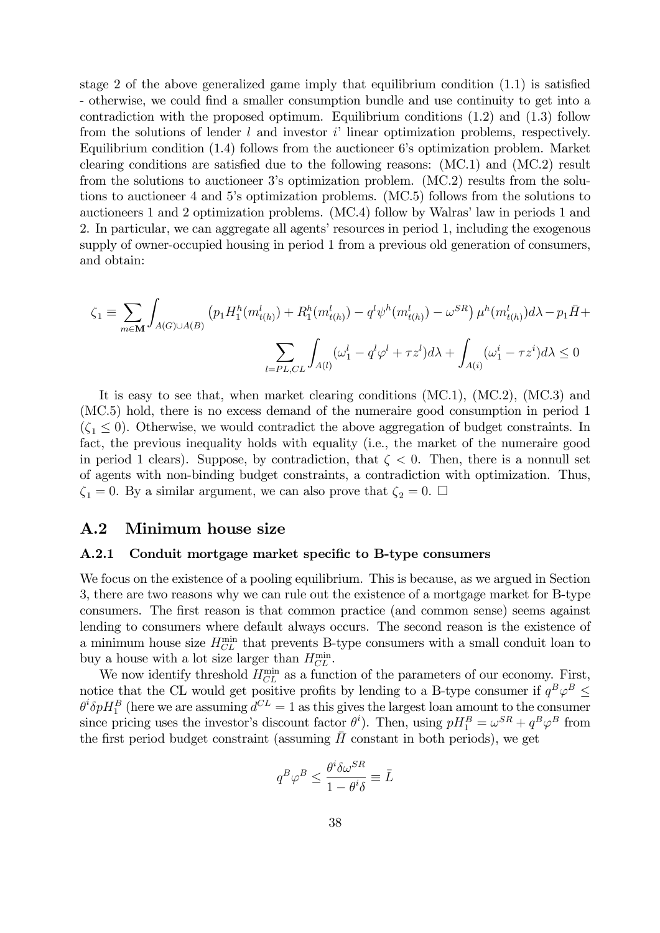stage 2 of the above generalized game imply that equilibrium condition  $(1.1)$  is satisfied - otherwise, we could Önd a smaller consumption bundle and use continuity to get into a contradiction with the proposed optimum. Equilibrium conditions (1.2) and (1.3) follow from the solutions of lender  $l$  and investor  $i'$  linear optimization problems, respectively. Equilibrium condition  $(1.4)$  follows from the auctioneer 6's optimization problem. Market clearing conditions are satisfied due to the following reasons:  $(MC.1)$  and  $(MC.2)$  result from the solutions to auctioneer 3ís optimization problem. (MC.2) results from the solutions to auctioneer 4 and 5ís optimization problems. (MC.5) follows from the solutions to auctioneers 1 and 2 optimization problems. (MC.4) follow by Walras' law in periods 1 and 2. In particular, we can aggregate all agents' resources in period 1, including the exogenous supply of owner-occupied housing in period 1 from a previous old generation of consumers, and obtain:

$$
\zeta_1 \equiv \sum_{m \in \mathbf{M}} \int_{A(G) \cup A(B)} \left( p_1 H_1^h(m_{t(h)}^l) + R_1^h(m_{t(h)}^l) - q^l \psi^h(m_{t(h)}^l) - \omega^{SR} \right) \mu^h(m_{t(h)}^l) d\lambda - p_1 \bar{H} + \sum_{l = PL, CL} \int_{A(l)} (\omega_1^l - q^l \varphi^l + \tau z^l) d\lambda + \int_{A(i)} (\omega_1^i - \tau z^i) d\lambda \le 0
$$

It is easy to see that, when market clearing conditions (MC.1), (MC.2), (MC.3) and (MC.5) hold, there is no excess demand of the numeraire good consumption in period 1  $(\zeta_1 \leq 0)$ . Otherwise, we would contradict the above aggregation of budget constraints. In fact, the previous inequality holds with equality (i.e., the market of the numeraire good in period 1 clears). Suppose, by contradiction, that  $\zeta < 0$ . Then, there is a nonnull set of agents with non-binding budget constraints, a contradiction with optimization. Thus,  $\zeta_1 = 0$ . By a similar argument, we can also prove that  $\zeta_2 = 0$ .  $\Box$ 

### A.2 Minimum house size

#### A.2.1 Conduit mortgage market specific to B-type consumers

We focus on the existence of a pooling equilibrium. This is because, as we argued in Section 3, there are two reasons why we can rule out the existence of a mortgage market for B-type consumers. The first reason is that common practice (and common sense) seems against lending to consumers where default always occurs. The second reason is the existence of a minimum house size  $H_{CL}^{\min}$  that prevents B-type consumers with a small conduit loan to buy a house with a lot size larger than  $H_{CL}^{\min}$ .

We now identify threshold  $H_{CL}^{\min}$  as a function of the parameters of our economy. First, notice that the CL would get positive profits by lending to a B-type consumer if  $q^B \varphi^B \le$  $\theta^i \delta p H_1^B$  (here we are assuming  $d^{CL} = 1$  as this gives the largest loan amount to the consumer since pricing uses the investor's discount factor  $\theta^i$ ). Then, using  $pH_1^B = \omega^{SR} + q^B \varphi^B$  from the first period budget constraint (assuming  $\bar{H}$  constant in both periods), we get

$$
q^B \varphi^B \le \frac{\theta^i \delta \omega^{SR}}{1 - \theta^i \delta} \equiv \bar{L}
$$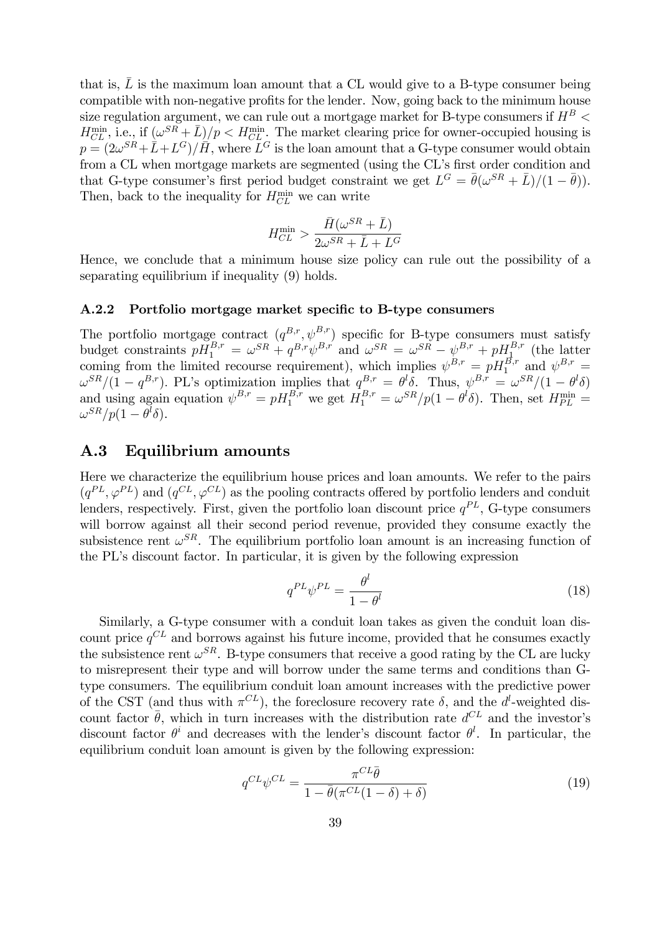that is,  $\bar{L}$  is the maximum loan amount that a CL would give to a B-type consumer being compatible with non-negative profits for the lender. Now, going back to the minimum house size regulation argument, we can rule out a mortgage market for B-type consumers if  $H^B$  <  $H_{CL}^{\min}$ , i.e., if  $(\omega^{SR} + \bar{L})/p < H_{CL}^{\min}$ . The market clearing price for owner-occupied housing is  $p = (2\omega^{SR} + \hat{L} + L^G)/\hat{H}$ , where  $\tilde{L}^G$  is the loan amount that a G-type consumer would obtain from a CL when mortgage markets are segmented (using the CL's first order condition and that G-type consumer's first period budget constraint we get  $L^G = \bar{\theta}(\omega^{SR} + \bar{L})/(1 - \bar{\theta})$ . Then, back to the inequality for  $H_{CL}^{\min}$  we can write

$$
H_{CL}^{\min} > \frac{\bar{H}(\omega^{SR}+\bar{L})}{2\omega^{SR}+\bar{L}+L^G}
$$

Hence, we conclude that a minimum house size policy can rule out the possibility of a separating equilibrium if inequality (9) holds.

#### A.2.2 Portfolio mortgage market specific to B-type consumers

The portfolio mortgage contract  $(q^{B,r}, \psi^{B,r})$  specific for B-type consumers must satisfy budget constraints  $pH_1^{B,r} = \omega^{SR} + q^{B,r} \psi^{B,r}$  and  $\omega^{SR} = \omega^{SR} - \psi^{B,r} + pH_1^{B,r}$  (the latter coming from the limited recourse requirement), which implies  $\psi^{B,r} = pH_1^{B,r}$  and  $\psi^{B,r} =$  $\omega^{SR}/(1-q^{B,r})$ . PL's optimization implies that  $q^{B,r} = \theta^l \delta$ . Thus,  $\psi^{B,r} = \omega^{SR}/(1-\theta^l \delta)$ and using again equation  $\psi^{B,r} = pH_1^{B,r}$  we get  $H_1^{B,r} = \omega^{SR}/p(1-\theta^l\delta)$ . Then, set  $H_{PL}^{\min} =$  $\omega^{SR}/p(1-\theta^l\delta).$ 

### A.3 Equilibrium amounts

Here we characterize the equilibrium house prices and loan amounts. We refer to the pairs  $(q^{PL}, \varphi^{PL})$  and  $(q^{CL}, \varphi^{CL})$  as the pooling contracts offered by portfolio lenders and conduit lenders, respectively. First, given the portfolio loan discount price  $q^{PL}$ , G-type consumers will borrow against all their second period revenue, provided they consume exactly the subsistence rent  $\omega^{SR}$ . The equilibrium portfolio loan amount is an increasing function of the PLís discount factor. In particular, it is given by the following expression

$$
q^{PL}\psi^{PL} = \frac{\theta^l}{1 - \theta^l} \tag{18}
$$

Similarly, a G-type consumer with a conduit loan takes as given the conduit loan discount price  $q^{CL}$  and borrows against his future income, provided that he consumes exactly the subsistence rent  $\omega^{SR}$ . B-type consumers that receive a good rating by the CL are lucky to misrepresent their type and will borrow under the same terms and conditions than Gtype consumers. The equilibrium conduit loan amount increases with the predictive power of the CST (and thus with  $\pi^{CL}$ ), the foreclosure recovery rate  $\delta$ , and the  $d^l$ -weighted discount factor  $\bar{\theta}$ , which in turn increases with the distribution rate  $d^{CL}$  and the investor's discount factor  $\theta^i$  and decreases with the lender's discount factor  $\theta^l$ . In particular, the equilibrium conduit loan amount is given by the following expression:

$$
q^{CL}\psi^{CL} = \frac{\pi^{CL}\bar{\theta}}{1 - \bar{\theta}(\pi^{CL}(1-\delta) + \delta)}
$$
(19)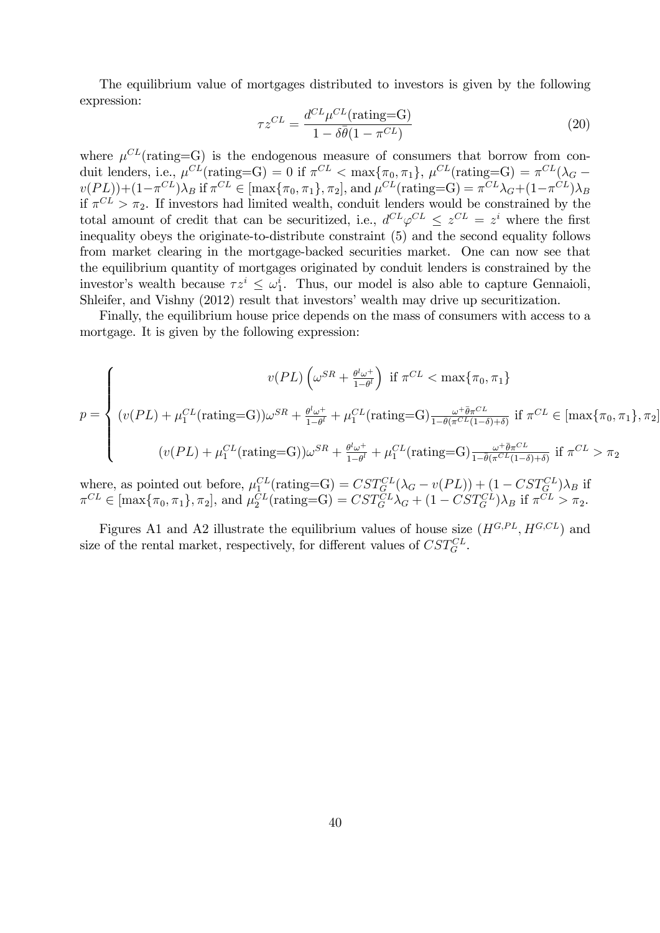The equilibrium value of mortgages distributed to investors is given by the following expression:

$$
\tau z^{CL} = \frac{d^{CL} \mu^{CL}(\text{rating}=G)}{1 - \delta \bar{\theta} (1 - \pi^{CL})}
$$
(20)

where  $\mu^{CL}$ (rating=G) is the endogenous measure of consumers that borrow from conduit lenders, i.e.,  $\mu^{CL}(\text{rating}=G) = 0$  if  $\pi^{CL} < \max{\pi_0, \pi_1}, \mu^{CL}(\text{rating}=G) = \pi^{CL}(\lambda_G v(PL)) + (1 - \pi^{CL})\lambda_B$  if  $\pi^{CL} \in [\max\{\pi_0, \pi_1\}, \pi_2]$ , and  $\mu^{CL}(\text{rating}=G) = \pi^{CL}\lambda_G + (1 - \pi^{CL})\lambda_B$ if  $\pi^{CL} > \pi_2$ . If investors had limited wealth, conduit lenders would be constrained by the total amount of credit that can be securitized, i.e.,  $d^{CL}\varphi^{CL} \leq z^{CL} = z^i$  where the first inequality obeys the originate-to-distribute constraint (5) and the second equality follows from market clearing in the mortgage-backed securities market. One can now see that the equilibrium quantity of mortgages originated by conduit lenders is constrained by the investor's wealth because  $\tau z^i \leq \omega_1^i$ . Thus, our model is also able to capture Gennaioli, Shleifer, and Vishny (2012) result that investors' wealth may drive up securitization.

Finally, the equilibrium house price depends on the mass of consumers with access to a mortgage. It is given by the following expression:

$$
p = \begin{cases} v(PL) \left(\omega^{SR} + \frac{\theta^l \omega^+}{1 - \theta^l}\right) & \text{if } \pi^{CL} < \max\{\pi_0, \pi_1\} \\ (v(PL) + \mu_1^{CL}(\text{rating}=G))\omega^{SR} + \frac{\theta^l \omega^+}{1 - \theta^l} + \mu_1^{CL}(\text{rating}=G) \frac{\omega^+ \bar{\theta} \pi^{CL}}{1 - \bar{\theta} (\pi^{CL}(1 - \delta) + \delta)} & \text{if } \pi^{CL} \in [\max\{\pi_0, \pi_1\}, \pi_2] \\ (v(PL) + \mu_1^{CL}(\text{rating}=G))\omega^{SR} + \frac{\theta^l \omega^+}{1 - \theta^l} + \mu_1^{CL}(\text{rating}=G) \frac{\omega^+ \bar{\theta} \pi^{CL}}{1 - \bar{\theta} (\pi^{CL}(1 - \delta) + \delta)} & \text{if } \pi^{CL} > \pi_2 \end{cases}
$$

where, as pointed out before,  $\mu_1^{CL}(\text{rating}=G) = \text{CST}_G^{CL}(\lambda_G - v(PL)) + (1 - \text{CST}_G^{CL})\lambda_B$  if  $\pi^{CL} \in [\max\{\pi_0, \pi_1\}, \pi_2],$  and  $\mu_2^{CL}(\text{rating}=G) = CST_G^{CL}\lambda_G + (1 - CST_G^{CL})\lambda_B$  if  $\pi^{CL} > \pi_2$ .

Figures A1 and A2 illustrate the equilibrium values of house size  $(H^{G,PL}, H^{G,CL})$  and size of the rental market, respectively, for different values of  $CST_G^{CL}$ .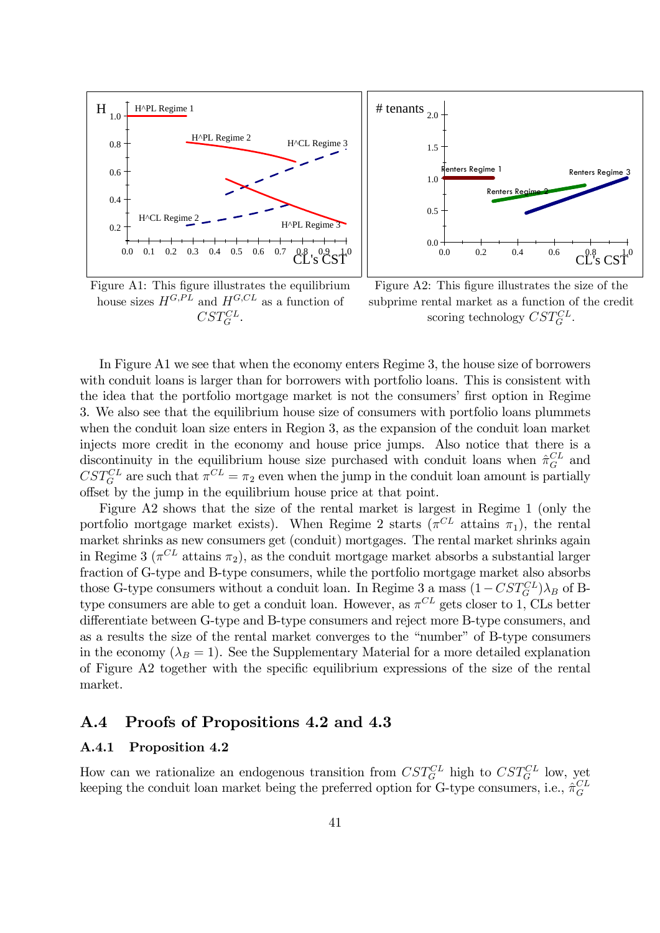

Figure A1: This figure illustrates the equilibrium house sizes  $H^{G,PL}$  and  $H^{G,CL}$  as a function of  $CST_G^{CL}$ .



Figure A2: This figure illustrates the size of the subprime rental market as a function of the credit scoring technology  $CST_G^{CL}$ .

In Figure A1 we see that when the economy enters Regime 3, the house size of borrowers with conduit loans is larger than for borrowers with portfolio loans. This is consistent with the idea that the portfolio mortgage market is not the consumers' first option in Regime 3. We also see that the equilibrium house size of consumers with portfolio loans plummets when the conduit loan size enters in Region 3, as the expansion of the conduit loan market injects more credit in the economy and house price jumps. Also notice that there is a discontinuity in the equilibrium house size purchased with conduit loans when  $\hat{\pi}_G^{CL}$  and  $CST_G^{CL}$  are such that  $\pi^{CL} = \pi_2$  even when the jump in the conduit loan amount is partially offset by the jump in the equilibrium house price at that point.

Figure A2 shows that the size of the rental market is largest in Regime 1 (only the portfolio mortgage market exists). When Regime 2 starts  $(\pi^{CL}$  attains  $\pi_1$ ), the rental market shrinks as new consumers get (conduit) mortgages. The rental market shrinks again in Regime 3 ( $\pi^{CL}$  attains  $\pi_2$ ), as the conduit mortgage market absorbs a substantial larger fraction of G-type and B-type consumers, while the portfolio mortgage market also absorbs those G-type consumers without a conduit loan. In Regime 3 a mass  $(1 - CST_G^{CL})\lambda_B$  of Btype consumers are able to get a conduit loan. However, as  $\pi^{CL}$  gets closer to 1, CLs better differentiate between G-type and B-type consumers and reject more B-type consumers, and as a results the size of the rental market converges to the "number" of B-type consumers in the economy ( $\lambda_B = 1$ ). See the Supplementary Material for a more detailed explanation of Figure A2 together with the specific equilibrium expressions of the size of the rental market.

### A.4 Proofs of Propositions 4.2 and 4.3

### A.4.1 Proposition 4.2

How can we rationalize an endogenous transition from  $CST_G^{CL}$  high to  $CST_G^{CL}$  low, yet keeping the conduit loan market being the preferred option for G-type consumers, i.e.,  $\hat{\pi}_G^{CL}$ G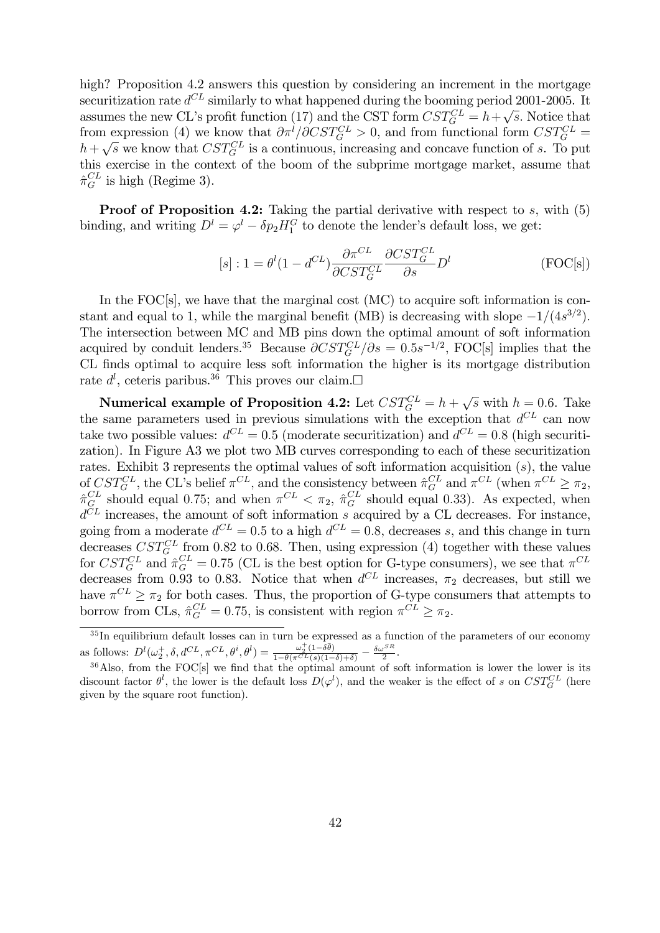high? Proposition 4.2 answers this question by considering an increment in the mortgage securitization rate  $d^{CL}$  similarly to what happened during the booming period 2001-2005. It assumes the new CL's profit function (17) and the CST form  $CST_G^{CL} = h + \sqrt{s}$ . Notice that from expression (4) we know that  $\partial \pi^l/\partial CST_G^{CL} > 0$ , and from functional form  $CST_G^{CL} =$  $h + \sqrt{s}$  we know that  $CST_G^{CL}$  is a continuous, increasing and concave function of s. To put this exercise in the context of the boom of the subprime mortgage market, assume that  $\hat{\pi}^{CL}_{G}$  is high (Regime 3).

**Proof of Proposition 4.2:** Taking the partial derivative with respect to  $s$ , with  $(5)$ binding, and writing  $D^l = \varphi^l - \delta p_2 H_1^G$  to denote the lender's default loss, we get:

$$
[s] : 1 = \theta^l (1 - d^{CL}) \frac{\partial \pi^{CL}}{\partial \mathcal{C}ST_G^{CL}} \frac{\partial \mathcal{C}ST_G^{CL}}{\partial s} D^l
$$
 (FOC[s])

In the FOC[s], we have that the marginal cost (MC) to acquire soft information is constant and equal to 1, while the marginal benefit (MB) is decreasing with slope  $-1/(4s^{3/2})$ . The intersection between MC and MB pins down the optimal amount of soft information acquired by conduit lenders.<sup>35</sup> Because  $\partial CST_G^{CL}/\partial s = 0.5s^{-1/2}$ , FOC[s] implies that the CL finds optimal to acquire less soft information the higher is its mortgage distribution rate  $d^l$ , ceteris paribus.<sup>36</sup> This proves our claim. $\Box$ 

**Numerical example of Proposition 4.2:** Let  $CST_G^{CL} = h + \sqrt{s}$  with  $h = 0.6$ . Take the same parameters used in previous simulations with the exception that  $d^{CL}$  can now take two possible values:  $d^{CL} = 0.5$  (moderate securitization) and  $d^{CL} = 0.8$  (high securitization). In Figure A3 we plot two MB curves corresponding to each of these securitization rates. Exhibit 3 represents the optimal values of soft information acquisition (s), the value of  $CST_G^{CL}$ , the CL's belief  $\pi^{CL}$ , and the consistency between  $\hat{\pi}_G^{CL}$  and  $\pi^{CL}$  (when  $\pi^{CL} \geq \pi_2$ ,  $\hat{\pi}^{CL}_G$  should equal 0.75; and when  $\pi^{CL} < \pi_2$ ,  $\hat{\pi}^{CL}_G$  should equal 0.33). As expected, when  $d^{CL}$  increases, the amount of soft information s acquired by a CL decreases. For instance, going from a moderate  $d^{CL} = 0.5$  to a high  $d^{CL} = 0.8$ , decreases s, and this change in turn decreases  $CST_G^{CL}$  from 0.82 to 0.68. Then, using expression (4) together with these values for  $CST_G^{CL}$  and  $\hat{\pi}_G^{CL} = 0.75$  (CL is the best option for G-type consumers), we see that  $\pi^{CL}$ decreases from 0.93 to 0.83. Notice that when  $d^{CL}$  increases,  $\pi_2$  decreases, but still we have  $\pi^{CL} \geq \pi_2$  for both cases. Thus, the proportion of G-type consumers that attempts to borrow from CLs,  $\hat{\pi}_G^{CL} = 0.75$ , is consistent with region  $\pi^{CL} \ge \pi_2$ .

 $35$ In equilibrium default losses can in turn be expressed as a function of the parameters of our economy as follows:  $D^l(\omega_2^+,\delta,d^{CL},\pi^{CL},\theta^i,\theta^l)=\frac{\omega_2^+(1-\delta\bar{\theta})}{1-\bar{\theta}(\pi^{CL}(s))(1-\bar{\theta})}$  $\frac{\omega_2^+(1-\delta\bar{\theta})}{1-\bar{\theta}(\pi^{CL}(s)(1-\delta)+\delta)} - \frac{\delta \omega^{SR}}{2}.$ 

 $36$ Also, from the FOC[s] we find that the optimal amount of soft information is lower the lower is its discount factor  $\theta^l$ , the lower is the default loss  $D(\varphi^l)$ , and the weaker is the effect of s on  $CST_G^{CL}$  (here given by the square root function).